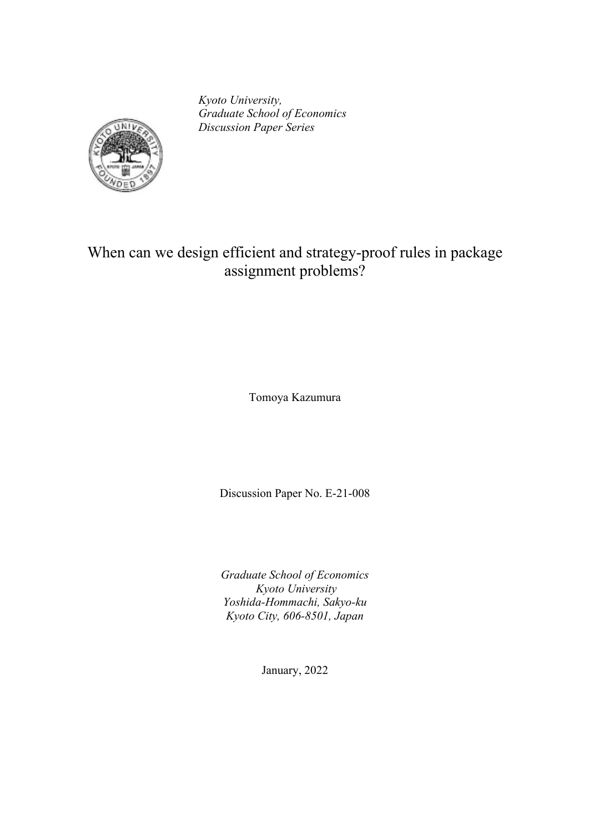*Kyoto University, Graduate School of Economics Discussion Paper Series*



# When can we design efficient and strategy-proof rules in package assignment problems?

Tomoya Kazumura

Discussion Paper No. E-21-008

*Graduate School of Economics Kyoto University Yoshida-Hommachi, Sakyo-ku Kyoto City, 606-8501, Japan*

January, 2022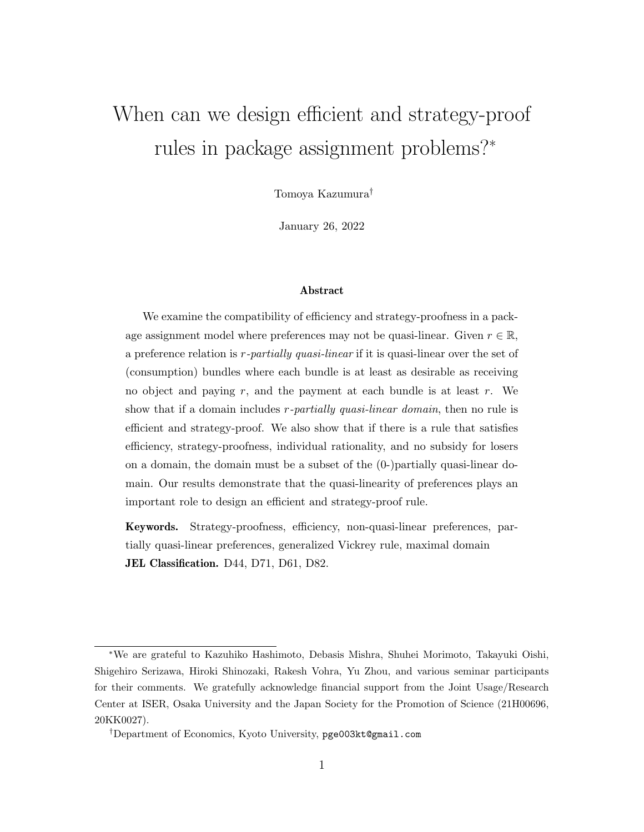# When can we design efficient and strategy-proof rules in package assignment problems?<sup>∗</sup>

Tomoya Kazumura†

January 26, 2022

#### Abstract

We examine the compatibility of efficiency and strategy-proofness in a package assignment model where preferences may not be quasi-linear. Given  $r \in \mathbb{R}$ , a preference relation is r-partially quasi-linear if it is quasi-linear over the set of (consumption) bundles where each bundle is at least as desirable as receiving no object and paying  $r$ , and the payment at each bundle is at least  $r$ . We show that if a domain includes r-partially quasi-linear domain, then no rule is efficient and strategy-proof. We also show that if there is a rule that satisfies efficiency, strategy-proofness, individual rationality, and no subsidy for losers on a domain, the domain must be a subset of the (0-)partially quasi-linear domain. Our results demonstrate that the quasi-linearity of preferences plays an important role to design an efficient and strategy-proof rule.

Keywords. Strategy-proofness, efficiency, non-quasi-linear preferences, partially quasi-linear preferences, generalized Vickrey rule, maximal domain JEL Classification. D44, D71, D61, D82.

<sup>∗</sup>We are grateful to Kazuhiko Hashimoto, Debasis Mishra, Shuhei Morimoto, Takayuki Oishi, Shigehiro Serizawa, Hiroki Shinozaki, Rakesh Vohra, Yu Zhou, and various seminar participants for their comments. We gratefully acknowledge financial support from the Joint Usage/Research Center at ISER, Osaka University and the Japan Society for the Promotion of Science (21H00696, 20KK0027).

<sup>†</sup>Department of Economics, Kyoto University, pge003kt@gmail.com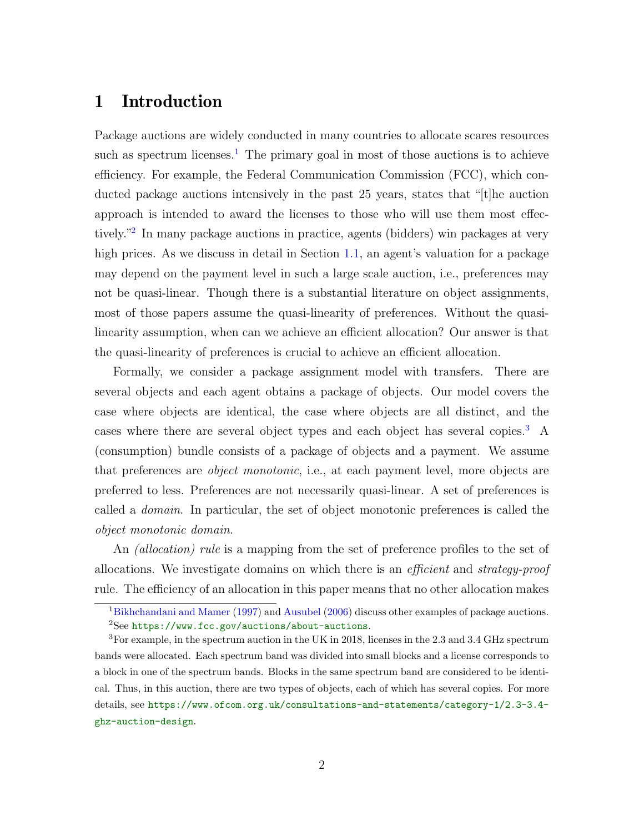# 1 Introduction

Package auctions are widely conducted in many countries to allocate scares resources such as spectrum licenses.<sup>[1](#page-2-0)</sup> The primary goal in most of those auctions is to achieve efficiency. For example, the Federal Communication Commission (FCC), which conducted package auctions intensively in the past 25 years, states that "[t]he auction approach is intended to award the licenses to those who will use them most effectively."[2](#page-2-1) In many package auctions in practice, agents (bidders) win packages at very high prices. As we discuss in detail in Section [1.1,](#page-5-0) an agent's valuation for a package may depend on the payment level in such a large scale auction, i.e., preferences may not be quasi-linear. Though there is a substantial literature on object assignments, most of those papers assume the quasi-linearity of preferences. Without the quasilinearity assumption, when can we achieve an efficient allocation? Our answer is that the quasi-linearity of preferences is crucial to achieve an efficient allocation.

Formally, we consider a package assignment model with transfers. There are several objects and each agent obtains a package of objects. Our model covers the case where objects are identical, the case where objects are all distinct, and the cases where there are several object types and each object has several copies.[3](#page-2-2) A (consumption) bundle consists of a package of objects and a payment. We assume that preferences are object monotonic, i.e., at each payment level, more objects are preferred to less. Preferences are not necessarily quasi-linear. A set of preferences is called a domain. In particular, the set of object monotonic preferences is called the object monotonic domain.

An *(allocation) rule* is a mapping from the set of preference profiles to the set of allocations. We investigate domains on which there is an efficient and strategy-proof rule. The efficiency of an allocation in this paper means that no other allocation makes

<span id="page-2-1"></span><span id="page-2-0"></span><sup>&</sup>lt;sup>1</sup>[Bikhchandani and Mamer](#page-78-0) [\(1997\)](#page-78-0) and [Ausubel](#page-78-1) [\(2006\)](#page-78-1) discuss other examples of package auctions. <sup>2</sup>See <https://www.fcc.gov/auctions/about-auctions>.

<span id="page-2-2"></span><sup>3</sup>For example, in the spectrum auction in the UK in 2018, licenses in the 2.3 and 3.4 GHz spectrum bands were allocated. Each spectrum band was divided into small blocks and a license corresponds to a block in one of the spectrum bands. Blocks in the same spectrum band are considered to be identical. Thus, in this auction, there are two types of objects, each of which has several copies. For more details, see [https://www.ofcom.org.uk/consultations-and-statements/category-1/2.3-3.4](https://www.ofcom.org.uk/consultations-and-statements/category-1/2.3-3.4-ghz-auction-design) [ghz-auction-design](https://www.ofcom.org.uk/consultations-and-statements/category-1/2.3-3.4-ghz-auction-design).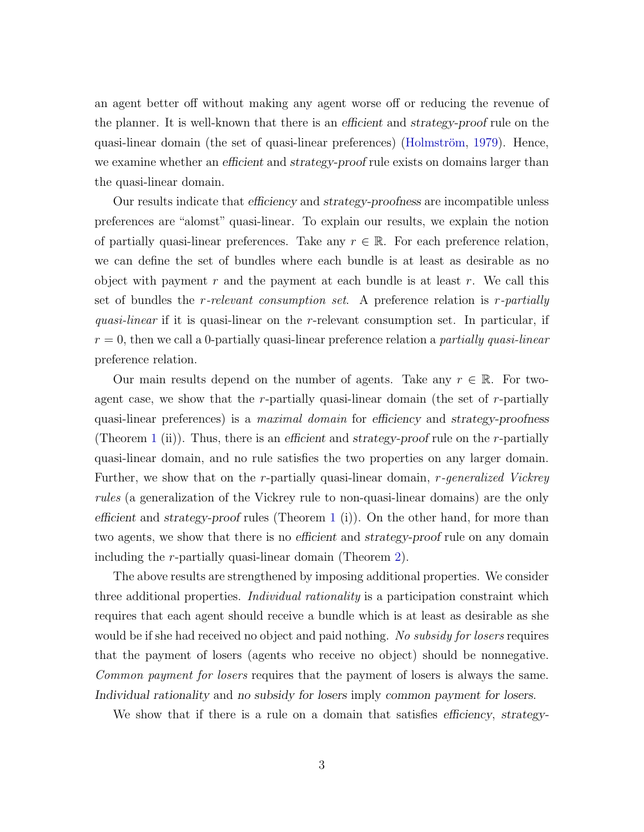an agent better off without making any agent worse off or reducing the revenue of the planner. It is well-known that there is an efficient and strategy-proof rule on the quasi-linear domain (the set of quasi-linear preferences) (Holmström, [1979\)](#page-79-0). Hence, we examine whether an efficient and strategy-proof rule exists on domains larger than the quasi-linear domain.

Our results indicate that efficiency and strategy-proofness are incompatible unless preferences are "alomst" quasi-linear. To explain our results, we explain the notion of partially quasi-linear preferences. Take any  $r \in \mathbb{R}$ . For each preference relation, we can define the set of bundles where each bundle is at least as desirable as no object with payment r and the payment at each bundle is at least r. We call this set of bundles the *r*-relevant consumption set. A preference relation is *r*-partially quasi-linear if it is quasi-linear on the r-relevant consumption set. In particular, if  $r = 0$ , then we call a 0-partially quasi-linear preference relation a *partially quasi-linear* preference relation.

Our main results depend on the number of agents. Take any  $r \in \mathbb{R}$ . For twoagent case, we show that the  $r$ -partially quasi-linear domain (the set of  $r$ -partially quasi-linear preferences) is a *maximal domain* for efficiency and strategy-proofness (Theorem [1](#page-17-0) (ii)). Thus, there is an efficient and strategy-proof rule on the r-partially quasi-linear domain, and no rule satisfies the two properties on any larger domain. Further, we show that on the r-partially quasi-linear domain, r-generalized Vickrey rules (a generalization of the Vickrey rule to non-quasi-linear domains) are the only efficient and strategy-proof rules (Theorem [1](#page-17-0) (i)). On the other hand, for more than two agents, we show that there is no efficient and strategy-proof rule on any domain including the r-partially quasi-linear domain (Theorem [2\)](#page-19-0).

The above results are strengthened by imposing additional properties. We consider three additional properties. *Individual rationality* is a participation constraint which requires that each agent should receive a bundle which is at least as desirable as she would be if she had received no object and paid nothing. No subsidy for losers requires that the payment of losers (agents who receive no object) should be nonnegative. Common payment for losers requires that the payment of losers is always the same. Individual rationality and no subsidy for losers imply common payment for losers.

We show that if there is a rule on a domain that satisfies efficiency, strategy-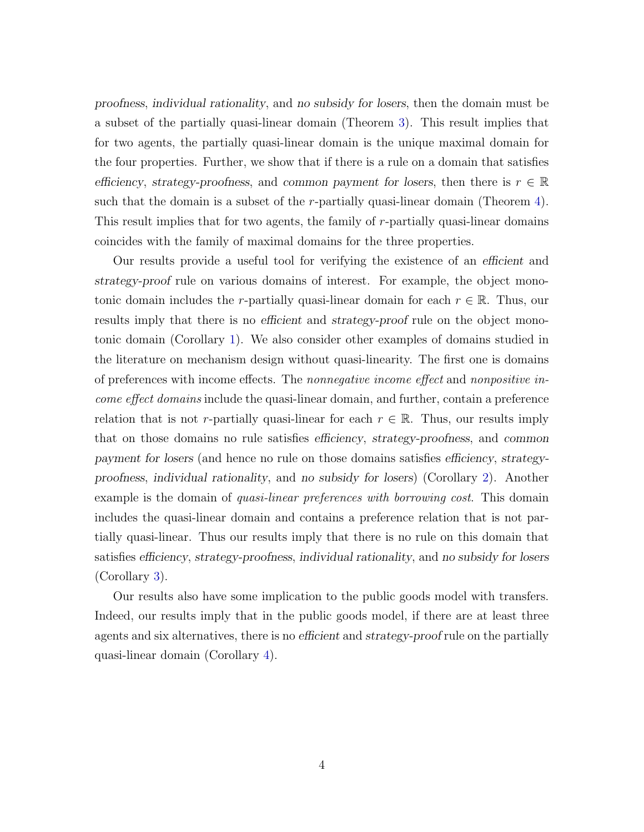proofness, individual rationality, and no subsidy for losers, then the domain must be a subset of the partially quasi-linear domain (Theorem [3\)](#page-22-0). This result implies that for two agents, the partially quasi-linear domain is the unique maximal domain for the four properties. Further, we show that if there is a rule on a domain that satisfies efficiency, strategy-proofness, and common payment for losers, then there is  $r \in \mathbb{R}$ such that the domain is a subset of the *r*-partially quasi-linear domain (Theorem [4\)](#page-23-0). This result implies that for two agents, the family of r-partially quasi-linear domains coincides with the family of maximal domains for the three properties.

Our results provide a useful tool for verifying the existence of an efficient and strategy-proof rule on various domains of interest. For example, the object monotonic domain includes the r-partially quasi-linear domain for each  $r \in \mathbb{R}$ . Thus, our results imply that there is no efficient and strategy-proof rule on the object monotonic domain (Corollary [1\)](#page-24-0). We also consider other examples of domains studied in the literature on mechanism design without quasi-linearity. The first one is domains of preferences with income effects. The nonnegative income effect and nonpositive income effect domains include the quasi-linear domain, and further, contain a preference relation that is not r-partially quasi-linear for each  $r \in \mathbb{R}$ . Thus, our results imply that on those domains no rule satisfies efficiency, strategy-proofness, and common payment for losers (and hence no rule on those domains satisfies efficiency, strategyproofness, individual rationality, and no subsidy for losers) (Corollary [2\)](#page-24-1). Another example is the domain of *quasi-linear preferences with borrowing cost*. This domain includes the quasi-linear domain and contains a preference relation that is not partially quasi-linear. Thus our results imply that there is no rule on this domain that satisfies efficiency, strategy-proofness, individual rationality, and no subsidy for losers (Corollary [3\)](#page-25-0).

Our results also have some implication to the public goods model with transfers. Indeed, our results imply that in the public goods model, if there are at least three agents and six alternatives, there is no efficient and strategy-proof rule on the partially quasi-linear domain (Corollary [4\)](#page-26-0).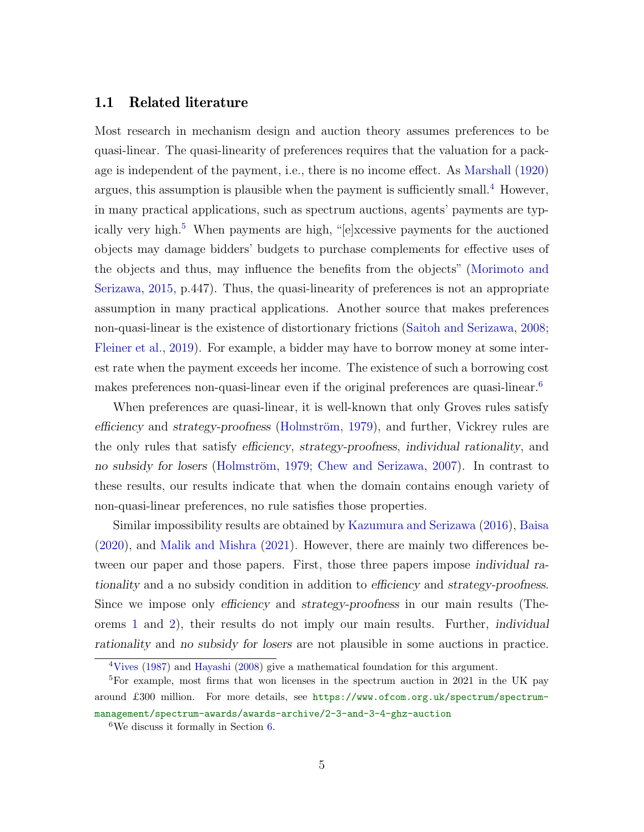#### <span id="page-5-0"></span>1.1 Related literature

Most research in mechanism design and auction theory assumes preferences to be quasi-linear. The quasi-linearity of preferences requires that the valuation for a package is independent of the payment, i.e., there is no income effect. As [Marshall](#page-80-0) [\(1920\)](#page-80-0) argues, this assumption is plausible when the payment is sufficiently small.<sup>[4](#page-5-1)</sup> However, in many practical applications, such as spectrum auctions, agents' payments are typ-ically very high.<sup>[5](#page-5-2)</sup> When payments are high, "[e]xcessive payments for the auctioned objects may damage bidders' budgets to purchase complements for effective uses of the objects and thus, may influence the benefits from the objects" [\(Morimoto and](#page-80-1) [Serizawa,](#page-80-1) [2015,](#page-80-1) p.447). Thus, the quasi-linearity of preferences is not an appropriate assumption in many practical applications. Another source that makes preferences non-quasi-linear is the existence of distortionary frictions [\(Saitoh and Serizawa,](#page-81-0) [2008;](#page-81-0) [Fleiner et al.,](#page-79-1) [2019\)](#page-79-1). For example, a bidder may have to borrow money at some interest rate when the payment exceeds her income. The existence of such a borrowing cost makes preferences non-quasi-linear even if the original preferences are quasi-linear.[6](#page-5-3)

When preferences are quasi-linear, it is well-known that only Groves rules satisfy efficiency and strategy-proofness (Holmström, [1979\)](#page-79-0), and further, Vickrey rules are the only rules that satisfy efficiency, strategy-proofness, individual rationality, and no subsidy for losers (Holmström, [1979;](#page-79-0) [Chew and Serizawa,](#page-79-2) [2007\)](#page-79-2). In contrast to these results, our results indicate that when the domain contains enough variety of non-quasi-linear preferences, no rule satisfies those properties.

Similar impossibility results are obtained by [Kazumura and Serizawa](#page-80-2) [\(2016\)](#page-80-2), [Baisa](#page-78-2) [\(2020\)](#page-78-2), and [Malik and Mishra](#page-80-3) [\(2021\)](#page-80-3). However, there are mainly two differences between our paper and those papers. First, those three papers impose individual rationality and a no subsidy condition in addition to efficiency and strategy-proofness. Since we impose only efficiency and strategy-proofness in our main results (Theorems [1](#page-17-0) and [2\)](#page-19-0), their results do not imply our main results. Further, individual rationality and no subsidy for losers are not plausible in some auctions in practice.

<span id="page-5-2"></span><span id="page-5-1"></span><sup>4</sup>[Vives](#page-81-1) [\(1987\)](#page-81-1) and [Hayashi](#page-79-3) [\(2008\)](#page-79-3) give a mathematical foundation for this argument.

<sup>&</sup>lt;sup>5</sup>For example, most firms that won licenses in the spectrum auction in 2021 in the UK pay around £300 million. For more details, see [https://www.ofcom.org.uk/spectrum/spectrum](https://www.ofcom.org.uk/spectrum/spectrum-management/spectrum-awards/awards-archive/2-3-and-3-4-ghz-auction)[management/spectrum-awards/awards-archive/2-3-and-3-4-ghz-auction](https://www.ofcom.org.uk/spectrum/spectrum-management/spectrum-awards/awards-archive/2-3-and-3-4-ghz-auction)

<span id="page-5-3"></span><sup>6</sup>We discuss it formally in Section [6.](#page-23-1)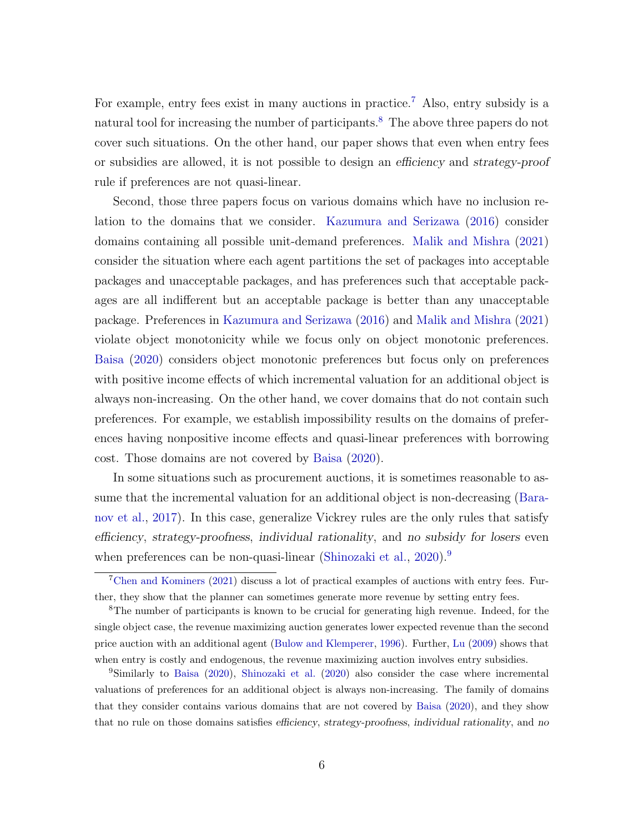For example, entry fees exist in many auctions in practice.<sup>[7](#page-6-0)</sup> Also, entry subsidy is a natural tool for increasing the number of participants.<sup>[8](#page-6-1)</sup> The above three papers do not cover such situations. On the other hand, our paper shows that even when entry fees or subsidies are allowed, it is not possible to design an efficiency and strategy-proof rule if preferences are not quasi-linear.

Second, those three papers focus on various domains which have no inclusion relation to the domains that we consider. [Kazumura and Serizawa](#page-80-2) [\(2016\)](#page-80-2) consider domains containing all possible unit-demand preferences. [Malik and Mishra](#page-80-3) [\(2021\)](#page-80-3) consider the situation where each agent partitions the set of packages into acceptable packages and unacceptable packages, and has preferences such that acceptable packages are all indifferent but an acceptable package is better than any unacceptable package. Preferences in [Kazumura and Serizawa](#page-80-2) [\(2016\)](#page-80-2) and [Malik and Mishra](#page-80-3) [\(2021\)](#page-80-3) violate object monotonicity while we focus only on object monotonic preferences. [Baisa](#page-78-2) [\(2020\)](#page-78-2) considers object monotonic preferences but focus only on preferences with positive income effects of which incremental valuation for an additional object is always non-increasing. On the other hand, we cover domains that do not contain such preferences. For example, we establish impossibility results on the domains of preferences having nonpositive income effects and quasi-linear preferences with borrowing cost. Those domains are not covered by [Baisa](#page-78-2) [\(2020\)](#page-78-2).

In some situations such as procurement auctions, it is sometimes reasonable to assume that the incremental valuation for an additional object is non-decreasing [\(Bara](#page-78-3)[nov et al.,](#page-78-3) [2017\)](#page-78-3). In this case, generalize Vickrey rules are the only rules that satisfy efficiency, strategy-proofness, individual rationality, and no subsidy for losers even when preferences can be non-quasi-linear [\(Shinozaki et al.,](#page-81-2) [2020\)](#page-81-2).<sup>[9](#page-6-2)</sup>

<span id="page-6-0"></span><sup>7</sup>[Chen and Kominers](#page-79-4) [\(2021\)](#page-79-4) discuss a lot of practical examples of auctions with entry fees. Further, they show that the planner can sometimes generate more revenue by setting entry fees.

<span id="page-6-1"></span><sup>8</sup>The number of participants is known to be crucial for generating high revenue. Indeed, for the single object case, the revenue maximizing auction generates lower expected revenue than the second price auction with an additional agent [\(Bulow and Klemperer,](#page-78-4) [1996\)](#page-78-4). Further, [Lu](#page-80-4) [\(2009\)](#page-80-4) shows that when entry is costly and endogenous, the revenue maximizing auction involves entry subsidies.

<span id="page-6-2"></span><sup>9</sup>Similarly to [Baisa](#page-78-2) [\(2020\)](#page-78-2), [Shinozaki et al.](#page-81-2) [\(2020\)](#page-81-2) also consider the case where incremental valuations of preferences for an additional object is always non-increasing. The family of domains that they consider contains various domains that are not covered by [Baisa](#page-78-2) [\(2020\)](#page-78-2), and they show that no rule on those domains satisfies efficiency, strategy-proofness, individual rationality, and no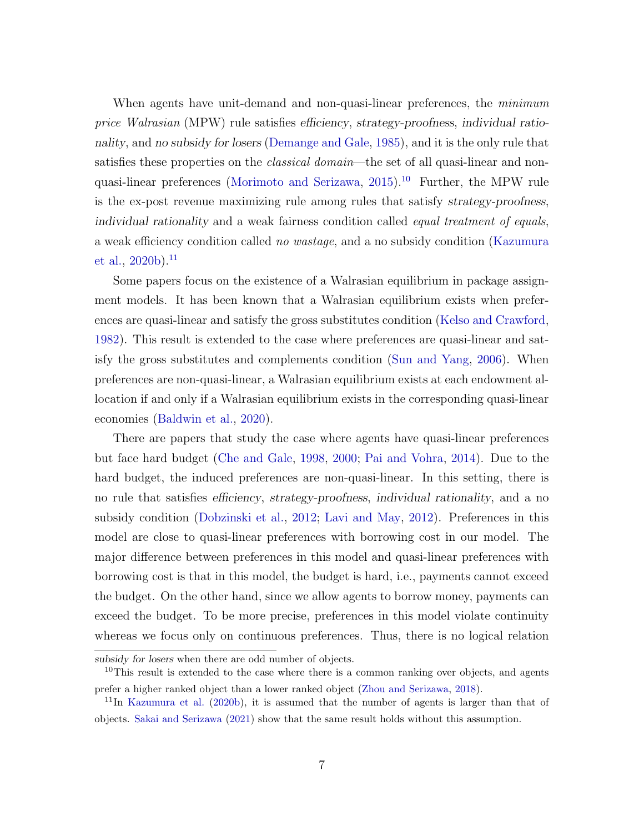When agents have unit-demand and non-quasi-linear preferences, the *minimum* price Walrasian (MPW) rule satisfies efficiency, strategy-proofness, individual rationality, and no subsidy for losers [\(Demange and Gale,](#page-79-5) [1985\)](#page-79-5), and it is the only rule that satisfies these properties on the *classical domain*—the set of all quasi-linear and nonquasi-linear preferences [\(Morimoto and Serizawa,](#page-80-1) [2015\)](#page-80-1).[10](#page-7-0) Further, the MPW rule is the ex-post revenue maximizing rule among rules that satisfy strategy-proofness, individual rationality and a weak fairness condition called equal treatment of equals, a weak efficiency condition called no wastage, and a no subsidy condition [\(Kazumura](#page-80-5) [et al.,](#page-80-5)  $2020b$ ).<sup>[11](#page-7-1)</sup>

Some papers focus on the existence of a Walrasian equilibrium in package assignment models. It has been known that a Walrasian equilibrium exists when preferences are quasi-linear and satisfy the gross substitutes condition [\(Kelso and Crawford,](#page-80-6) [1982\)](#page-80-6). This result is extended to the case where preferences are quasi-linear and satisfy the gross substitutes and complements condition [\(Sun and Yang,](#page-81-3) [2006\)](#page-81-3). When preferences are non-quasi-linear, a Walrasian equilibrium exists at each endowment allocation if and only if a Walrasian equilibrium exists in the corresponding quasi-linear economies [\(Baldwin et al.,](#page-78-5) [2020\)](#page-78-5).

There are papers that study the case where agents have quasi-linear preferences but face hard budget [\(Che and Gale,](#page-79-6) [1998,](#page-79-6) [2000;](#page-79-7) [Pai and Vohra,](#page-80-7) [2014\)](#page-80-7). Due to the hard budget, the induced preferences are non-quasi-linear. In this setting, there is no rule that satisfies efficiency, strategy-proofness, individual rationality, and a no subsidy condition [\(Dobzinski et al.,](#page-79-8) [2012;](#page-79-8) [Lavi and May,](#page-80-8) [2012\)](#page-80-8). Preferences in this model are close to quasi-linear preferences with borrowing cost in our model. The major difference between preferences in this model and quasi-linear preferences with borrowing cost is that in this model, the budget is hard, i.e., payments cannot exceed the budget. On the other hand, since we allow agents to borrow money, payments can exceed the budget. To be more precise, preferences in this model violate continuity whereas we focus only on continuous preferences. Thus, there is no logical relation

<span id="page-7-0"></span>subsidy for losers when there are odd number of objects.

<sup>&</sup>lt;sup>10</sup>This result is extended to the case where there is a common ranking over objects, and agents prefer a higher ranked object than a lower ranked object [\(Zhou and Serizawa,](#page-81-4) [2018\)](#page-81-4).

<span id="page-7-1"></span><sup>11</sup>In [Kazumura et al.](#page-80-5) [\(2020b\)](#page-80-5), it is assumed that the number of agents is larger than that of objects. [Sakai and Serizawa](#page-81-5) [\(2021\)](#page-81-5) show that the same result holds without this assumption.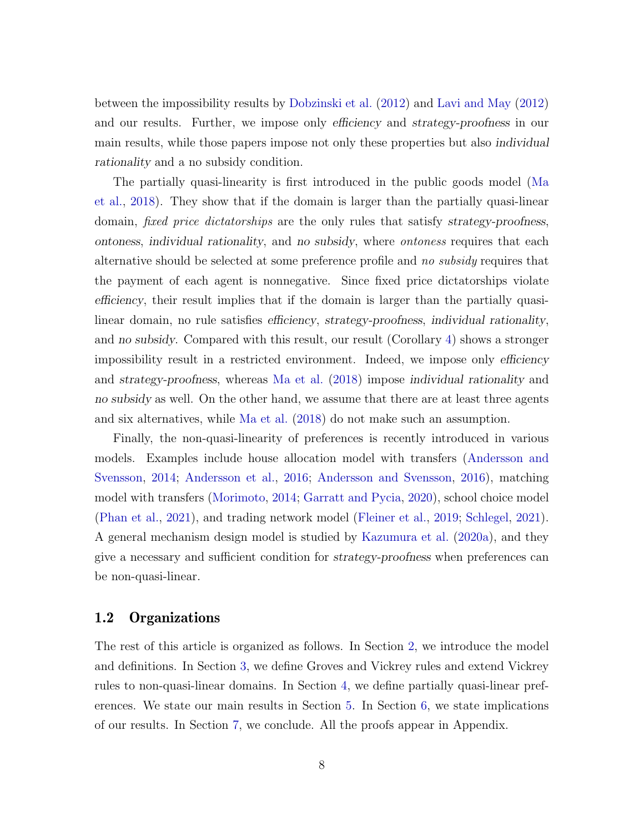between the impossibility results by [Dobzinski et al.](#page-79-8) [\(2012\)](#page-79-8) and [Lavi and May](#page-80-8) [\(2012\)](#page-80-8) and our results. Further, we impose only efficiency and strategy-proofness in our main results, while those papers impose not only these properties but also individual rationality and a no subsidy condition.

The partially quasi-linearity is first introduced in the public goods model [\(Ma](#page-80-9) [et al.,](#page-80-9) [2018\)](#page-80-9). They show that if the domain is larger than the partially quasi-linear domain, *fixed price dictatorships* are the only rules that satisfy strategy-proofness, ontoness, individual rationality, and no subsidy, where ontoness requires that each alternative should be selected at some preference profile and no subsidy requires that the payment of each agent is nonnegative. Since fixed price dictatorships violate efficiency, their result implies that if the domain is larger than the partially quasilinear domain, no rule satisfies efficiency, strategy-proofness, individual rationality, and no subsidy. Compared with this result, our result (Corollary [4\)](#page-26-0) shows a stronger impossibility result in a restricted environment. Indeed, we impose only efficiency and strategy-proofness, whereas [Ma et al.](#page-80-9) [\(2018\)](#page-80-9) impose individual rationality and no subsidy as well. On the other hand, we assume that there are at least three agents and six alternatives, while [Ma et al.](#page-80-9) [\(2018\)](#page-80-9) do not make such an assumption.

Finally, the non-quasi-linearity of preferences is recently introduced in various models. Examples include house allocation model with transfers [\(Andersson and](#page-78-6) [Svensson,](#page-78-6) [2014;](#page-78-6) [Andersson et al.,](#page-78-7) [2016;](#page-78-7) [Andersson and Svensson,](#page-78-8) [2016\)](#page-78-8), matching model with transfers [\(Morimoto,](#page-80-10) [2014;](#page-80-10) [Garratt and Pycia,](#page-79-9) [2020\)](#page-79-9), school choice model [\(Phan et al.,](#page-80-11) [2021\)](#page-80-11), and trading network model [\(Fleiner et al.,](#page-79-1) [2019;](#page-79-1) [Schlegel,](#page-81-6) [2021\)](#page-81-6). A general mechanism design model is studied by [Kazumura et al.](#page-79-10) [\(2020a\)](#page-79-10), and they give a necessary and sufficient condition for strategy-proofness when preferences can be non-quasi-linear.

#### 1.2 Organizations

The rest of this article is organized as follows. In Section [2,](#page-9-0) we introduce the model and definitions. In Section [3,](#page-13-0) we define Groves and Vickrey rules and extend Vickrey rules to non-quasi-linear domains. In Section [4,](#page-14-0) we define partially quasi-linear preferences. We state our main results in Section [5.](#page-16-0) In Section [6,](#page-23-1) we state implications of our results. In Section [7,](#page-27-0) we conclude. All the proofs appear in Appendix.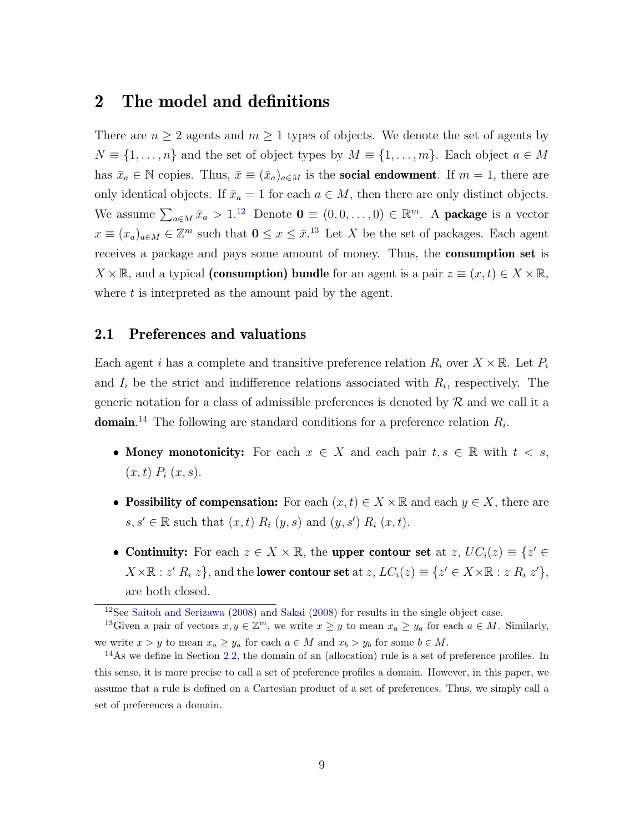### <span id="page-9-0"></span>2 The model and definitions

There are  $n \geq 2$  agents and  $m \geq 1$  types of objects. We denote the set of agents by  $N \equiv \{1, \ldots, n\}$  and the set of object types by  $M \equiv \{1, \ldots, m\}$ . Each object  $a \in M$ has  $\bar{x}_a \in \mathbb{N}$  copies. Thus,  $\bar{x} \equiv (\bar{x}_a)_{a \in M}$  is the **social endowment**. If  $m = 1$ , there are only identical objects. If  $\bar{x}_a = 1$  for each  $a \in M$ , then there are only distinct objects. We assume  $\sum_{a \in M} \bar{x}_a > 1$ .<sup>[12](#page-9-1)</sup> Denote  $\mathbf{0} \equiv (0, 0, \dots, 0) \in \mathbb{R}^m$ . A **package** is a vector  $x \equiv (x_a)_{a \in M} \in \mathbb{Z}^m$  such that  $0 \le x \le \bar{x}$ .<sup>[13](#page-9-2)</sup> Let X be the set of packages. Each agent receives a package and pays some amount of money. Thus, the **consumption set** is  $X \times \mathbb{R}$ , and a typical (consumption) bundle for an agent is a pair  $z \equiv (x, t) \in X \times \mathbb{R}$ , where  $t$  is interpreted as the amount paid by the agent.

#### 2.1 Preferences and valuations

Each agent i has a complete and transitive preference relation  $R_i$  over  $X \times \mathbb{R}$ . Let  $P_i$ and  $I_i$  be the strict and indifference relations associated with  $R_i$ , respectively. The generic notation for a class of admissible preferences is denoted by  $R$  and we call it a **domain**.<sup>[14](#page-9-3)</sup> The following are standard conditions for a preference relation  $R_i$ .

- Money monotonicity: For each  $x \in X$  and each pair  $t, s \in \mathbb{R}$  with  $t < s$ ,  $(x, t)$   $P_i(x, s)$ .
- Possibility of compensation: For each  $(x, t) \in X \times \mathbb{R}$  and each  $y \in X$ , there are  $s, s' \in \mathbb{R}$  such that  $(x, t)$   $R_i$   $(y, s)$  and  $(y, s')$   $R_i$   $(x, t)$ .
- Continuity: For each  $z \in X \times \mathbb{R}$ , the upper contour set at  $z, UC_i(z) \equiv \{z' \in \mathbb{R} \}$  $X \times \mathbb{R} : z' R_i z$ , and the **lower contour set** at  $z, LC_i(z) \equiv \{z' \in X \times \mathbb{R} : z R_i z'\}$ , are both closed.

<span id="page-9-2"></span><span id="page-9-1"></span><sup>12</sup>See [Saitoh and Serizawa](#page-81-0) [\(2008\)](#page-81-0) and [Sakai](#page-81-7) [\(2008\)](#page-81-7) for results in the single object case.

<sup>&</sup>lt;sup>13</sup>Given a pair of vectors  $x, y \in \mathbb{Z}^m$ , we write  $x \geq y$  to mean  $x_a \geq y_a$  for each  $a \in M$ . Similarly, we write  $x > y$  to mean  $x_a \ge y_a$  for each  $a \in M$  and  $x_b > y_b$  for some  $b \in M$ .

<span id="page-9-3"></span> $14$ As we define in Section [2.2,](#page-12-0) the domain of an (allocation) rule is a set of preference profiles. In this sense, it is more precise to call a set of preference profiles a domain. However, in this paper, we assume that a rule is defined on a Cartesian product of a set of preferences. Thus, we simply call a set of preferences a domain.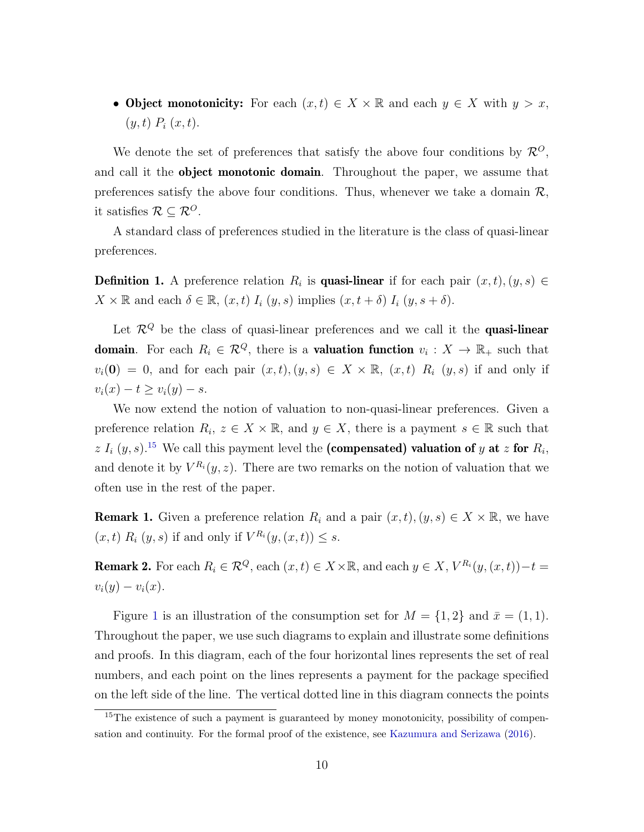• Object monotonicity: For each  $(x, t) \in X \times \mathbb{R}$  and each  $y \in X$  with  $y > x$ ,  $(y, t)$   $P_i(x, t)$ .

We denote the set of preferences that satisfy the above four conditions by  $\mathcal{R}^{\scriptstyle O}$ , and call it the **object monotonic domain**. Throughout the paper, we assume that preferences satisfy the above four conditions. Thus, whenever we take a domain  $\mathcal{R}$ , it satisfies  $\mathcal{R} \subseteq \mathcal{R}^O$ .

A standard class of preferences studied in the literature is the class of quasi-linear preferences.

**Definition 1.** A preference relation  $R_i$  is **quasi-linear** if for each pair  $(x, t), (y, s) \in$  $X \times \mathbb{R}$  and each  $\delta \in \mathbb{R}$ ,  $(x, t)$   $I_i(y, s)$  implies  $(x, t + \delta)$   $I_i(y, s + \delta)$ .

Let  $\mathcal{R}^Q$  be the class of quasi-linear preferences and we call it the **quasi-linear domain**. For each  $R_i \in \mathcal{R}^Q$ , there is a **valuation function**  $v_i: X \to \mathbb{R}_+$  such that  $v_i(0) = 0$ , and for each pair  $(x, t), (y, s) \in X \times \mathbb{R}$ ,  $(x, t)$   $R_i (y, s)$  if and only if  $v_i(x) - t \ge v_i(y) - s.$ 

We now extend the notion of valuation to non-quasi-linear preferences. Given a preference relation  $R_i, z \in X \times \mathbb{R}$ , and  $y \in X$ , there is a payment  $s \in \mathbb{R}$  such that z  $I_i$  (y, s).<sup>[15](#page-10-0)</sup> We call this payment level the (compensated) valuation of y at z for  $R_i$ , and denote it by  $V^{R_i}(y, z)$ . There are two remarks on the notion of valuation that we often use in the rest of the paper.

**Remark 1.** Given a preference relation  $R_i$  and a pair  $(x, t), (y, s) \in X \times \mathbb{R}$ , we have  $(x, t)$   $R_i(y, s)$  if and only if  $V^{R_i}(y, (x, t)) \leq s$ .

<span id="page-10-1"></span>**Remark 2.** For each  $R_i \in \mathcal{R}^Q$ , each  $(x, t) \in X \times \mathbb{R}$ , and each  $y \in X$ ,  $V^{R_i}(y, (x, t)) - t =$  $v_i(y) - v_i(x)$ .

Figure [1](#page-11-0) is an illustration of the consumption set for  $M = \{1, 2\}$  and  $\bar{x} = (1, 1)$ . Throughout the paper, we use such diagrams to explain and illustrate some definitions and proofs. In this diagram, each of the four horizontal lines represents the set of real numbers, and each point on the lines represents a payment for the package specified on the left side of the line. The vertical dotted line in this diagram connects the points

<span id="page-10-0"></span> $15$ The existence of such a payment is guaranteed by money monotonicity, possibility of compensation and continuity. For the formal proof of the existence, see [Kazumura and Serizawa](#page-80-2) [\(2016\)](#page-80-2).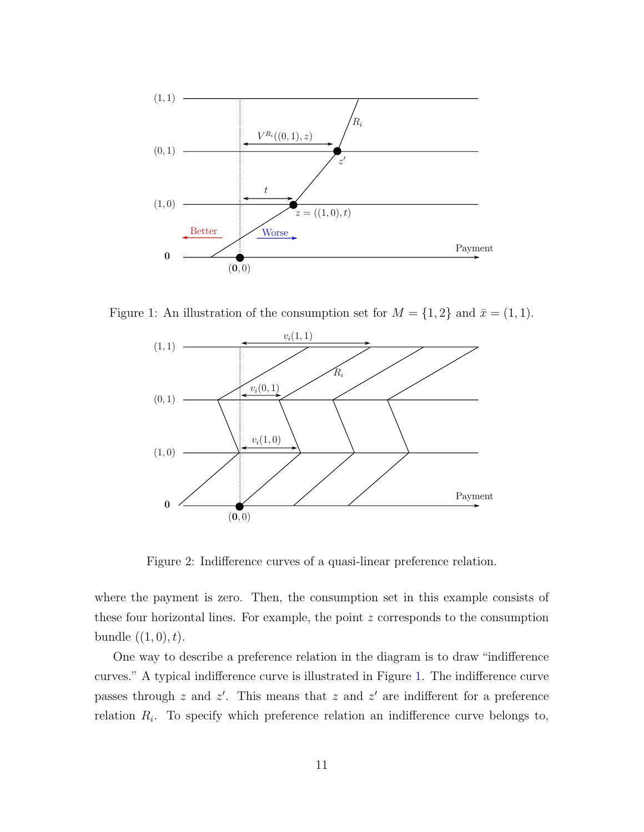

Figure 1: An illustration of the consumption set for  $M = \{1, 2\}$  and  $\bar{x} = (1, 1)$ .

<span id="page-11-0"></span>

<span id="page-11-1"></span>Figure 2: Indifference curves of a quasi-linear preference relation.

where the payment is zero. Then, the consumption set in this example consists of these four horizontal lines. For example, the point  $z$  corresponds to the consumption bundle  $((1, 0), t)$ .

One way to describe a preference relation in the diagram is to draw "indifference curves." A typical indifference curve is illustrated in Figure [1.](#page-11-0) The indifference curve passes through z and  $z'$ . This means that z and  $z'$  are indifferent for a preference relation  $R_i$ . To specify which preference relation an indifference curve belongs to,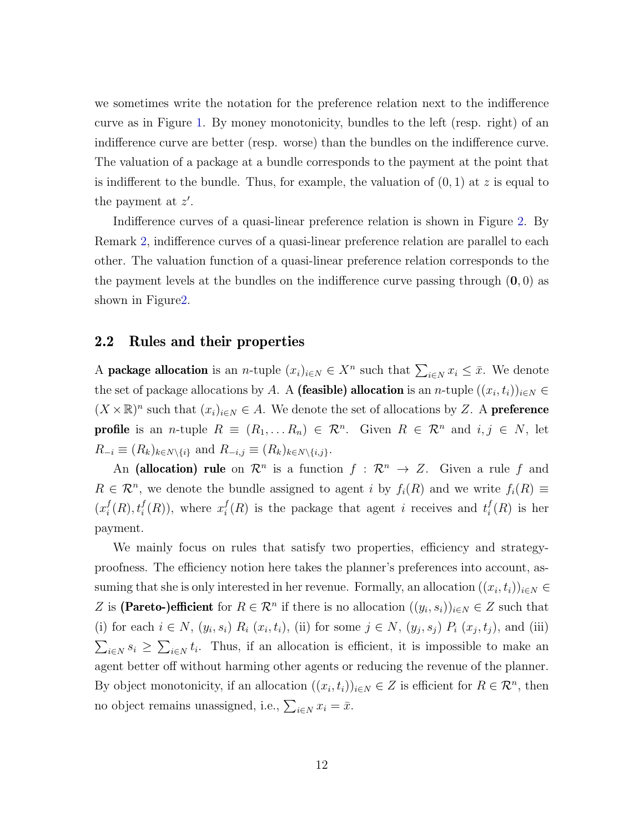we sometimes write the notation for the preference relation next to the indifference curve as in Figure [1.](#page-11-0) By money monotonicity, bundles to the left (resp. right) of an indifference curve are better (resp. worse) than the bundles on the indifference curve. The valuation of a package at a bundle corresponds to the payment at the point that is indifferent to the bundle. Thus, for example, the valuation of  $(0, 1)$  at z is equal to the payment at  $z'$ .

Indifference curves of a quasi-linear preference relation is shown in Figure [2.](#page-11-1) By Remark [2,](#page-10-1) indifference curves of a quasi-linear preference relation are parallel to each other. The valuation function of a quasi-linear preference relation corresponds to the the payment levels at the bundles on the indifference curve passing through  $(0, 0)$  as shown in Figur[e2.](#page-11-1)

#### <span id="page-12-0"></span>2.2 Rules and their properties

A **package allocation** is an *n*-tuple  $(x_i)_{i \in N} \in X^n$  such that  $\sum_{i \in N} x_i \leq \bar{x}$ . We denote the set of package allocations by A. A (feasible) allocation is an n-tuple  $((x_i, t_i))_{i \in N} \in$  $(X \times \mathbb{R})^n$  such that  $(x_i)_{i \in N} \in A$ . We denote the set of allocations by Z. A **preference profile** is an *n*-tuple  $R \equiv (R_1, \ldots, R_n) \in \mathbb{R}^n$ . Given  $R \in \mathbb{R}^n$  and  $i, j \in N$ , let  $R_{-i} \equiv (R_k)_{k \in N \setminus \{i\}}$  and  $R_{-i,j} \equiv (R_k)_{k \in N \setminus \{i,j\}}$ .

An (allocation) rule on  $\mathcal{R}^n$  is a function  $f : \mathcal{R}^n \to Z$ . Given a rule f and  $R \in \mathcal{R}^n$ , we denote the bundle assigned to agent i by  $f_i(R)$  and we write  $f_i(R) \equiv$  $(x_i^f)$  $f_i(R), t_i^f(R)$ , where  $x_i^f$  $i(R)$  is the package that agent i receives and  $t_i^f$  $i_l^J(R)$  is her payment.

We mainly focus on rules that satisfy two properties, efficiency and strategyproofness. The efficiency notion here takes the planner's preferences into account, assuming that she is only interested in her revenue. Formally, an allocation  $((x_i, t_i))_{i \in N} \in$ Z is (Pareto-)efficient for  $R \in \mathcal{R}^n$  if there is no allocation  $((y_i, s_i))_{i \in N} \in Z$  such that (i) for each  $i \in N$ ,  $(y_i, s_i)$   $R_i$   $(x_i, t_i)$ , (ii) for some  $j \in N$ ,  $(y_j, s_j)$   $P_i$   $(x_j, t_j)$ , and (iii)  $\sum_{i\in\mathbb{N}} s_i \geq \sum_{i\in\mathbb{N}} t_i$ . Thus, if an allocation is efficient, it is impossible to make an agent better off without harming other agents or reducing the revenue of the planner. By object monotonicity, if an allocation  $((x_i, t_i))_{i \in N} \in Z$  is efficient for  $R \in \mathcal{R}^n$ , then no object remains unassigned, i.e.,  $\sum_{i \in N} x_i = \bar{x}$ .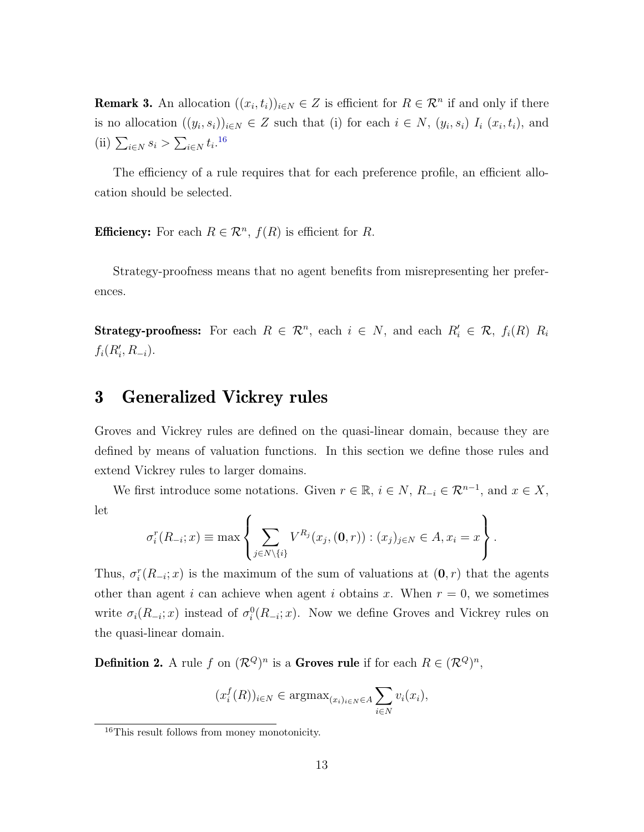<span id="page-13-2"></span>**Remark 3.** An allocation  $((x_i, t_i))_{i \in N} \in Z$  is efficient for  $R \in \mathcal{R}^n$  if and only if there is no allocation  $((y_i, s_i))_{i \in N} \in Z$  such that (i) for each  $i \in N$ ,  $(y_i, s_i)$   $I_i$   $(x_i, t_i)$ , and (ii)  $\sum_{i \in N} s_i > \sum_{i \in N} t_i$ .<sup>[16](#page-13-1)</sup>

The efficiency of a rule requires that for each preference profile, an efficient allocation should be selected.

**Efficiency:** For each  $R \in \mathbb{R}^n$ ,  $f(R)$  is efficient for R.

Strategy-proofness means that no agent benefits from misrepresenting her preferences.

**Strategy-proofness:** For each  $R \in \mathbb{R}^n$ , each  $i \in N$ , and each  $R'_i \in \mathbb{R}$ ,  $f_i(R)$   $R_i$  $f_i(R'_i, R_{-i}).$ 

### <span id="page-13-0"></span>3 Generalized Vickrey rules

Groves and Vickrey rules are defined on the quasi-linear domain, because they are defined by means of valuation functions. In this section we define those rules and extend Vickrey rules to larger domains.

We first introduce some notations. Given  $r \in \mathbb{R}$ ,  $i \in N$ ,  $R_{-i} \in \mathcal{R}^{n-1}$ , and  $x \in X$ , let

$$
\sigma_i^r(R_{-i};x) \equiv \max \left\{ \sum_{j \in N \setminus \{i\}} V^{R_j}(x_j,(0,r)) : (x_j)_{j \in N} \in A, x_i = x \right\}.
$$

Thus,  $\sigma_i^r(R_{-i};x)$  is the maximum of the sum of valuations at  $(0,r)$  that the agents other than agent i can achieve when agent i obtains x. When  $r = 0$ , we sometimes write  $\sigma_i(R_{-i};x)$  instead of  $\sigma_i^0(R_{-i};x)$ . Now we define Groves and Vickrey rules on the quasi-linear domain.

**Definition 2.** A rule f on  $(\mathcal{R}^Q)^n$  is a **Groves rule** if for each  $R \in (\mathcal{R}^Q)^n$ ,

$$
(x_i^f(R))_{i \in N} \in \operatorname{argmax}_{(x_i)_{i \in N} \in A} \sum_{i \in N} v_i(x_i),
$$

<span id="page-13-1"></span><sup>16</sup>This result follows from money monotonicity.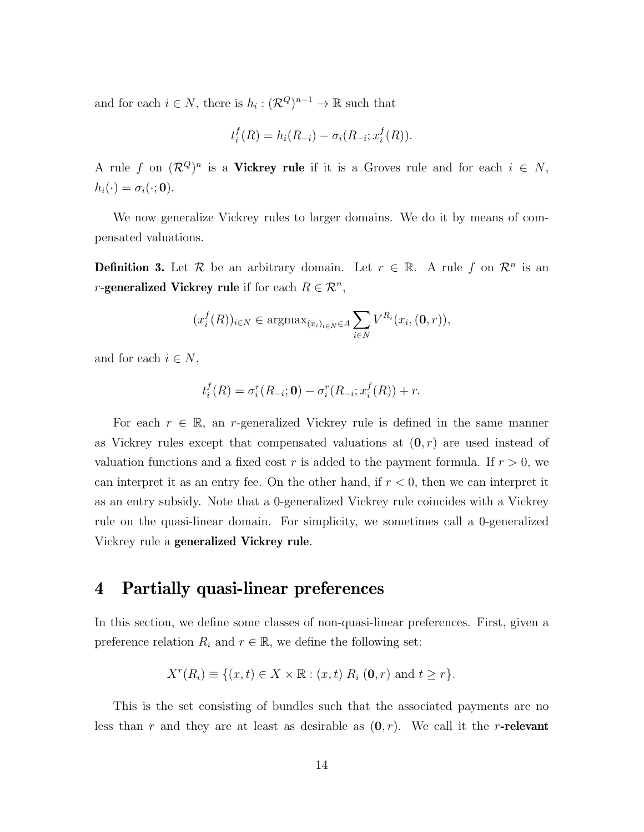and for each  $i \in N$ , there is  $h_i : (\mathcal{R}^Q)^{n-1} \to \mathbb{R}$  such that

$$
t_i^f(R) = h_i(R_{-i}) - \sigma_i(R_{-i}; x_i^f(R)).
$$

A rule f on  $(\mathcal{R}^Q)^n$  is a Vickrey rule if it is a Groves rule and for each  $i \in N$ ,  $h_i(\cdot) = \sigma_i(\cdot; \mathbf{0}).$ 

We now generalize Vickrey rules to larger domains. We do it by means of compensated valuations.

**Definition 3.** Let R be an arbitrary domain. Let  $r \in \mathbb{R}$ . A rule f on  $\mathcal{R}^n$  is an *r*-generalized Vickrey rule if for each  $R \in \mathbb{R}^n$ ,

$$
(x_i^f(R))_{i\in N} \in \operatorname{argmax}_{(x_i)_{i\in N} \in A} \sum_{i\in N} V^{R_i}(x_i, (\mathbf{0}, r)),
$$

and for each  $i \in N$ ,

$$
t_i^f(R) = \sigma_i^r(R_{-i}; \mathbf{0}) - \sigma_i^r(R_{-i}; x_i^f(R)) + r.
$$

For each  $r \in \mathbb{R}$ , an r-generalized Vickrey rule is defined in the same manner as Vickrey rules except that compensated valuations at  $(0, r)$  are used instead of valuation functions and a fixed cost r is added to the payment formula. If  $r > 0$ , we can interpret it as an entry fee. On the other hand, if  $r < 0$ , then we can interpret it as an entry subsidy. Note that a 0-generalized Vickrey rule coincides with a Vickrey rule on the quasi-linear domain. For simplicity, we sometimes call a 0-generalized Vickrey rule a generalized Vickrey rule.

# <span id="page-14-0"></span>4 Partially quasi-linear preferences

In this section, we define some classes of non-quasi-linear preferences. First, given a preference relation  $R_i$  and  $r \in \mathbb{R}$ , we define the following set:

$$
X^{r}(R_{i}) \equiv \{(x,t) \in X \times \mathbb{R} : (x,t) R_{i} (0,r) \text{ and } t \geq r\}.
$$

This is the set consisting of bundles such that the associated payments are no less than r and they are at least as desirable as  $(0, r)$ . We call it the r-relevant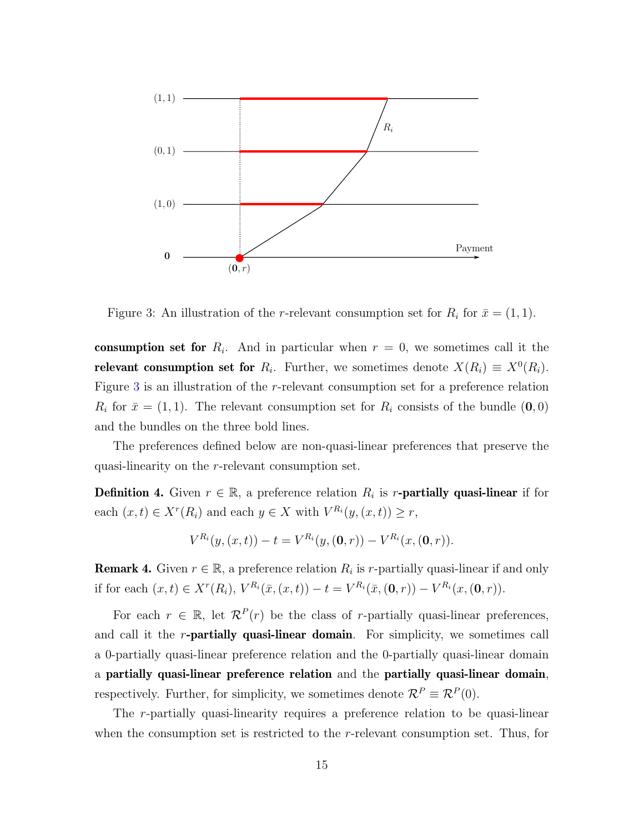

<span id="page-15-0"></span>Figure 3: An illustration of the *r*-relevant consumption set for  $R_i$  for  $\bar{x} = (1, 1)$ .

consumption set for  $R_i$ . And in particular when  $r = 0$ , we sometimes call it the relevant consumption set for  $R_i$ . Further, we sometimes denote  $X(R_i) \equiv X^0(R_i)$ . Figure [3](#page-15-0) is an illustration of the r-relevant consumption set for a preference relation  $R_i$  for  $\bar{x} = (1, 1)$ . The relevant consumption set for  $R_i$  consists of the bundle  $(0, 0)$ and the bundles on the three bold lines.

The preferences defined below are non-quasi-linear preferences that preserve the quasi-linearity on the r-relevant consumption set.

**Definition 4.** Given  $r \in \mathbb{R}$ , a preference relation  $R_i$  is r-**partially quasi-linear** if for each  $(x,t) \in X^r(R_i)$  and each  $y \in X$  with  $V^{R_i}(y,(x,t)) \ge r$ ,

$$
V^{R_i}(y,(x,t)) - t = V^{R_i}(y,(0,r)) - V^{R_i}(x,(0,r)).
$$

**Remark 4.** Given  $r \in \mathbb{R}$ , a preference relation  $R_i$  is r-partially quasi-linear if and only if for each  $(x,t) \in X^r(R_i)$ ,  $V^{R_i}(\bar{x}, (x,t)) - t = V^{R_i}(\bar{x}, (0,r)) - V^{R_i}(x, (0,r))$ .

For each  $r \in \mathbb{R}$ , let  $\mathcal{R}^P(r)$  be the class of r-partially quasi-linear preferences, and call it the  $r$ -partially quasi-linear domain. For simplicity, we sometimes call a 0-partially quasi-linear preference relation and the 0-partially quasi-linear domain a partially quasi-linear preference relation and the partially quasi-linear domain, respectively. Further, for simplicity, we sometimes denote  $\mathcal{R}^P \equiv \mathcal{R}^P(0)$ .

The r-partially quasi-linearity requires a preference relation to be quasi-linear when the consumption set is restricted to the  $r$ -relevant consumption set. Thus, for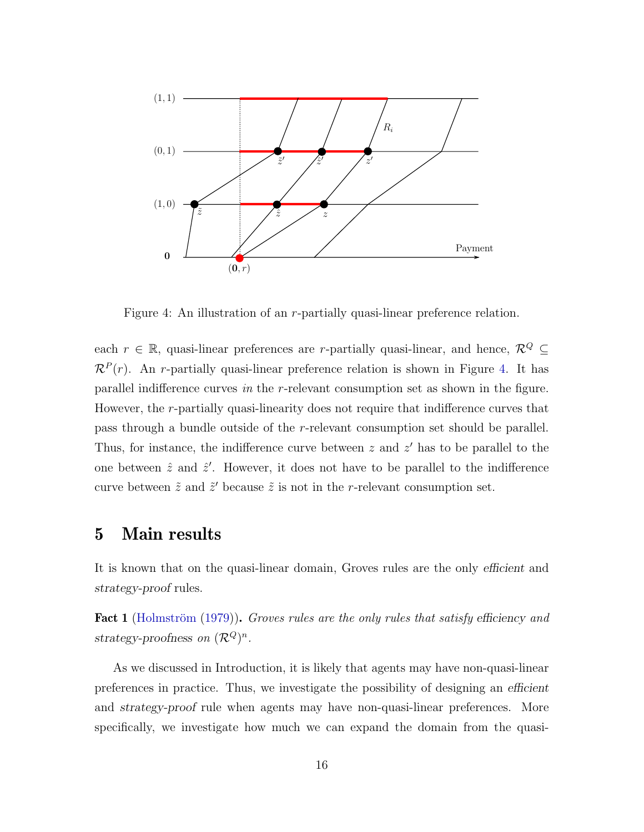

<span id="page-16-1"></span>Figure 4: An illustration of an r-partially quasi-linear preference relation.

each  $r \in \mathbb{R}$ , quasi-linear preferences are *r*-partially quasi-linear, and hence,  $\mathcal{R}^Q \subseteq$  $\mathcal{R}^P(r)$ . An r-partially quasi-linear preference relation is shown in Figure [4.](#page-16-1) It has parallel indifference curves in the r-relevant consumption set as shown in the figure. However, the r-partially quasi-linearity does not require that indifference curves that pass through a bundle outside of the r-relevant consumption set should be parallel. Thus, for instance, the indifference curve between  $z$  and  $z'$  has to be parallel to the one between  $\hat{z}$  and  $\hat{z}'$ . However, it does not have to be parallel to the indifference curve between  $\tilde{z}$  and  $\tilde{z}'$  because  $\tilde{z}$  is not in the r-relevant consumption set.

# <span id="page-16-0"></span>5 Main results

It is known that on the quasi-linear domain, Groves rules are the only efficient and strategy-proof rules.

<span id="page-16-2"></span>**Fact 1** (Holmström [\(1979\)](#page-79-0)). Groves rules are the only rules that satisfy efficiency and strategy-proofness on  $(\mathcal{R}^Q)^n$ .

As we discussed in Introduction, it is likely that agents may have non-quasi-linear preferences in practice. Thus, we investigate the possibility of designing an efficient and strategy-proof rule when agents may have non-quasi-linear preferences. More specifically, we investigate how much we can expand the domain from the quasi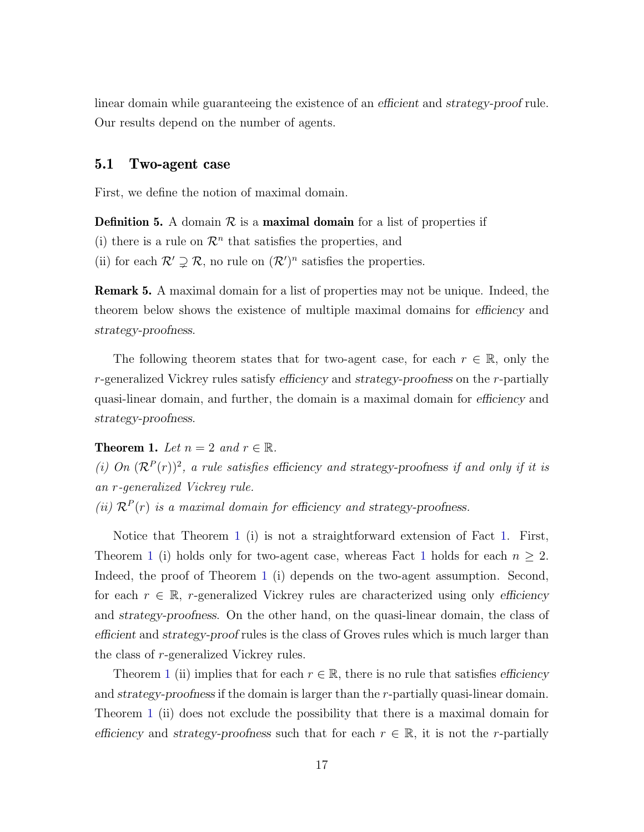linear domain while guaranteeing the existence of an efficient and strategy-proof rule. Our results depend on the number of agents.

#### 5.1 Two-agent case

First, we define the notion of maximal domain.

**Definition 5.** A domain  $\mathcal{R}$  is a **maximal domain** for a list of properties if

(i) there is a rule on  $\mathcal{R}^n$  that satisfies the properties, and

(ii) for each  $\mathcal{R}' \supsetneq \mathcal{R}$ , no rule on  $(\mathcal{R}')^n$  satisfies the properties.

**Remark 5.** A maximal domain for a list of properties may not be unique. Indeed, the theorem below shows the existence of multiple maximal domains for efficiency and strategy-proofness.

The following theorem states that for two-agent case, for each  $r \in \mathbb{R}$ , only the r-generalized Vickrey rules satisfy efficiency and strategy-proofness on the r-partially quasi-linear domain, and further, the domain is a maximal domain for efficiency and strategy-proofness.

<span id="page-17-0"></span>**Theorem 1.** Let  $n = 2$  and  $r \in \mathbb{R}$ .

(i) On  $(\mathcal{R}^P(r))^2$ , a rule satisfies efficiency and strategy-proofness if and only if it is an r-generalized Vickrey rule.

(ii)  $\mathcal{R}^P(r)$  is a maximal domain for efficiency and strategy-proofness.

Notice that Theorem [1](#page-17-0) (i) is not a straightforward extension of Fact [1.](#page-16-2) First, Theorem [1](#page-16-2) (i) holds only for two-agent case, whereas Fact 1 holds for each  $n \geq 2$ . Indeed, the proof of Theorem [1](#page-17-0) (i) depends on the two-agent assumption. Second, for each  $r \in \mathbb{R}$ , r-generalized Vickrey rules are characterized using only efficiency and strategy-proofness. On the other hand, on the quasi-linear domain, the class of efficient and strategy-proof rules is the class of Groves rules which is much larger than the class of r-generalized Vickrey rules.

Theorem [1](#page-17-0) (ii) implies that for each  $r \in \mathbb{R}$ , there is no rule that satisfies efficiency and strategy-proofness if the domain is larger than the r-partially quasi-linear domain. Theorem [1](#page-17-0) (ii) does not exclude the possibility that there is a maximal domain for efficiency and strategy-proofness such that for each  $r \in \mathbb{R}$ , it is not the r-partially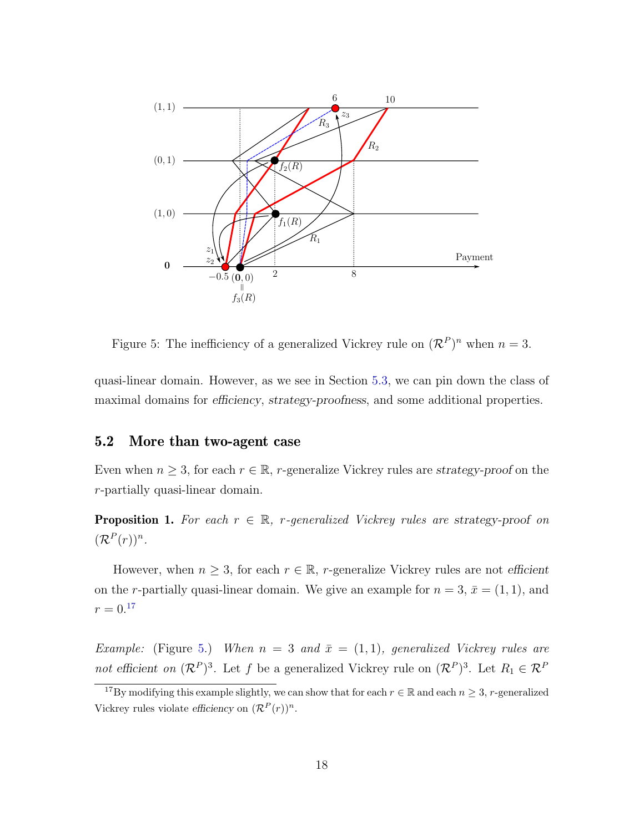

<span id="page-18-1"></span>Figure 5: The inefficiency of a generalized Vickrey rule on  $(\mathcal{R}^P)^n$  when  $n=3$ .

quasi-linear domain. However, as we see in Section [5.3,](#page-21-0) we can pin down the class of maximal domains for *efficiency*, *strategy-proofness*, and some additional properties.

#### 5.2 More than two-agent case

Even when  $n \geq 3$ , for each  $r \in \mathbb{R}$ , r-generalize Vickrey rules are strategy-proof on the r-partially quasi-linear domain.

<span id="page-18-2"></span>**Proposition 1.** For each  $r \in \mathbb{R}$ , r-generalized Vickrey rules are strategy-proof on  $(\mathcal{R}^P(r))^n$ .

However, when  $n \geq 3$ , for each  $r \in \mathbb{R}$ , r-generalize Vickrey rules are not efficient on the r-partially quasi-linear domain. We give an example for  $n = 3$ ,  $\bar{x} = (1, 1)$ , and  $r = 0.17$  $r = 0.17$ 

Example: (Figure [5.](#page-18-1)) When  $n = 3$  and  $\bar{x} = (1, 1)$ , generalized Vickrey rules are not efficient on  $(\mathcal{R}^P)^3$ . Let f be a generalized Vickrey rule on  $(\mathcal{R}^P)^3$ . Let  $R_1 \in \mathcal{R}^P$ 

<span id="page-18-0"></span><sup>&</sup>lt;sup>17</sup>By modifying this example slightly, we can show that for each  $r \in \mathbb{R}$  and each  $n \geq 3$ , r-generalized Vickrey rules violate efficiency on  $(\mathcal{R}^P(r))^n$ .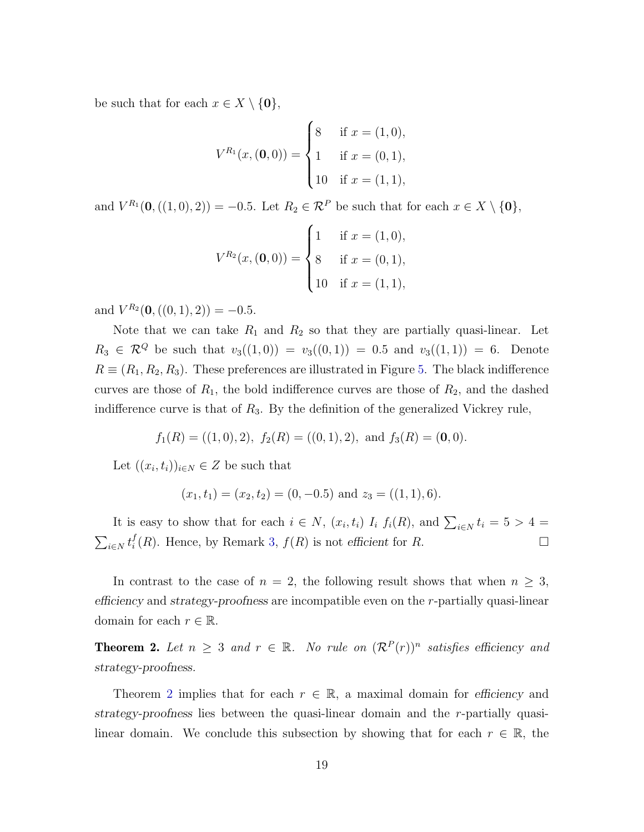be such that for each  $x \in X \setminus \{0\},\$ 

$$
V^{R_1}(x, (0,0)) = \begin{cases} 8 & \text{if } x = (1,0), \\ 1 & \text{if } x = (0,1), \\ 10 & \text{if } x = (1,1), \end{cases}
$$

and  $V^{R_1}(\mathbf{0},((1,0),2)) = -0.5$ . Let  $R_2 \in \mathcal{R}^P$  be such that for each  $x \in X \setminus \{\mathbf{0}\},$ 

$$
V^{R_2}(x, (0,0)) = \begin{cases} 1 & \text{if } x = (1,0), \\ 8 & \text{if } x = (0,1), \\ 10 & \text{if } x = (1,1), \end{cases}
$$

and  $V^{R_2}(\mathbf{0},((0,1),2)) = -0.5$ .

Note that we can take  $R_1$  and  $R_2$  so that they are partially quasi-linear. Let  $R_3 \in \mathcal{R}^Q$  be such that  $v_3((1,0)) = v_3((0,1)) = 0.5$  and  $v_3((1,1)) = 6$ . Denote  $R \equiv (R_1, R_2, R_3)$ . These preferences are illustrated in Figure [5.](#page-18-1) The black indifference curves are those of  $R_1$ , the bold indifference curves are those of  $R_2$ , and the dashed indifference curve is that of  $R_3$ . By the definition of the generalized Vickrey rule,

$$
f_1(R) = ((1,0), 2), f_2(R) = ((0,1), 2), \text{ and } f_3(R) = (0,0).
$$

Let  $((x_i, t_i))_{i \in N} \in Z$  be such that

$$
(x_1, t_1) = (x_2, t_2) = (0, -0.5)
$$
 and  $z_3 = ((1, 1), 6)$ .

It is easy to show that for each  $i \in N$ ,  $(x_i, t_i)$   $I_i$   $f_i(R)$ , and  $\sum_{i \in N} t_i = 5 > 4 =$  $\sum_{i\in N}t_i^f$  $i(R)$ . Hence, by Remark [3,](#page-13-2)  $f(R)$  is not efficient for R.

In contrast to the case of  $n = 2$ , the following result shows that when  $n \geq 3$ , efficiency and strategy-proofness are incompatible even on the r-partially quasi-linear domain for each  $r \in \mathbb{R}$ .

<span id="page-19-0"></span>**Theorem 2.** Let  $n \geq 3$  and  $r \in \mathbb{R}$ . No rule on  $(\mathcal{R}^P(r))^n$  satisfies efficiency and strategy-proofness.

Theorem [2](#page-19-0) implies that for each  $r \in \mathbb{R}$ , a maximal domain for efficiency and strategy-proofness lies between the quasi-linear domain and the r-partially quasilinear domain. We conclude this subsection by showing that for each  $r \in \mathbb{R}$ , the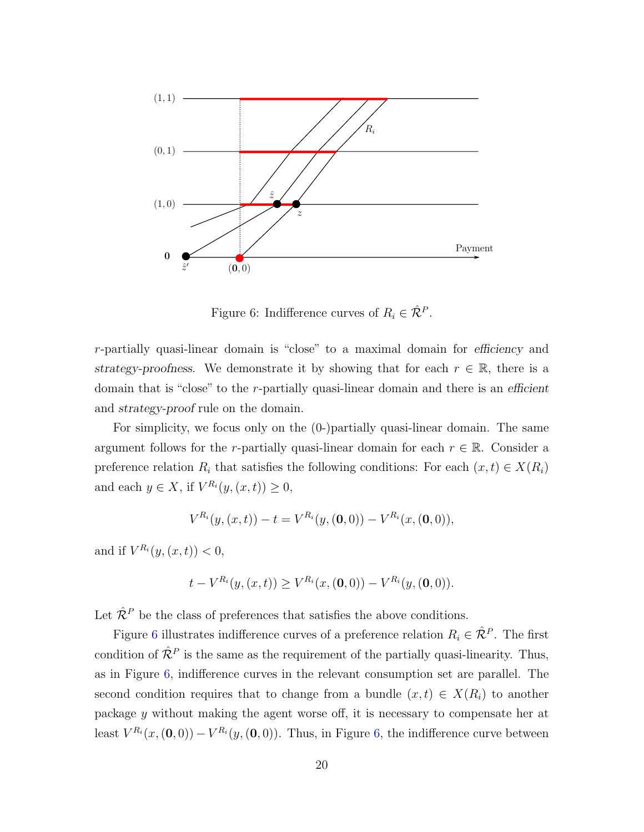

<span id="page-20-0"></span>Figure 6: Indifference curves of  $R_i \in \hat{\mathcal{R}}^P$ .

r-partially quasi-linear domain is "close" to a maximal domain for efficiency and strategy-proofness. We demonstrate it by showing that for each  $r \in \mathbb{R}$ , there is a domain that is "close" to the r-partially quasi-linear domain and there is an efficient and strategy-proof rule on the domain.

For simplicity, we focus only on the (0-)partially quasi-linear domain. The same argument follows for the r-partially quasi-linear domain for each  $r \in \mathbb{R}$ . Consider a preference relation  $R_i$  that satisfies the following conditions: For each  $(x, t) \in X(R_i)$ and each  $y \in X$ , if  $V^{R_i}(y,(x,t)) \geq 0$ ,

$$
V^{R_i}(y,(x,t)) - t = V^{R_i}(y,(0,0)) - V^{R_i}(x,(0,0)),
$$

and if  $V^{R_i}(y,(x,t)) < 0$ ,

$$
t - V^{R_i}(y,(x,t)) \ge V^{R_i}(x,(0,0)) - V^{R_i}(y,(0,0)).
$$

Let  $\hat{\mathcal{R}}^P$  be the class of preferences that satisfies the above conditions.

Figure [6](#page-20-0) illustrates indifference curves of a preference relation  $R_i \in \hat{\mathcal{R}}^P$ . The first condition of  $\hat{\mathcal{R}}^P$  is the same as the requirement of the partially quasi-linearity. Thus, as in Figure [6,](#page-20-0) indifference curves in the relevant consumption set are parallel. The second condition requires that to change from a bundle  $(x, t) \in X(R_i)$  to another package y without making the agent worse off, it is necessary to compensate her at least  $V^{R_i}(x,(\mathbf{0},0)) - V^{R_i}(y,(\mathbf{0},0))$ . Thus, in Figure [6,](#page-20-0) the indifference curve between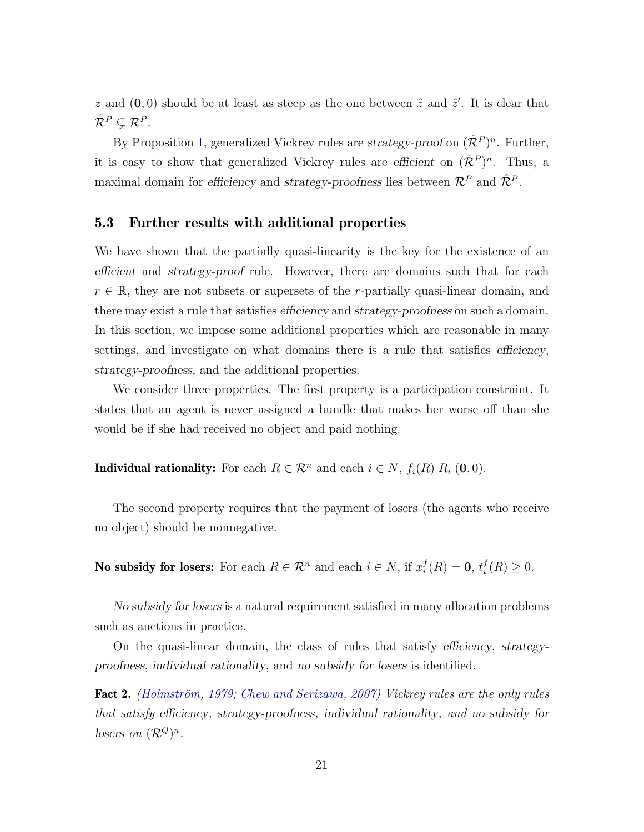z and  $(0,0)$  should be at least as steep as the one between  $\hat{z}$  and  $\hat{z}'$ . It is clear that  $\hat{\mathcal{R}}^P \subsetneq \mathcal{R}^P.$ 

By Proposition [1,](#page-18-2) generalized Vickrey rules are *strategy-proof* on  $(\hat{\mathcal{R}}^P)^n$ . Further, it is easy to show that generalized Vickrey rules are efficient on  $(\hat{\mathcal{R}}^P)^n$ . Thus, a maximal domain for efficiency and strategy-proofness lies between  $\mathcal{R}^P$  and  $\hat{\mathcal{R}}^P$ .

#### <span id="page-21-0"></span>5.3 Further results with additional properties

We have shown that the partially quasi-linearity is the key for the existence of an efficient and strategy-proof rule. However, there are domains such that for each  $r \in \mathbb{R}$ , they are not subsets or supersets of the r-partially quasi-linear domain, and there may exist a rule that satisfies *efficiency* and *strategy-proofness* on such a domain. In this section, we impose some additional properties which are reasonable in many settings, and investigate on what domains there is a rule that satisfies *efficiency*, strategy-proofness, and the additional properties.

We consider three properties. The first property is a participation constraint. It states that an agent is never assigned a bundle that makes her worse off than she would be if she had received no object and paid nothing.

**Individual rationality:** For each  $R \in \mathbb{R}^n$  and each  $i \in N$ ,  $f_i(R) R_i (0, 0)$ .

The second property requires that the payment of losers (the agents who receive no object) should be nonnegative.

**No subsidy for losers:** For each  $R \in \mathcal{R}^n$  and each  $i \in N$ , if  $x_i^f$  $i^f_i(R) = 0, t^f_i$  $i(R) \geq 0.$ 

No subsidy for losers is a natural requirement satisfied in many allocation problems such as auctions in practice.

On the quasi-linear domain, the class of rules that satisfy efficiency, strategyproofness, individual rationality, and no subsidy for losers is identified.

<span id="page-21-1"></span>**Fact 2.** (Holmström, [1979;](#page-79-0) [Chew and Serizawa,](#page-79-2) [2007\)](#page-79-2) Vickrey rules are the only rules that satisfy efficiency, strategy-proofness, individual rationality, and no subsidy for losers on  $(\mathcal{R}^Q)^n$ .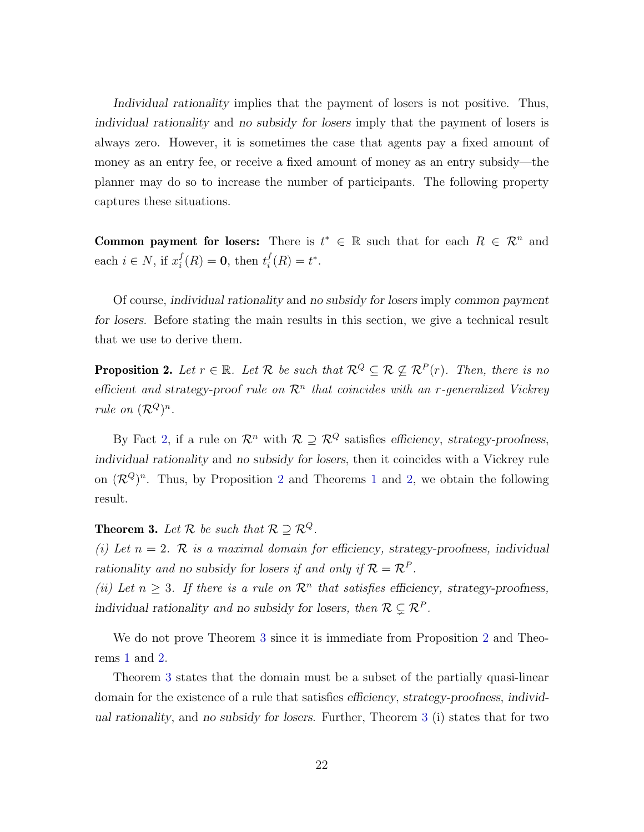Individual rationality implies that the payment of losers is not positive. Thus, individual rationality and no subsidy for losers imply that the payment of losers is always zero. However, it is sometimes the case that agents pay a fixed amount of money as an entry fee, or receive a fixed amount of money as an entry subsidy—the planner may do so to increase the number of participants. The following property captures these situations.

**Common payment for losers:** There is  $t^* \in \mathbb{R}$  such that for each  $R \in \mathbb{R}^n$  and each  $i \in N$ , if  $x_i^f$  $i<sup>f</sup>(R) = 0$ , then  $t<sup>f</sup><sub>i</sub>$  $i^f(R) = t^*$ .

Of course, individual rationality and no subsidy for losers imply common payment for losers. Before stating the main results in this section, we give a technical result that we use to derive them.

<span id="page-22-1"></span>**Proposition 2.** Let  $r \in \mathbb{R}$ . Let  $\mathcal{R}$  be such that  $\mathcal{R}^Q \subseteq \mathcal{R} \nsubseteq \mathcal{R}^P(r)$ . Then, there is no efficient and strategy-proof rule on  $\mathcal{R}^n$  that coincides with an r-generalized Vickrey rule on  $(\mathcal{R}^Q)^n$ .

By Fact [2,](#page-21-1) if a rule on  $\mathcal{R}^n$  with  $\mathcal{R} \supseteq \mathcal{R}^Q$  satisfies efficiency, strategy-proofness, individual rationality and no subsidy for losers, then it coincides with a Vickrey rule on  $(\mathcal{R}^Q)^n$ . Thus, by Proposition [2](#page-22-1) and Theorems [1](#page-17-0) and [2,](#page-19-0) we obtain the following result.

<span id="page-22-0"></span>**Theorem 3.** Let  $\mathcal{R}$  be such that  $\mathcal{R} \supseteq \mathcal{R}^Q$ .

(i) Let  $n = 2$ . R is a maximal domain for efficiency, strategy-proofness, individual rationality and no subsidy for losers if and only if  $\mathcal{R} = \mathcal{R}^P$ .

(ii) Let  $n \geq 3$ . If there is a rule on  $\mathcal{R}^n$  that satisfies efficiency, strategy-proofness, individual rationality and no subsidy for losers, then  $\mathcal{R} \subsetneq \mathcal{R}^P$ .

We do not prove Theorem [3](#page-22-0) since it is immediate from Proposition [2](#page-22-1) and Theorems [1](#page-17-0) and [2.](#page-19-0)

Theorem [3](#page-22-0) states that the domain must be a subset of the partially quasi-linear domain for the existence of a rule that satisfies efficiency, strategy-proofness, individual rationality, and no subsidy for losers. Further, Theorem [3](#page-22-0) (i) states that for two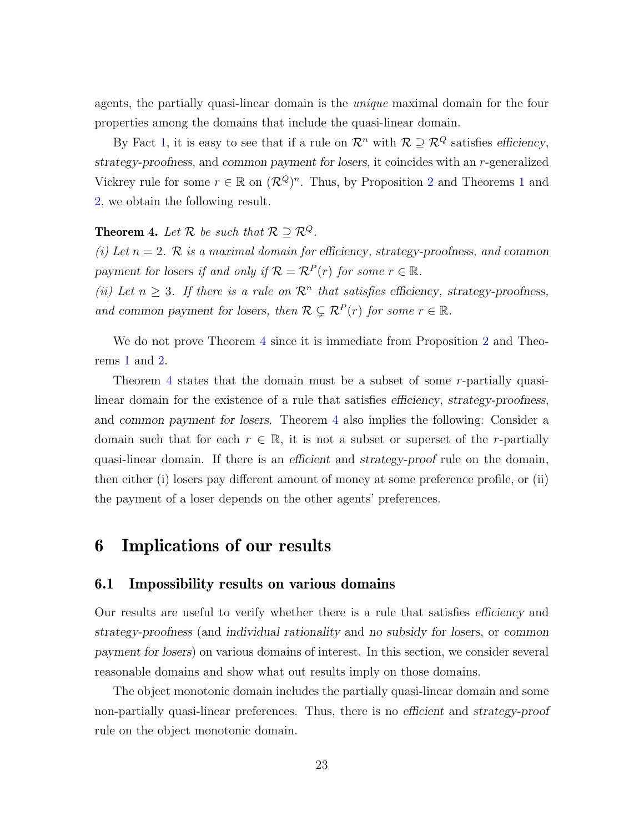agents, the partially quasi-linear domain is the unique maximal domain for the four properties among the domains that include the quasi-linear domain.

By Fact [1,](#page-16-2) it is easy to see that if a rule on  $\mathcal{R}^n$  with  $\mathcal{R} \supseteq \mathcal{R}^Q$  satisfies efficiency, strategy-proofness, and common payment for losers, it coincides with an r-generalized Vickrey rule for some  $r \in \mathbb{R}$  on  $(\mathcal{R}^Q)^n$ . Thus, by Proposition [2](#page-22-1) and Theorems [1](#page-17-0) and [2,](#page-19-0) we obtain the following result.

#### <span id="page-23-0"></span>**Theorem 4.** Let  $\mathcal{R}$  be such that  $\mathcal{R} \supseteq \mathcal{R}^Q$ .

(i) Let  $n = 2$ . R is a maximal domain for efficiency, strategy-proofness, and common payment for losers if and only if  $\mathcal{R} = \mathcal{R}^P(r)$  for some  $r \in \mathbb{R}$ .

(ii) Let  $n \geq 3$ . If there is a rule on  $\mathcal{R}^n$  that satisfies efficiency, strategy-proofness, and common payment for losers, then  $\mathcal{R} \subsetneq \mathcal{R}^P(r)$  for some  $r \in \mathbb{R}$ .

We do not prove Theorem [4](#page-23-0) since it is immediate from Proposition [2](#page-22-1) and Theorems [1](#page-17-0) and [2.](#page-19-0)

Theorem [4](#page-23-0) states that the domain must be a subset of some r-partially quasilinear domain for the existence of a rule that satisfies efficiency, strategy-proofness, and common payment for losers. Theorem [4](#page-23-0) also implies the following: Consider a domain such that for each  $r \in \mathbb{R}$ , it is not a subset or superset of the *r*-partially quasi-linear domain. If there is an efficient and strategy-proof rule on the domain, then either (i) losers pay different amount of money at some preference profile, or (ii) the payment of a loser depends on the other agents' preferences.

## <span id="page-23-1"></span>6 Implications of our results

#### 6.1 Impossibility results on various domains

Our results are useful to verify whether there is a rule that satisfies efficiency and strategy-proofness (and individual rationality and no subsidy for losers, or common payment for losers) on various domains of interest. In this section, we consider several reasonable domains and show what out results imply on those domains.

The object monotonic domain includes the partially quasi-linear domain and some non-partially quasi-linear preferences. Thus, there is no efficient and strategy-proof rule on the object monotonic domain.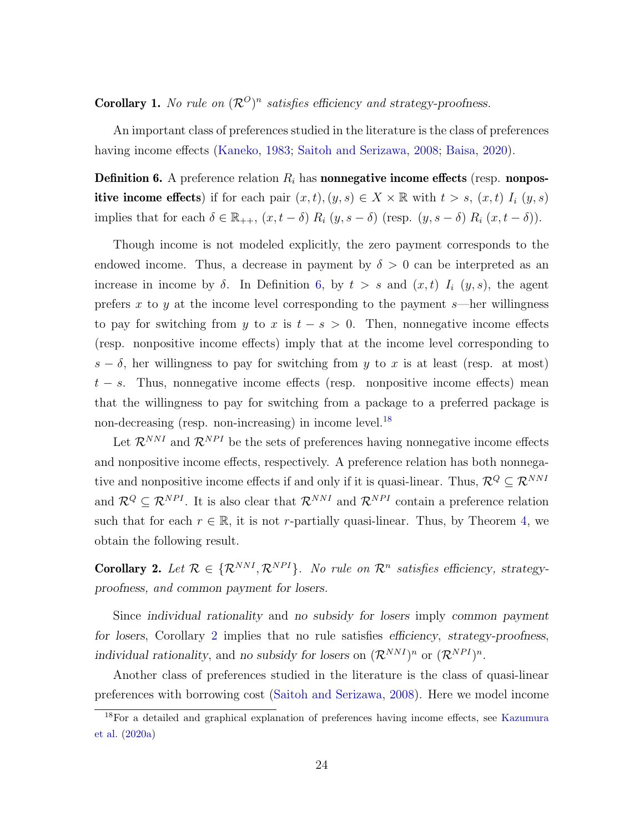<span id="page-24-0"></span>**Corollary 1.** No rule on  $(\mathcal{R}^O)^n$  satisfies efficiency and strategy-proofness.

An important class of preferences studied in the literature is the class of preferences having income effects [\(Kaneko,](#page-79-11) [1983;](#page-79-11) [Saitoh and Serizawa,](#page-81-0) [2008;](#page-81-0) [Baisa,](#page-78-2) [2020\)](#page-78-2).

<span id="page-24-2"></span>**Definition 6.** A preference relation  $R_i$  has **nonnegative income effects** (resp. **nonpos**itive income effects) if for each pair  $(x, t), (y, s) \in X \times \mathbb{R}$  with  $t > s$ ,  $(x, t)$   $I_i (y, s)$ implies that for each  $\delta \in \mathbb{R}_{++}$ ,  $(x, t - \delta) R_i (y, s - \delta)$  (resp.  $(y, s - \delta) R_i (x, t - \delta)$ ).

Though income is not modeled explicitly, the zero payment corresponds to the endowed income. Thus, a decrease in payment by  $\delta > 0$  can be interpreted as an increase in income by  $\delta$ . In Definition [6,](#page-24-2) by  $t > s$  and  $(x, t)$   $I_i$   $(y, s)$ , the agent prefers  $x$  to  $y$  at the income level corresponding to the payment  $s$ —her willingness to pay for switching from y to x is  $t - s > 0$ . Then, nonnegative income effects (resp. nonpositive income effects) imply that at the income level corresponding to  $s - \delta$ , her willingness to pay for switching from y to x is at least (resp. at most)  $t - s$ . Thus, nonnegative income effects (resp. nonpositive income effects) mean that the willingness to pay for switching from a package to a preferred package is non-decreasing (resp. non-increasing) in income level.<sup>[18](#page-24-3)</sup>

Let  $\mathcal{R}^{NNI}$  and  $\mathcal{R}^{NPI}$  be the sets of preferences having nonnegative income effects and nonpositive income effects, respectively. A preference relation has both nonnegative and nonpositive income effects if and only if it is quasi-linear. Thus,  $\mathcal{R}^Q \subseteq \mathcal{R}^{NNI}$ and  $\mathcal{R}^Q \subseteq \mathcal{R}^{NPI}$ . It is also clear that  $\mathcal{R}^{NNI}$  and  $\mathcal{R}^{NPI}$  contain a preference relation such that for each  $r \in \mathbb{R}$ , it is not r-partially quasi-linear. Thus, by Theorem [4,](#page-23-0) we obtain the following result.

<span id="page-24-1"></span>**Corollary 2.** Let  $\mathcal{R} \in \{ \mathcal{R}^{NNI}, \mathcal{R}^{NPI} \}$ . No rule on  $\mathcal{R}^n$  satisfies efficiency, strategyproofness, and common payment for losers.

Since individual rationality and no subsidy for losers imply common payment for losers, Corollary [2](#page-24-1) implies that no rule satisfies efficiency, strategy-proofness, individual rationality, and no subsidy for losers on  $(\mathcal{R}^{NNI})^n$  or  $(\mathcal{R}^{NPI})^n$ .

Another class of preferences studied in the literature is the class of quasi-linear preferences with borrowing cost [\(Saitoh and Serizawa,](#page-81-0) [2008\)](#page-81-0). Here we model income

<span id="page-24-3"></span><sup>18</sup>For a detailed and graphical explanation of preferences having income effects, see [Kazumura](#page-79-10) [et al.](#page-79-10) [\(2020a\)](#page-79-10)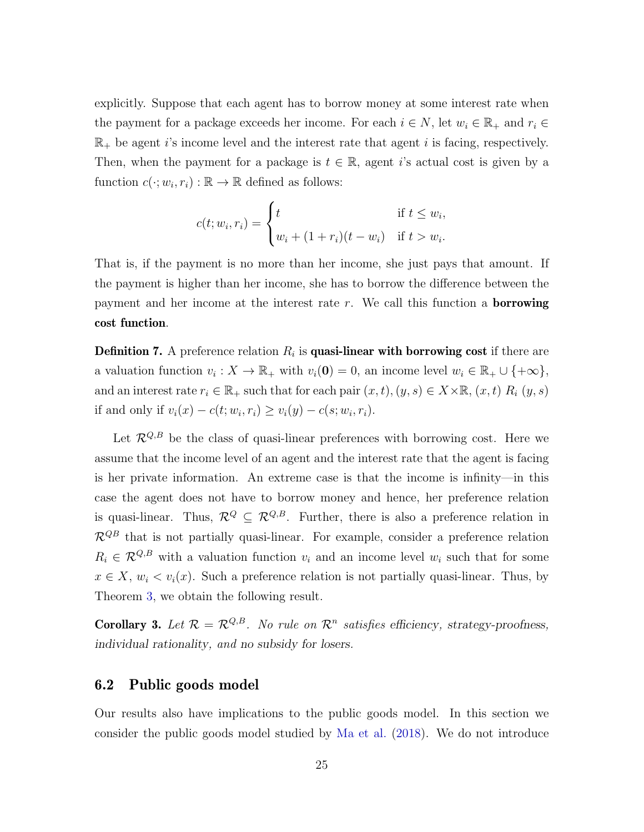explicitly. Suppose that each agent has to borrow money at some interest rate when the payment for a package exceeds her income. For each  $i \in N$ , let  $w_i \in \mathbb{R}_+$  and  $r_i \in$  $\mathbb{R}_+$  be agent i's income level and the interest rate that agent i is facing, respectively. Then, when the payment for a package is  $t \in \mathbb{R}$ , agent i's actual cost is given by a function  $c(\cdot; w_i, r_i) : \mathbb{R} \to \mathbb{R}$  defined as follows:

$$
c(t; w_i, r_i) = \begin{cases} t & \text{if } t \leq w_i, \\ w_i + (1 + r_i)(t - w_i) & \text{if } t > w_i. \end{cases}
$$

That is, if the payment is no more than her income, she just pays that amount. If the payment is higher than her income, she has to borrow the difference between the payment and her income at the interest rate  $r$ . We call this function a **borrowing** cost function.

**Definition 7.** A preference relation  $R_i$  is **quasi-linear with borrowing cost** if there are a valuation function  $v_i: X \to \mathbb{R}_+$  with  $v_i(\mathbf{0}) = 0$ , an income level  $w_i \in \mathbb{R}_+ \cup \{+\infty\},\$ and an interest rate  $r_i \in \mathbb{R}_+$  such that for each pair  $(x, t), (y, s) \in X \times \mathbb{R}, (x, t)$   $R_i (y, s)$ if and only if  $v_i(x) - c(t; w_i, r_i) \ge v_i(y) - c(s; w_i, r_i)$ .

Let  $\mathcal{R}^{Q,B}$  be the class of quasi-linear preferences with borrowing cost. Here we assume that the income level of an agent and the interest rate that the agent is facing is her private information. An extreme case is that the income is infinity—in this case the agent does not have to borrow money and hence, her preference relation is quasi-linear. Thus,  $\mathcal{R}^Q \subseteq \mathcal{R}^{Q,B}$ . Further, there is also a preference relation in  $\mathcal{R}^{QB}$  that is not partially quasi-linear. For example, consider a preference relation  $R_i \in \mathcal{R}^{Q,B}$  with a valuation function  $v_i$  and an income level  $w_i$  such that for some  $x \in X$ ,  $w_i < v_i(x)$ . Such a preference relation is not partially quasi-linear. Thus, by Theorem [3,](#page-22-0) we obtain the following result.

<span id="page-25-0"></span>**Corollary 3.** Let  $\mathcal{R} = \mathcal{R}^{Q,B}$ . No rule on  $\mathcal{R}^n$  satisfies efficiency, strategy-proofness, individual rationality, and no subsidy for losers.

#### 6.2 Public goods model

Our results also have implications to the public goods model. In this section we consider the public goods model studied by [Ma et al.](#page-80-9) [\(2018\)](#page-80-9). We do not introduce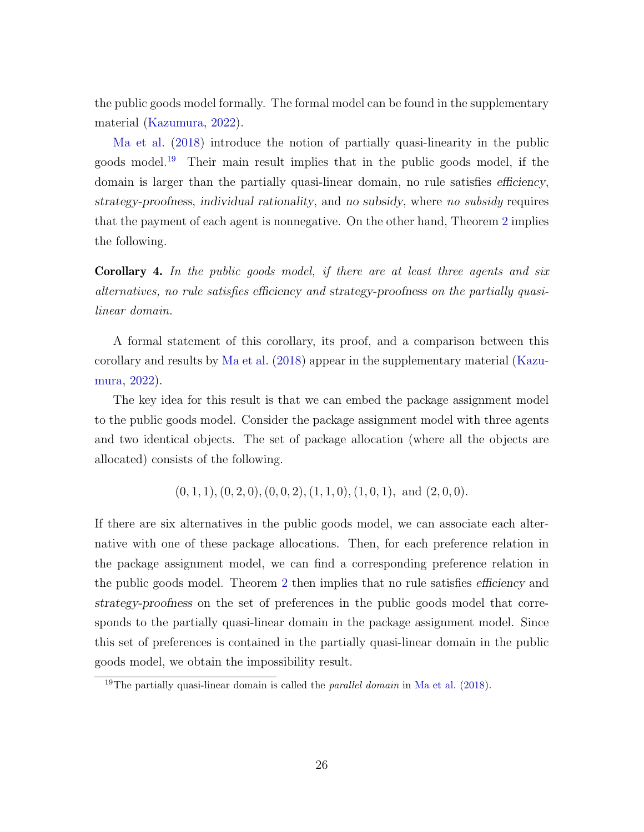the public goods model formally. The formal model can be found in the supplementary material [\(Kazumura,](#page-79-12) [2022\)](#page-79-12).

[Ma et al.](#page-80-9) [\(2018\)](#page-80-9) introduce the notion of partially quasi-linearity in the public goods model.[19](#page-26-1) Their main result implies that in the public goods model, if the domain is larger than the partially quasi-linear domain, no rule satisfies efficiency, strategy-proofness, individual rationality, and no subsidy, where no subsidy requires that the payment of each agent is nonnegative. On the other hand, Theorem [2](#page-19-0) implies the following.

<span id="page-26-0"></span>Corollary 4. In the public goods model, if there are at least three agents and six alternatives, no rule satisfies efficiency and strategy-proofness on the partially quasilinear domain.

A formal statement of this corollary, its proof, and a comparison between this corollary and results by [Ma et al.](#page-80-9) [\(2018\)](#page-80-9) appear in the supplementary material [\(Kazu](#page-79-12)[mura,](#page-79-12) [2022\)](#page-79-12).

The key idea for this result is that we can embed the package assignment model to the public goods model. Consider the package assignment model with three agents and two identical objects. The set of package allocation (where all the objects are allocated) consists of the following.

 $(0, 1, 1), (0, 2, 0), (0, 0, 2), (1, 1, 0), (1, 0, 1),$  and  $(2, 0, 0)$ .

If there are six alternatives in the public goods model, we can associate each alternative with one of these package allocations. Then, for each preference relation in the package assignment model, we can find a corresponding preference relation in the public goods model. Theorem [2](#page-19-0) then implies that no rule satisfies efficiency and strategy-proofness on the set of preferences in the public goods model that corresponds to the partially quasi-linear domain in the package assignment model. Since this set of preferences is contained in the partially quasi-linear domain in the public goods model, we obtain the impossibility result.

<span id="page-26-1"></span><sup>&</sup>lt;sup>19</sup>The partially quasi-linear domain is called the *parallel domain* in [Ma et al.](#page-80-9)  $(2018)$ .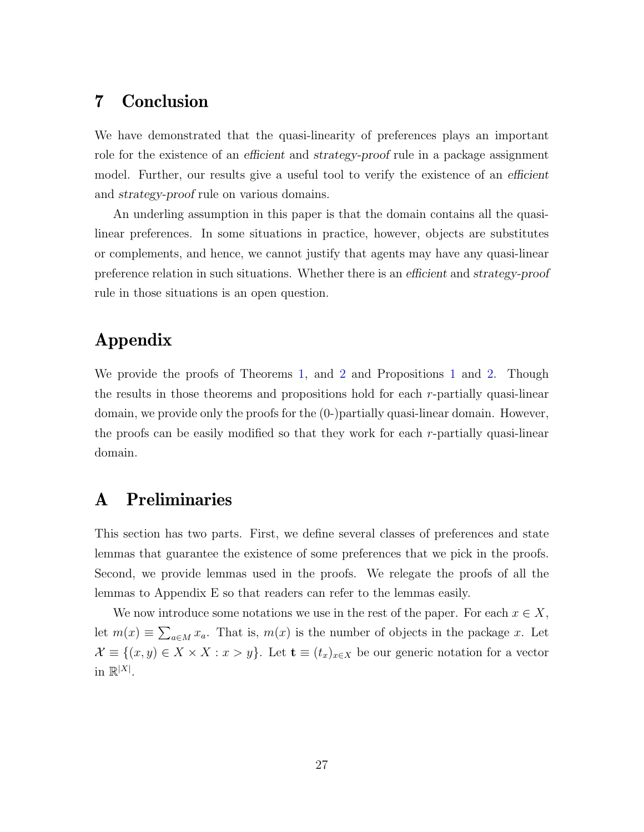# <span id="page-27-0"></span>7 Conclusion

We have demonstrated that the quasi-linearity of preferences plays an important role for the existence of an *efficient* and *strategy-proof* rule in a package assignment model. Further, our results give a useful tool to verify the existence of an efficient and strategy-proof rule on various domains.

An underling assumption in this paper is that the domain contains all the quasilinear preferences. In some situations in practice, however, objects are substitutes or complements, and hence, we cannot justify that agents may have any quasi-linear preference relation in such situations. Whether there is an efficient and strategy-proof rule in those situations is an open question.

# Appendix

We provide the proofs of Theorems [1,](#page-17-0) and [2](#page-19-0) and Propositions [1](#page-18-2) and [2.](#page-22-1) Though the results in those theorems and propositions hold for each r-partially quasi-linear domain, we provide only the proofs for the (0-)partially quasi-linear domain. However, the proofs can be easily modified so that they work for each r-partially quasi-linear domain.

# A Preliminaries

This section has two parts. First, we define several classes of preferences and state lemmas that guarantee the existence of some preferences that we pick in the proofs. Second, we provide lemmas used in the proofs. We relegate the proofs of all the lemmas to Appendix E so that readers can refer to the lemmas easily.

We now introduce some notations we use in the rest of the paper. For each  $x \in X$ , let  $m(x) \equiv \sum_{a \in M} x_a$ . That is,  $m(x)$  is the number of objects in the package x. Let  $\mathcal{X} \equiv \{(x, y) \in X \times X : x > y\}.$  Let  $\mathbf{t} \equiv (t_x)_{x \in X}$  be our generic notation for a vector in  $\mathbb{R}^{|X|}$ .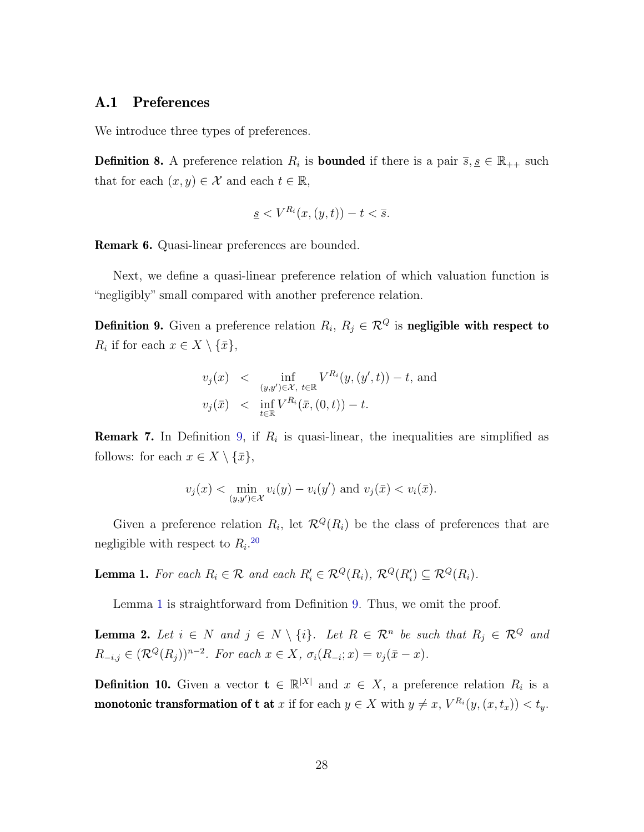#### A.1 Preferences

We introduce three types of preferences.

**Definition 8.** A preference relation  $R_i$  is **bounded** if there is a pair  $\overline{s}, \underline{s} \in \mathbb{R}_{++}$  such that for each  $(x, y) \in \mathcal{X}$  and each  $t \in \mathbb{R}$ ,

$$
\underline{s} < V^{R_i}(x,(y,t)) - t < \overline{s}.
$$

Remark 6. Quasi-linear preferences are bounded.

Next, we define a quasi-linear preference relation of which valuation function is "negligibly" small compared with another preference relation.

<span id="page-28-0"></span>**Definition 9.** Given a preference relation  $R_i, R_j \in \mathcal{R}^Q$  is **negligible with respect to**  $R_i$  if for each  $x \in X \setminus {\overline{x}}$ ,

$$
v_j(x) < \inf_{(y,y') \in \mathcal{X}, t \in \mathbb{R}} V^{R_i}(y, (y', t)) - t, \text{ and}
$$
  

$$
v_j(\bar{x}) < \inf_{t \in \mathbb{R}} V^{R_i}(\bar{x}, (0, t)) - t.
$$

**Remark 7.** In Definition [9,](#page-28-0) if  $R_i$  is quasi-linear, the inequalities are simplified as follows: for each  $x \in X \setminus {\bar{x}}$ ,

$$
v_j(x) < \min_{(y,y') \in \mathcal{X}} v_i(y) - v_i(y')
$$
 and  $v_j(\bar{x}) < v_i(\bar{x})$ .

Given a preference relation  $R_i$ , let  $\mathcal{R}^Q(R_i)$  be the class of preferences that are negligible with respect to  $R_i$ <sup>[20](#page-29-0)</sup>

<span id="page-28-1"></span>**Lemma 1.** For each  $R_i \in \mathcal{R}$  and each  $R'_i \in \mathcal{R}^Q(R_i)$ ,  $\mathcal{R}^Q(R'_i) \subseteq \mathcal{R}^Q(R_i)$ .

Lemma [1](#page-28-1) is straightforward from Definition [9.](#page-28-0) Thus, we omit the proof.

**Lemma 2.** Let  $i \in N$  and  $j \in N \setminus \{i\}$ . Let  $R \in \mathcal{R}^n$  be such that  $R_j \in \mathcal{R}^Q$  and  $R_{-i,j} \in (\mathcal{R}^Q(R_j))^{n-2}$ . For each  $x \in X$ ,  $\sigma_i(R_{-i}; x) = v_j(\bar{x} - x)$ .

<span id="page-28-2"></span>**Definition 10.** Given a vector  $\mathbf{t} \in \mathbb{R}^{|X|}$  and  $x \in X$ , a preference relation  $R_i$  is a **monotonic transformation of t at** x if for each  $y \in X$  with  $y \neq x$ ,  $V^{R_i}(y,(x,t_x)) < t_y$ .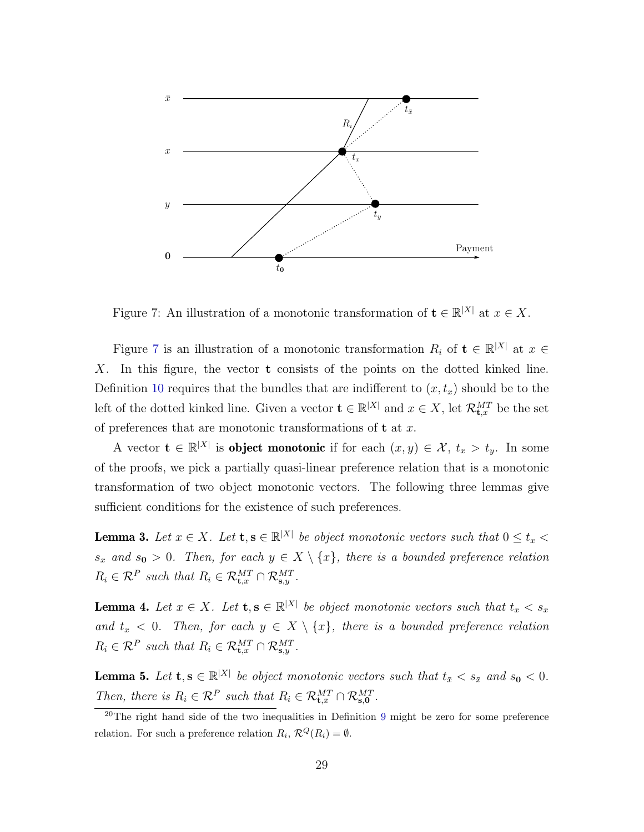

<span id="page-29-1"></span>Figure 7: An illustration of a monotonic transformation of  $\mathbf{t} \in \mathbb{R}^{|X|}$  at  $x \in X$ .

Figure [7](#page-29-1) is an illustration of a monotonic transformation  $R_i$  of  $\mathbf{t} \in \mathbb{R}^{|X|}$  at  $x \in$ X. In this figure, the vector t consists of the points on the dotted kinked line. Definition [10](#page-28-2) requires that the bundles that are indifferent to  $(x, t_x)$  should be to the left of the dotted kinked line. Given a vector  $\mathbf{t} \in \mathbb{R}^{|X|}$  and  $x \in X$ , let  $\mathcal{R}_{\mathbf{t},x}^{MT}$  be the set of preferences that are monotonic transformations of  $t$  at  $x$ .

A vector  $\mathbf{t} \in \mathbb{R}^{|X|}$  is **object monotonic** if for each  $(x, y) \in \mathcal{X}$ ,  $t_x > t_y$ . In some of the proofs, we pick a partially quasi-linear preference relation that is a monotonic transformation of two object monotonic vectors. The following three lemmas give sufficient conditions for the existence of such preferences.

**Lemma 3.** Let  $x \in X$ . Let  $\mathbf{t}, \mathbf{s} \in \mathbb{R}^{|X|}$  be object monotonic vectors such that  $0 \le t_x <$  $s_x$  and  $s_0 > 0$ . Then, for each  $y \in X \setminus \{x\}$ , there is a bounded preference relation  $R_i \in \mathcal{R}^P$  such that  $R_i \in \mathcal{R}_{\mathbf{t},x}^{MT} \cap \mathcal{R}_{\mathbf{s},y}^{MT}$ .

**Lemma 4.** Let  $x \in X$ . Let  $\mathbf{t}, \mathbf{s} \in \mathbb{R}^{|X|}$  be object monotonic vectors such that  $t_x < s_x$ and  $t_x < 0$ . Then, for each  $y \in X \setminus \{x\}$ , there is a bounded preference relation  $R_i \in \mathcal{R}^P$  such that  $R_i \in \mathcal{R}_{\mathbf{t},x}^{MT} \cap \mathcal{R}_{\mathbf{s},y}^{MT}$ .

**Lemma 5.** Let  $\mathbf{t}, \mathbf{s} \in \mathbb{R}^{|X|}$  be object monotonic vectors such that  $t_{\bar{x}} < s_{\bar{x}}$  and  $s_{0} < 0$ . Then, there is  $R_i \in \mathcal{R}^P$  such that  $R_i \in \mathcal{R}_{\mathbf{t}, \bar{x}}^{MT} \cap \mathcal{R}_{\mathbf{s},0}^{MT}$ .

<span id="page-29-0"></span><sup>&</sup>lt;sup>20</sup>The right hand side of the two inequalities in Definition [9](#page-28-0) might be zero for some preference relation. For such a preference relation  $R_i$ ,  $\mathcal{R}^Q(R_i) = \emptyset$ .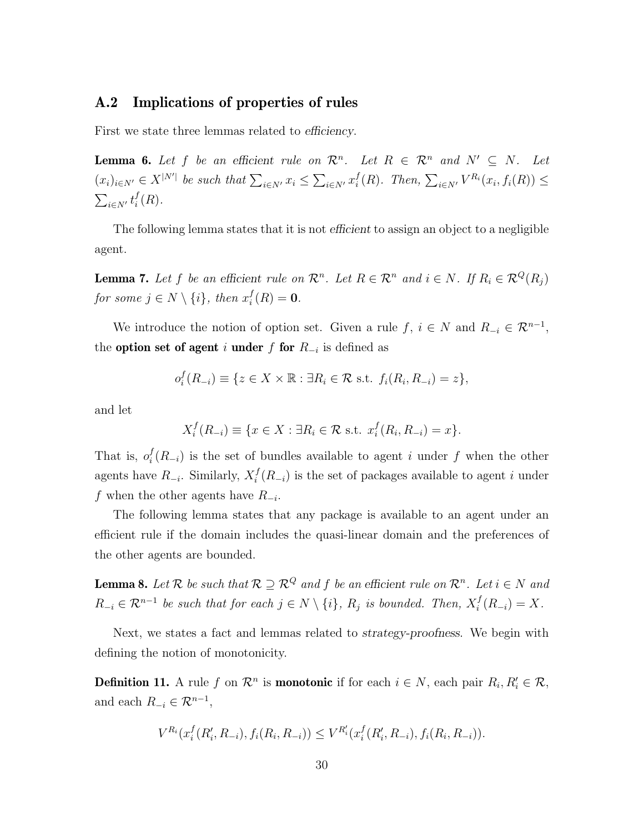#### A.2 Implications of properties of rules

First we state three lemmas related to *efficiency*.

**Lemma 6.** Let f be an efficient rule on  $\mathcal{R}^n$ . Let  $R \in \mathcal{R}^n$  and  $N' \subseteq N$ . Let  $(x_i)_{i \in N'} \in X^{|N'|}$  be such that  $\sum_{i \in N'} x_i \leq \sum_{i \in N'} x_i^f$  $i^f(R)$ . Then,  $\sum_{i \in N'} V^{R_i}(x_i, f_i(R)) \leq$  $\sum_{i\in N'}t_i^f$  $i^{\{t\}}(R)$ .

The following lemma states that it is not efficient to assign an object to a negligible agent.

**Lemma 7.** Let f be an efficient rule on  $\mathcal{R}^n$ . Let  $R \in \mathcal{R}^n$  and  $i \in N$ . If  $R_i \in \mathcal{R}^Q(R_j)$ for some  $j \in N \setminus \{i\}$ , then  $x_i^f$  $i_{i}^{J}(R) = 0.$ 

We introduce the notion of option set. Given a rule f,  $i \in N$  and  $R_{-i} \in \mathcal{R}^{n-1}$ , the **option set of agent** i **under** f for  $R_{-i}$  is defined as

$$
o_i^f(R_{-i}) \equiv \{ z \in X \times \mathbb{R} : \exists R_i \in \mathcal{R} \text{ s.t. } f_i(R_i, R_{-i}) = z \},
$$

and let

$$
X_i^f(R_{-i}) \equiv \{ x \in X : \exists R_i \in \mathcal{R} \text{ s.t. } x_i^f(R_i, R_{-i}) = x \}.
$$

That is,  $o_i^f$  $i(R_{-i})$  is the set of bundles available to agent i under f when the other agents have  $R_{-i}$ . Similarly,  $X_i^f$  $i<sup>t</sup>(R_{-i})$  is the set of packages available to agent i under f when the other agents have  $R_{-i}$ .

The following lemma states that any package is available to an agent under an efficient rule if the domain includes the quasi-linear domain and the preferences of the other agents are bounded.

<span id="page-30-1"></span>**Lemma 8.** Let R be such that  $\mathcal{R} \supseteq \mathcal{R}^Q$  and f be an efficient rule on  $\mathcal{R}^n$ . Let  $i \in N$  and  $R_{-i} \in \mathcal{R}^{n-1}$  be such that for each  $j \in N \setminus \{i\}$ ,  $R_j$  is bounded. Then,  $X_i^f$  $i<sup>J</sup>(R_{-i}) = X.$ 

Next, we states a fact and lemmas related to *strategy-proofness*. We begin with defining the notion of monotonicity.

<span id="page-30-0"></span>**Definition 11.** A rule f on  $\mathcal{R}^n$  is **monotonic** if for each  $i \in N$ , each pair  $R_i, R'_i \in \mathcal{R}$ , and each  $R_{-i} \in \mathcal{R}^{n-1}$ ,

$$
V^{R_i}(x_i^f(R'_i,R_{-i}),f_i(R_i,R_{-i})) \leq V^{R'_i}(x_i^f(R'_i,R_{-i}),f_i(R_i,R_{-i})).
$$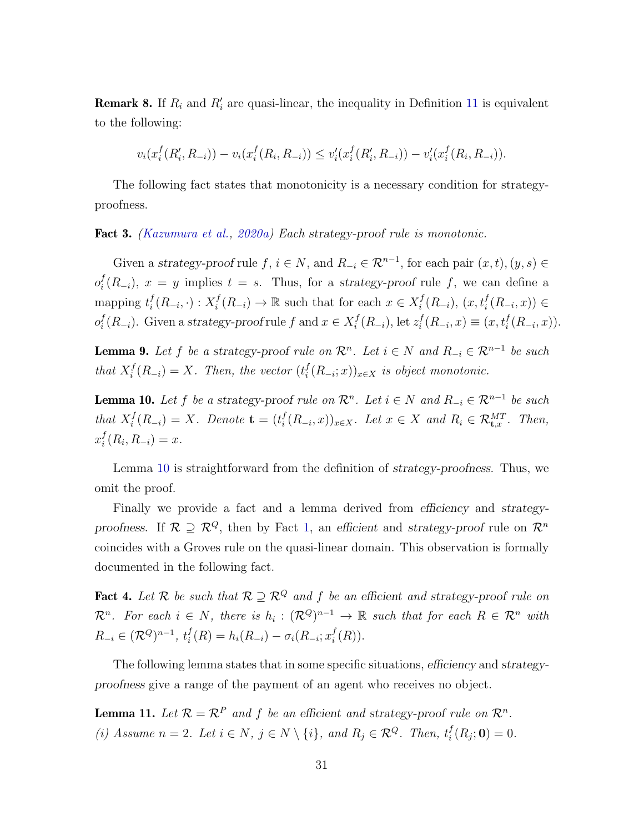**Remark 8.** If  $R_i$  and  $R'_i$  are quasi-linear, the inequality in Definition [11](#page-30-0) is equivalent to the following:

$$
v_i(x_i^f(R'_i, R_{-i})) - v_i(x_i^f(R_i, R_{-i})) \le v_i'(x_i^f(R'_i, R_{-i})) - v_i'(x_i^f(R_i, R_{-i})).
$$

The following fact states that monotonicity is a necessary condition for strategyproofness.

Fact 3. [\(Kazumura et al.,](#page-79-10) [2020a\)](#page-79-10) Each strategy-proof rule is monotonic.

Given a strategy-proof rule f,  $i \in N$ , and  $R_{-i} \in \mathcal{R}^{n-1}$ , for each pair  $(x, t), (y, s) \in$  $o_i^f$  $i(R_{-i})$ ,  $x = y$  implies  $t = s$ . Thus, for a strategy-proof rule f, we can define a mapping  $t_i^f$  $i^f(R_{-i},\cdot):X_i^f$  $i<sup>f</sup>(R_{-i}) \to \mathbb{R}$  such that for each  $x \in X_i^f$  $i^f(R_{-i}), (x, t_i^f(R_{-i}, x)) \in$  $o_i^f$  $i^f_i(R_{-i})$ . Given a strategy-proof rule f and  $x \in X_i^f$  $i^f(R_{-i}), \text{let } z_i^f$  $i^f(R_{-i}, x) \equiv (x, t_i^f(R_{-i}, x)).$ 

**Lemma 9.** Let f be a strategy-proof rule on  $\mathcal{R}^n$ . Let  $i \in N$  and  $R_{-i} \in \mathcal{R}^{n-1}$  be such that  $X_i^f$  $i<sup>f</sup>(R_{-i}) = X$ . Then, the vector  $(t<sup>f</sup><sub>i</sub>)$  $i(R_{-i};x))_{x\in X}$  is object monotonic.

<span id="page-31-0"></span>**Lemma 10.** Let f be a strategy-proof rule on  $\mathcal{R}^n$ . Let  $i \in N$  and  $R_{-i} \in \mathcal{R}^{n-1}$  be such that  $X_i^f$  $i<sup>f</sup>(R_{-i}) = X$ . Denote  $\mathbf{t} = (t_i^f)$  $\mathcal{H}_i^f(R_{-i},x))_{x\in X}$ . Let  $x \in X$  and  $R_i \in \mathcal{R}_{t,x}^{MT}$ . Then,  $x_i^f$  $i(R_i, R_{-i}) = x.$ 

Lemma [10](#page-31-0) is straightforward from the definition of strategy-proofness. Thus, we omit the proof.

Finally we provide a fact and a lemma derived from efficiency and strategyproofness. If  $\mathcal{R} \supseteq \mathcal{R}^Q$ , then by Fact [1,](#page-16-2) an efficient and strategy-proof rule on  $\mathcal{R}^n$ coincides with a Groves rule on the quasi-linear domain. This observation is formally documented in the following fact.

<span id="page-31-2"></span>**Fact 4.** Let R be such that  $\mathcal{R} \supseteq \mathcal{R}^Q$  and f be an efficient and strategy-proof rule on  $\mathcal{R}^n$ . For each  $i \in N$ , there is  $h_i: (\mathcal{R}^Q)^{n-1} \to \mathbb{R}$  such that for each  $R \in \mathcal{R}^n$  with  $R_{-i} \in (\mathcal{R}^Q)^{n-1}, t_i^f$  $i<sup>f</sup>(R) = h<sub>i</sub>(R<sub>-i</sub>) - \sigma<sub>i</sub>(R<sub>-i</sub>; x<sup>f</sup><sub>i</sub>$  $i^{\{t\}}(R)$ ).

The following lemma states that in some specific situations, efficiency and strategyproofness give a range of the payment of an agent who receives no object.

<span id="page-31-1"></span>**Lemma 11.** Let  $\mathcal{R} = \mathcal{R}^P$  and f be an efficient and strategy-proof rule on  $\mathcal{R}^n$ . (i) Assume  $n = 2$ . Let  $i \in N$ ,  $j \in N \setminus \{i\}$ , and  $R_j \in \mathcal{R}^Q$ . Then,  $t_i^f$  $i_{i}^{J}(R_{j};\mathbf{0})=0.$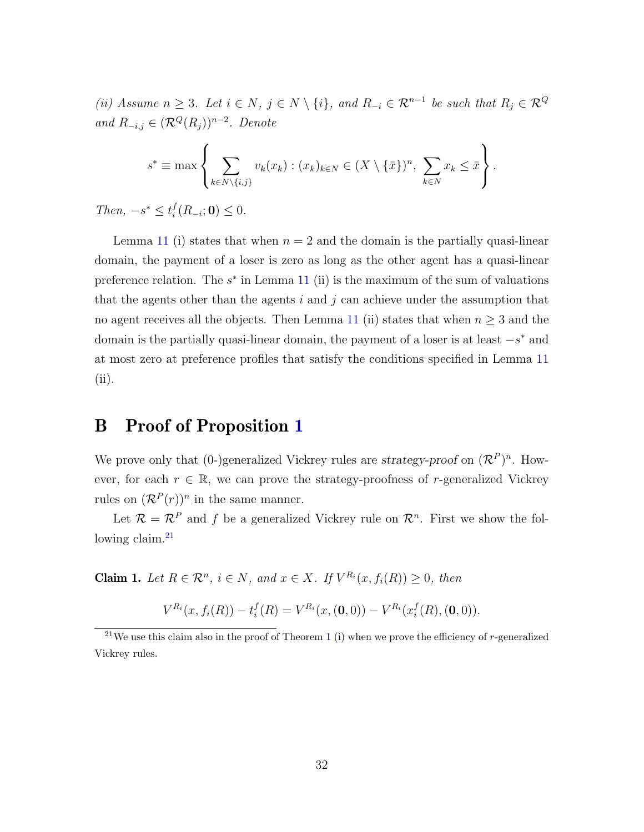(ii) Assume  $n \geq 3$ . Let  $i \in N$ ,  $j \in N \setminus \{i\}$ , and  $R_{-i} \in \mathcal{R}^{n-1}$  be such that  $R_j \in \mathcal{R}^Q$ and  $R_{-i,j} \in (\mathcal{R}^Q(R_j))^{n-2}$ . Denote

$$
s^* \equiv \max \left\{ \sum_{k \in N \setminus \{i,j\}} v_k(x_k) : (x_k)_{k \in N} \in (X \setminus \{\bar{x}\})^n, \sum_{k \in N} x_k \leq \bar{x} \right\}.
$$

Then,  $-s^* \leq t_i^f$  $i_{i}^{J}(R_{-i};\mathbf{0}) \leq 0.$ 

Lemma [11](#page-31-1) (i) states that when  $n = 2$  and the domain is the partially quasi-linear domain, the payment of a loser is zero as long as the other agent has a quasi-linear preference relation. The  $s^*$  in Lemma [11](#page-31-1) (ii) is the maximum of the sum of valuations that the agents other than the agents i and j can achieve under the assumption that no agent receives all the objects. Then Lemma [11](#page-31-1) (ii) states that when  $n \geq 3$  and the domain is the partially quasi-linear domain, the payment of a loser is at least  $-s^*$  and at most zero at preference profiles that satisfy the conditions specified in Lemma [11](#page-31-1) (ii).

### B Proof of Proposition [1](#page-18-2)

We prove only that (0-)generalized Vickrey rules are strategy-proof on  $(\mathcal{R}^P)^n$ . However, for each  $r \in \mathbb{R}$ , we can prove the strategy-proofness of r-generalized Vickrey rules on  $(\mathcal{R}^P(r))^n$  in the same manner.

Let  $\mathcal{R} = \mathcal{R}^P$  and f be a generalized Vickrey rule on  $\mathcal{R}^n$ . First we show the following claim. $^{21}$  $^{21}$  $^{21}$ 

**Claim 1.** Let  $R \in \mathbb{R}^n$ ,  $i \in N$ , and  $x \in X$ . If  $V^{R_i}(x, f_i(R)) \geq 0$ , then

$$
V^{R_i}(x, f_i(R)) - t_i^f(R) = V^{R_i}(x, (0,0)) - V^{R_i}(x_i^f(R), (0,0)).
$$

<span id="page-32-0"></span><sup>&</sup>lt;sup>2[1](#page-17-0)</sup>We use this claim also in the proof of Theorem 1 (i) when we prove the efficiency of r-generalized Vickrey rules.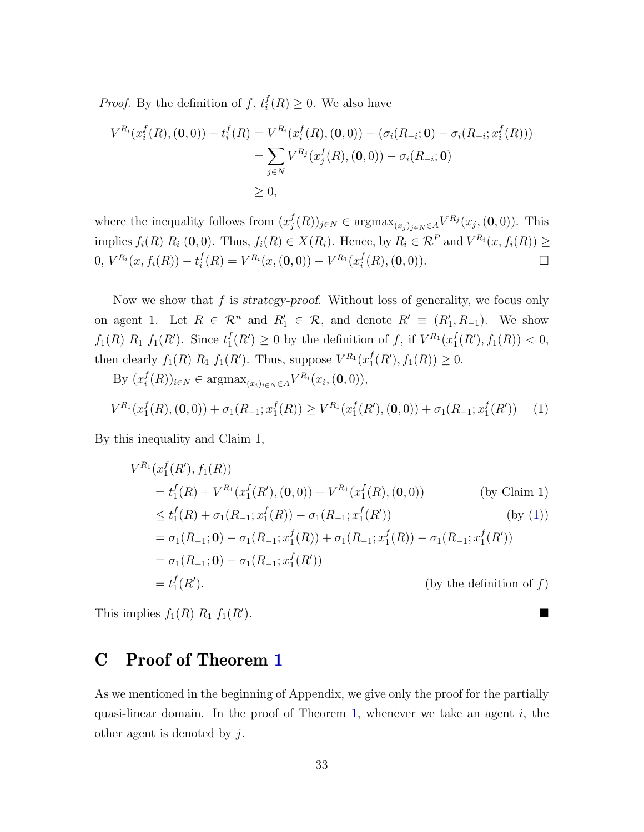*Proof.* By the definition of  $f, t_i^f$  $i(R) \geq 0$ . We also have

$$
V^{R_i}(x_i^f(R), (\mathbf{0}, 0)) - t_i^f(R) = V^{R_i}(x_i^f(R), (\mathbf{0}, 0)) - (\sigma_i(R_{-i}; \mathbf{0}) - \sigma_i(R_{-i}; x_i^f(R)))
$$
  
= 
$$
\sum_{j \in N} V^{R_j}(x_j^f(R), (\mathbf{0}, 0)) - \sigma_i(R_{-i}; \mathbf{0})
$$
  

$$
\geq 0,
$$

where the inequality follows from  $(x_i^f)$  $({}^{f}_{j}(R))_{j\in N} \in \text{argmax}_{(x_{j})_{j\in N} \in A} V^{R_{j}}(x_{j},(\mathbf{0},0)).$  This implies  $f_i(R) R_i (0,0)$ . Thus,  $f_i(R) \in X(R_i)$ . Hence, by  $R_i \in \mathcal{R}^P$  and  $V^{R_i}(x, f_i(R)) \geq$  $0, V^{R_i}(x, f_i(R)) - t_i^f$  $i_I^f(R) = V^{R_i}(x, (0, 0)) - V^{R_1}(x_i^f)$  $\int_{i}^{f}(R), (0, 0)).$ 

Now we show that f is strategy-proof. Without loss of generality, we focus only on agent 1. Let  $R \in \mathcal{R}^n$  and  $R'_1 \in \mathcal{R}$ , and denote  $R' \equiv (R'_1, R_{-1})$ . We show  $f_1(R) R_1 f_1(R')$ . Since  $t_1^f$  $f_1(R') \geq 0$  by the definition of f, if  $V^{R_1}(x_1^f)$  $f_1(R'), f_1(R)) < 0,$ then clearly  $f_1(R) R_1 f_1(R')$ . Thus, suppose  $V^{R_1}(x_1^f)$  $_{1}^{f}(R'), f_{1}(R)) \geq 0.$ 

By 
$$
(x_i^f(R))_{i \in N} \in \operatorname{argmax}_{(x_i)_{i \in N} \in A} V^{R_i}(x_i, (\mathbf{0}, 0)),
$$
  
\n $V^{R_1}(x_1^f(R), (\mathbf{0}, 0)) + \sigma_1(R_{-1}; x_1^f(R)) \geq V^{R_1}(x_1^f(R'), (\mathbf{0}, 0)) + \sigma_1(R_{-1}; x_1^f(R'))$  (1)

By this inequality and Claim 1,

<span id="page-33-0"></span>
$$
V^{R_1}(x_1^f(R'), f_1(R))
$$
  
=  $t_1^f(R) + V^{R_1}(x_1^f(R'), (0,0)) - V^{R_1}(x_1^f(R), (0,0))$  (by Claim 1)  
 $\leq t_1^f(R) + \sigma_1(R_{-1}; x_1^f(R)) - \sigma_1(R_{-1}; x_1^f(R'))$  (by (1))  
=  $\sigma_1(R_{-1}; \mathbf{0}) - \sigma_1(R_{-1}; x_1^f(R)) + \sigma_1(R_{-1}; x_1^f(R)) - \sigma_1(R_{-1}; x_1^f(R'))$   
=  $\sigma_1(R_{-1}; \mathbf{0}) - \sigma_1(R_{-1}; x_1^f(R'))$   
=  $t_1^f(R').$  (by the definition of  $f$ )

This implies  $f_1(R) R_1 f_1(R)$ . ).

# C Proof of Theorem [1](#page-17-0)

As we mentioned in the beginning of Appendix, we give only the proof for the partially quasi-linear domain. In the proof of Theorem [1,](#page-17-0) whenever we take an agent  $i$ , the other agent is denoted by j.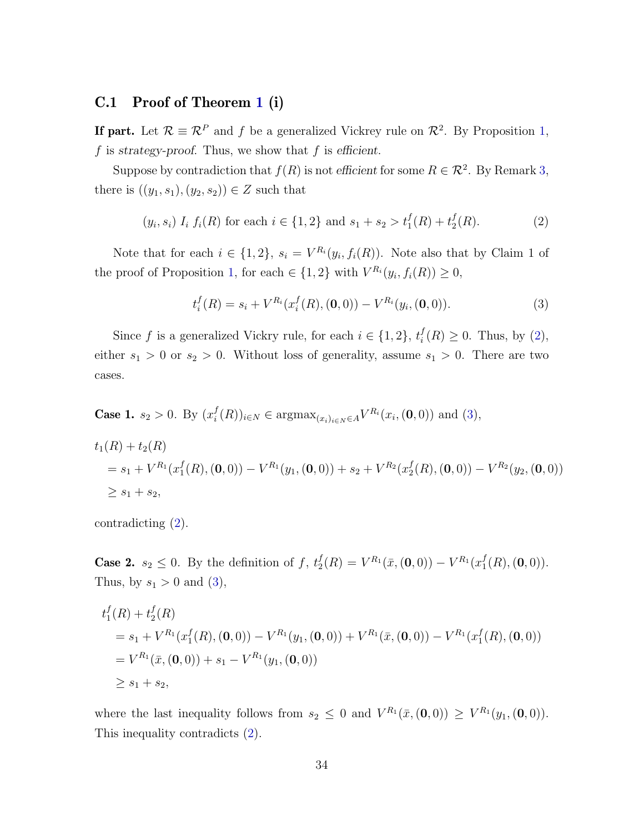#### C.1 Proof of Theorem [1](#page-17-0) (i)

**If part.** Let  $\mathcal{R} \equiv \mathcal{R}^P$  and f be a generalized Vickrey rule on  $\mathcal{R}^2$ . By Proposition [1,](#page-18-2) f is strategy-proof. Thus, we show that  $f$  is efficient.

Suppose by contradiction that  $f(R)$  is not efficient for some  $R \in \mathcal{R}^2$ . By Remark [3,](#page-13-2) there is  $((y_1, s_1), (y_2, s_2)) \in Z$  such that

<span id="page-34-0"></span>
$$
(y_i, s_i) I_i f_i(R)
$$
 for each  $i \in \{1, 2\}$  and  $s_1 + s_2 > t_1^f(R) + t_2^f(R)$ . (2)

Note that for each  $i \in \{1,2\}$ ,  $s_i = V^{R_i}(y_i, f_i(R))$ . Note also that by Claim 1 of the proof of Proposition [1,](#page-18-2) for each  $\in \{1,2\}$  with  $V^{R_i}(y_i, f_i(R)) \geq 0$ ,

<span id="page-34-1"></span>
$$
t_i^f(R) = s_i + V^{R_i}(x_i^f(R), (\mathbf{0}, 0)) - V^{R_i}(y_i, (\mathbf{0}, 0)).
$$
\n(3)

Since f is a generalized Vickry rule, for each  $i \in \{1,2\}, t_i^f$  $i<sup>J</sup>(R) \geq 0$ . Thus, by [\(2\)](#page-34-0), either  $s_1 > 0$  or  $s_2 > 0$ . Without loss of generality, assume  $s_1 > 0$ . There are two cases.

**Case 1.** 
$$
s_2 > 0
$$
. By  $(x_i^f(R))_{i \in N} \in \text{argmax}_{(x_i)_{i \in N} \in A} V^{R_i}(x_i, (0,0))$  and (3),

$$
t_1(R) + t_2(R)
$$
  
=  $s_1 + V^{R_1}(x_1^f(R), (0,0)) - V^{R_1}(y_1, (0,0)) + s_2 + V^{R_2}(x_2^f(R), (0,0)) - V^{R_2}(y_2, (0,0))$   
 $\ge s_1 + s_2,$ 

contradicting [\(2\)](#page-34-0).

**Case 2.**  $s_2 \leq 0$ . By the definition of f,  $t_2^f$  $\chi_2^f(R)=V^{R_1}(\bar{x}, (\mathbf{0}, 0)) - V^{R_1}(x_1^f)$  $_{1}^{J}(R), (0, 0)).$ Thus, by  $s_1 > 0$  and [\(3\)](#page-34-1),

$$
t_1^f(R) + t_2^f(R)
$$
  
=  $s_1 + V^{R_1}(x_1^f(R), (0,0)) - V^{R_1}(y_1, (0,0)) + V^{R_1}(\bar{x}, (0,0)) - V^{R_1}(x_1^f(R), (0,0))$   
=  $V^{R_1}(\bar{x}, (0,0)) + s_1 - V^{R_1}(y_1, (0,0))$   
 $\geq s_1 + s_2$ ,

where the last inequality follows from  $s_2 \leq 0$  and  $V^{R_1}(\bar{x}, (\mathbf{0}, 0)) \geq V^{R_1}(y_1, (\mathbf{0}, 0)).$ This inequality contradicts [\(2\)](#page-34-0).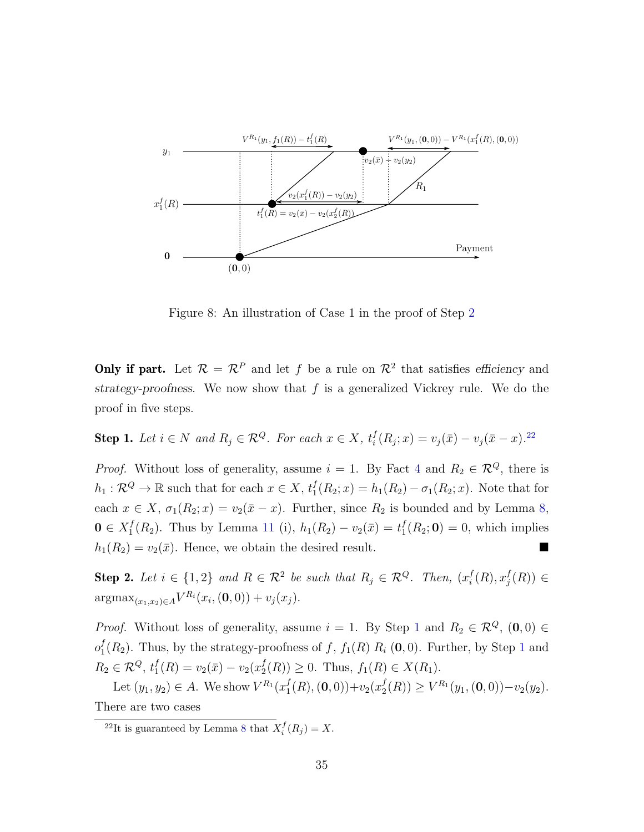

Figure 8: An illustration of Case 1 in the proof of Step [2](#page-35-0)

**Only if part.** Let  $\mathcal{R} = \mathcal{R}^P$  and let f be a rule on  $\mathcal{R}^2$  that satisfies efficiency and strategy-proofness. We now show that  $f$  is a generalized Vickrey rule. We do the proof in five steps.

<span id="page-35-2"></span>**Step 1.** Let 
$$
i \in N
$$
 and  $R_j \in \mathbb{R}^Q$ . For each  $x \in X$ ,  $t_i^f(R_j; x) = v_j(\bar{x}) - v_j(\bar{x} - x)$ .<sup>22</sup>

*Proof.* Without loss of generality, assume  $i = 1$ . By Fact [4](#page-31-2) and  $R_2 \in \mathcal{R}^Q$ , there is  $h_1: \mathcal{R}^Q \to \mathbb{R}$  such that for each  $x \in X$ ,  $t_1^f$  $j_1^f(R_2; x) = h_1(R_2) - \sigma_1(R_2; x)$ . Note that for each  $x \in X$ ,  $\sigma_1(R_2; x) = v_2(\bar{x} - x)$ . Further, since  $R_2$  is bounded and by Lemma [8,](#page-30-1)  $\mathbf{0} \in X_1^f$  $j_1^f(R_2)$ . Thus by Lemma [11](#page-31-1) (i),  $h_1(R_2) - v_2(\bar{x}) = t_1^f$  $I_1^J(R_2; 0) = 0$ , which implies  $h_1(R_2) = v_2(\bar{x})$ . Hence, we obtain the desired result.

<span id="page-35-0"></span>**Step 2.** Let  $i \in \{1,2\}$  and  $R \in \mathcal{R}^2$  be such that  $R_j \in \mathcal{R}^Q$ . Then,  $(x_i^f)$  $_i^f(R), x_j^f$  $j\atop j(R)) \in$  $\operatorname{argmax}_{(x_1,x_2)\in A} V^{R_i}(x_i,(\mathbf{0},0)) + v_j(x_j).$ 

*Proof.* Without loss of generality, assume  $i = 1$  $i = 1$ . By Step 1 and  $R_2 \in \mathcal{R}^Q$ ,  $(0, 0) \in$  $o_1^f$  $_1^f(R_2)$  $_1^f(R_2)$  $_1^f(R_2)$ . Thus, by the strategy-proofness of f,  $f_1(R)$   $R_i$  (0,0). Further, by Step 1 and  $R_2 \in \mathcal{R}^Q$ ,  $t_1^f$  $j_1^f(R) = v_2(\bar{x}) - v_2(x_2^f)$  $L_2^f(R)$   $\geq$  0. Thus,  $f_1(R) \in X(R_1)$ .

Let  $(y_1, y_2) \in A$ . We show  $V^{R_1}(x_1^f)$  $_1^f(R), (0, 0)) + v_2(x_2^f)$  $y_2^f(R)$   $\geq V^{R_1}(y_1, (0, 0)) - v_2(y_2).$ There are two cases

<span id="page-35-1"></span><sup>&</sup>lt;sup>22</sup>It is guaranteed by Lemma [8](#page-30-1) that  $X_i^f(R_j) = X$ .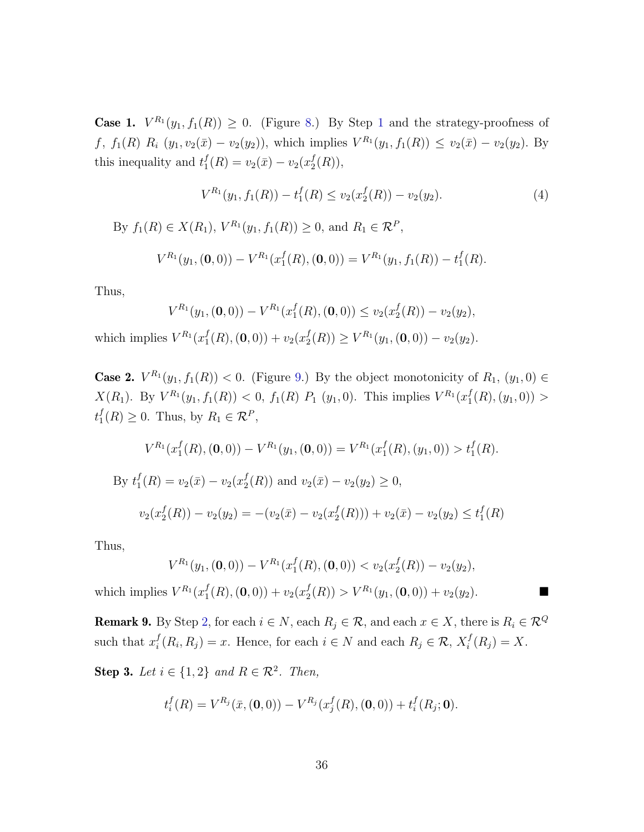**Case [1](#page-35-1).**  $V^{R_1}(y_1, f_1(R)) \geq 0$ . (Figure [8.](#page-35-0)) By Step 1 and the strategy-proofness of  $f, f_1(R) R_i (y_1, v_2(\bar{x}) - v_2(y_2))$ , which implies  $V^{R_1}(y_1, f_1(R)) \le v_2(\bar{x}) - v_2(y_2)$ . By this inequality and  $t_1^f$  $j_1^f(R) = v_2(\bar{x}) - v_2(x_2^f)$  $i_2^{\{\tau\}}(R)),$ 

$$
V^{R_1}(y_1, f_1(R)) - t_1^f(R) \le v_2(x_2^f(R)) - v_2(y_2). \tag{4}
$$

By  $f_1(R) \in X(R_1)$ ,  $V^{R_1}(y_1, f_1(R)) \ge 0$ , and  $R_1 \in \mathcal{R}^P$ ,

$$
V^{R_1}(y_1, (\mathbf{0},0)) - V^{R_1}(x_1^f(R), (\mathbf{0},0)) = V^{R_1}(y_1, f_1(R)) - t_1^f(R).
$$

Thus,

$$
V^{R_1}(y_1, (\mathbf{0},0)) - V^{R_1}(x_1^f(R), (\mathbf{0},0)) \le v_2(x_2^f(R)) - v_2(y_2),
$$

which implies  $V^{R_1}(x_1^f)$  $j_1^f(R), (0,0)) + v_2(x_2^f)$  $Z_2^f(R)$   $\geq V^{R_1}(y_1, (\mathbf{0}, 0)) - v_2(y_2).$ 

**Case 2.**  $V^{R_1}(y_1, f_1(R)) < 0$ . (Figure [9.](#page-37-0)) By the object monotonicity of  $R_1$ ,  $(y_1, 0) \in$  $X(R_1)$ . By  $V^{R_1}(y_1, f_1(R)) < 0$ ,  $f_1(R)$   $P_1(y_1, 0)$ . This implies  $V^{R_1}(x_1^f)$  $_{1}^{f}(R),(y_{1},0))$  >  $t_1^f$  $I_1^f(R) \geq 0$ . Thus, by  $R_1 \in \mathcal{R}^P$ ,

$$
V^{R_1}(x_1^f(R), (\mathbf{0}, 0)) - V^{R_1}(y_1, (\mathbf{0}, 0)) = V^{R_1}(x_1^f(R), (y_1, 0)) > t_1^f(R).
$$
  
By  $t_1^f(R) = v_2(\bar{x}) - v_2(x_2^f(R))$  and  $v_2(\bar{x}) - v_2(y_2) \ge 0$ ,  

$$
v_2(x_2^f(R)) - v_2(y_2) = -(v_2(\bar{x}) - v_2(x_2^f(R))) + v_2(\bar{x}) - v_2(y_2) \le t_1^f(R)
$$

Thus,

$$
V^{R_1}(y_1, (\mathbf{0},0)) - V^{R_1}(x_1^f(R), (\mathbf{0},0)) < v_2(x_2^f(R)) - v_2(y_2),
$$

which implies  $V^{R_1}(x_1^f)$  $j_1^f(R), (0,0)) + v_2(x_2^f)$  $Z_2^f(R) > V^{R_1}(y_1, (\mathbf{0}, 0)) + v_2(y_2).$ 

<span id="page-36-0"></span>**Remark 9.** By Step [2,](#page-35-2) for each  $i \in N$ , each  $R_j \in \mathcal{R}$ , and each  $x \in X$ , there is  $R_i \in \mathcal{R}^Q$ such that  $x_i^f$  $i^f_i(R_i, R_j) = x$ . Hence, for each  $i \in N$  and each  $R_j \in \mathcal{R}$ ,  $X_i^f$  $i_{i}^{J}(R_{j}) = X.$ 

<span id="page-36-1"></span>Step 3. Let  $i \in \{1,2\}$  and  $R \in \mathcal{R}^2$ . Then,

$$
t_i^f(R) = V^{R_j}(\bar{x}, (\mathbf{0}, 0)) - V^{R_j}(x_j^f(R), (\mathbf{0}, 0)) + t_i^f(R_j; \mathbf{0}).
$$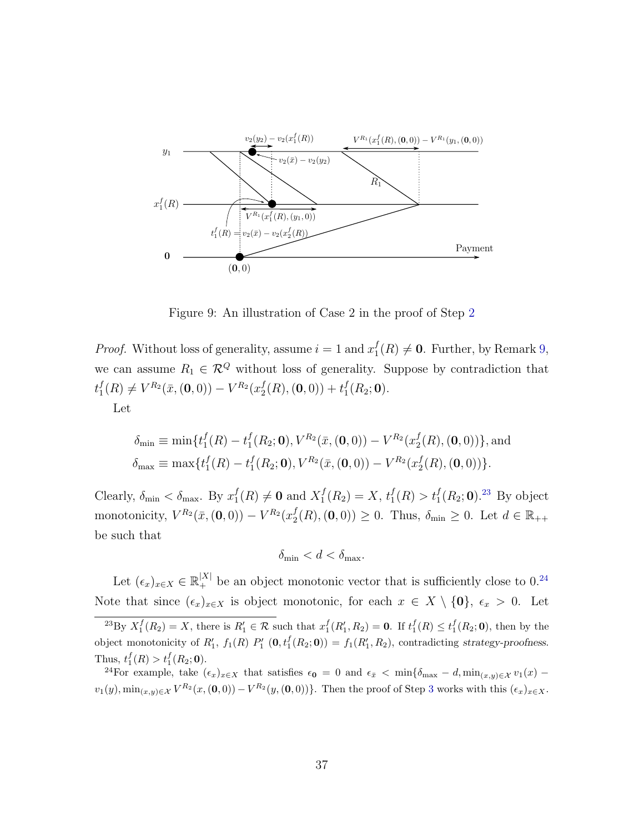

<span id="page-37-0"></span>Figure 9: An illustration of Case 2 in the proof of Step [2](#page-35-2)

*Proof.* Without loss of generality, assume  $i = 1$  and  $x_1^f$  $I_1(R) \neq 0$ . Further, by Remark [9,](#page-36-0) we can assume  $R_1 \in \mathcal{R}^Q$  without loss of generality. Suppose by contradiction that  $t_1^f$  $J_1^f(R) \neq V^{R_2}(\bar{x},(0,0)) - V^{R_2}(x_2^f)$  $_2^f(R), (0, 0)) + t_1^f$  $I_1^J(R_2; 0)$ . Let

$$
\delta_{\min} \equiv \min \{ t_1^f(R) - t_1^f(R_2; \mathbf{0}), V^{R_2}(\bar{x}, (\mathbf{0}, 0)) - V^{R_2}(x_2^f(R), (\mathbf{0}, 0)) \}, \text{and}
$$
  

$$
\delta_{\max} \equiv \max \{ t_1^f(R) - t_1^f(R_2; \mathbf{0}), V^{R_2}(\bar{x}, (\mathbf{0}, 0)) - V^{R_2}(x_2^f(R), (\mathbf{0}, 0)) \}.
$$

Clearly,  $\delta_{\min} < \delta_{\max}$ . By  $x_1^f$  $f_1(R) \neq \mathbf{0}$  and  $X_1^f$  $f_1^f(R_2) = X, t_1^f$  $t_1^f(R) > t_1^f(R_2; 0).^{23}$  $t_1^f(R) > t_1^f(R_2; 0).^{23}$  $t_1^f(R) > t_1^f(R_2; 0).^{23}$  By object monotonicity,  $V^{R_2}(\bar{x}, (\mathbf{0}, 0)) - V^{R_2}(x_2^f)$  $\mathcal{L}_2^f(R), (0, 0) \geq 0$ . Thus,  $\delta_{\min} \geq 0$ . Let  $d \in \mathbb{R}_{++}$ be such that

$$
\delta_{\min} < d < \delta_{\max}.
$$

Let  $(\epsilon_x)_{x \in X} \in \mathbb{R}_+^{|X|}$  be an object monotonic vector that is sufficiently close to 0.<sup>[24](#page-37-2)</sup> Note that since  $(\epsilon_x)_{x\in X}$  is object monotonic, for each  $x \in X \setminus \{0\}$ ,  $\epsilon_x > 0$ . Let

<span id="page-37-1"></span><sup>&</sup>lt;sup>23</sup>By  $X_1^f(R_2) = X$ , there is  $R'_1 \in \mathcal{R}$  such that  $x_1^f(R'_1, R_2) = 0$ . If  $t_1^f(R) \le t_1^f(R_2; 0)$ , then by the object monotonicity of  $R'_1$ ,  $f_1(R)$   $P'_1$   $(0, t_1^f(R_2; 0)) = f_1(R'_1, R_2)$ , contradicting strategy-proofness. Thus,  $t_1^f(R) > t_1^f(R_2; 0)$ .

<span id="page-37-2"></span><sup>&</sup>lt;sup>24</sup>For example, take  $(\epsilon_x)_{x\in X}$  that satisfies  $\epsilon_0 = 0$  and  $\epsilon_{\bar{x}} < \min\{\delta_{\max} - d, \min_{(x,y)\in X} v_1(x) - d\}$  $v_1(y), \min_{(x,y)\in\mathcal{X}} V^{R_2}(x,(0,0)) - V^{R_2}(y,(0,0))\}.$  Then the proof of Step [3](#page-36-1) works with this  $(\epsilon_x)_{x\in\mathcal{X}}$ .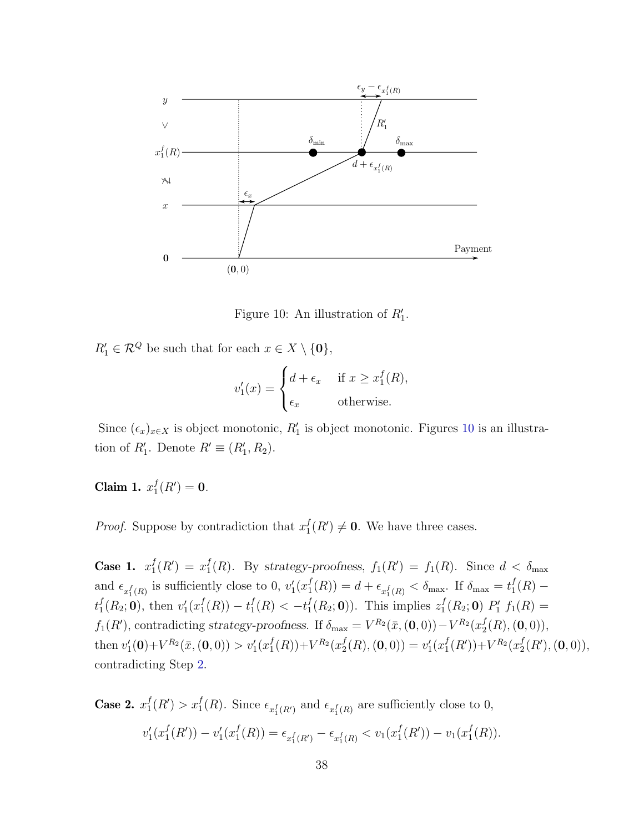

<span id="page-38-0"></span>Figure 10: An illustration of  $R'_1$ .

 $R'_1 \in \mathcal{R}^Q$  be such that for each  $x \in X \setminus \{0\},\$ 

$$
v_1'(x) = \begin{cases} d + \epsilon_x & \text{if } x \ge x_1^f(R), \\ \epsilon_x & \text{otherwise.} \end{cases}
$$

Since  $(\epsilon_x)_{x\in X}$  is object monotonic,  $R'_1$  is object monotonic. Figures [10](#page-38-0) is an illustration of  $R'_1$ . Denote  $R' \equiv (R'_1, R_2)$ .

Claim 1.  $x_1^f$  $_{1}^{f}(R') = 0.$ 

*Proof.* Suppose by contradiction that  $x_1^f$  $_1^f(R') \neq \mathbf{0}$ . We have three cases.

Case 1.  $x_1^f$  $j_1^f(R') = x_1^f$  $f_1(R)$ . By strategy-proofness,  $f_1(R') = f_1(R)$ . Since  $d < \delta_{\text{max}}$ and  $\epsilon_{x_1^f(R)}$  is sufficiently close to 0,  $v_1'(x_1^f)$  $t_1^f(R_2; 0)$ , then  $v_1'(x_1^f(R)) - t_1^f(R) < -t_1^f(R_2; 0)$ . This  $f_1^f(R) = d + \epsilon_{x_1^f(R)} < \delta_{\text{max}}$ . If  $\delta_{\text{max}} = t_1^f$  $_1^f(R)$  –  $_1^f(R_2; 0)$ , then  $v'_1(x_1^f)$  $f_1^f(R)) - t_1^f$  $f_1^f(R) < -t_1^f$  $_1^f(R_2; 0)$ ). This implies  $z_1^f$  $_1^f(R_2; 0)$   $P'_1$   $f_1(R) =$  $f_1(R')$ , contradicting strategy-proofness. If  $\delta_{\text{max}} = V^{R_2}(\bar{x}, \mathbf{(0, 0)}) - V^{R_2}(x_2^f)$  $_2^{\prime}(R), (0, 0)),$ then  $v'_1(\mathbf{0}) + V^{R_2}(\bar{x}, \mathbf{(0, 0)}) > v'_1(x_1^f)$  $_{1}^{f}(R)$ )+ $V^{R_{2}}(x_{2}^{f})$  $c_2^f(R), (\mathbf{0}, 0)) = v'_1(x_1^f)$  $_{1}^{f}(R')$  +  $V^{R_{2}}(x_{2}^{f})$  $_{2}^{f}(R'),(0,0)),$ contradicting Step [2.](#page-35-2)

Case 2.  $x_1^f$  $f_1(R') > x_1^f(R)$ . Since  $\epsilon_{x_1^f(R')}$  and  $\epsilon_{x_1^f(R)}$  are sufficiently close to 0,  $v_1'(x_1^f)$  $j_1^f(R') - v_1'(x_1^f)$  $f_1^f(R) = \epsilon_{x_1^f(R')} - \epsilon_{x_1^f(R)} < v_1(x_1^f)$  $j_1^f(R') - v_1(x_1^f)$  $_1^f(R)$ ).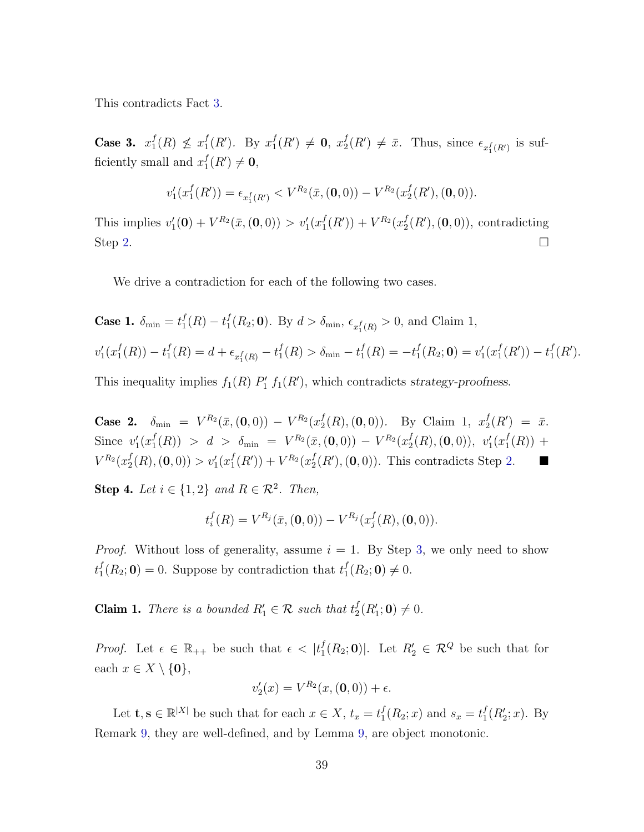This contradicts Fact [3.](#page-31-0)

Case 3.  $x_1^f$  $f_1(R) \not\leq x_1^f$  $_1^f(R')$ . By  $x_1^f$  $_1^f(R') \neq 0, x_2^f$  $\mathcal{L}_2^f(R') \neq \bar{x}$ . Thus, since  $\epsilon_{x_1^f(R')}$  is sufficiently small and  $x_1^f$  $_{1}^{f}(R')\neq 0,$ 

$$
v_1'(x_1^f(R')) = \epsilon_{x_1^f(R')} < V^{R_2}(\bar{x}, (\mathbf{0}, 0)) - V^{R_2}(x_2^f(R'), (\mathbf{0}, 0)).
$$

This implies  $v'_1(0) + V^{R_2}(\bar{x},(0,0)) > v'_1(x_1^f)$  $J_1^f(R')$  +  $V^{R_2}(x_2^f)$  $_{2}^{f}(R'),(\mathbf{0},0)),$  contradicting Step [2.](#page-35-2)

We drive a contradiction for each of the following two cases.

Case 1. 
$$
\delta_{\min} = t_1^f(R) - t_1^f(R_2; \mathbf{0})
$$
. By  $d > \delta_{\min}$ ,  $\epsilon_{x_1^f(R)} > 0$ , and Claim 1,  
 $v'_1(x_1^f(R)) - t_1^f(R) = d + \epsilon_{x_1^f(R)} - t_1^f(R) > \delta_{\min} - t_1^f(R) = -t_1^f(R_2; \mathbf{0}) = v'_1(x_1^f(R')) - t_1^f(R')$ .

This inequality implies  $f_1(R)$   $P'_1$   $f_1(R')$ , which contradicts strategy-proofness.

**Case 2.**  $\delta_{\min} = V^{R_2}(\bar{x},(0,0)) - V^{R_2}(x_2^f)$  $a_2^f(R), (0,0)$ . By Claim 1,  $x_2^f$  $_2^f(R') = \bar{x}.$ Since  $v_1'(x_1^f)$  $\hspace{-2cm}f_{1}^{f}(R)) \ > \ d \ > \ \delta_{\rm min} \ = \ V^{R_{2}}(\bar{x},(0,0)) \ - \ V^{R_{2}}(x_{2}^{f})$  $\binom{f}{2}(R), (0, 0)), v'_1(x_1^f)$  $_{1}^{J}(R)) +$  $V^{R_{2}}(x_2^f$  $v'_1(R), (0,0)) > v'_1(x_1^f)$  $_{1}^{f}(R')$  +  $V^{R_{2}}(x_{2}^{f})$  $_{2}^{f}(R'),(\mathbf{0},0)$ . This contradicts Step [2.](#page-35-2)  $\blacksquare$ 

<span id="page-39-0"></span>Step 4. Let  $i \in \{1,2\}$  and  $R \in \mathcal{R}^2$ . Then,

$$
t_i^f(R) = V^{R_j}(\bar{x}, (\mathbf{0}, 0)) - V^{R_j}(x_j^f(R), (\mathbf{0}, 0)).
$$

*Proof.* Without loss of generality, assume  $i = 1$ . By Step [3,](#page-36-1) we only need to show  $t_1^f$  $_1^f(R_2; 0) = 0$ . Suppose by contradiction that  $t_1^f$  $_{1}^{f}(R_{2};0)\neq 0.$ 

**Claim 1.** There is a bounded  $R'_1 \in \mathcal{R}$  such that  $t_2^f$  $_{2}^{f}(R_{1}';0)\neq 0.$ 

*Proof.* Let  $\epsilon \in \mathbb{R}_{++}$  be such that  $\epsilon < |t_1^f|$  $\mathcal{L}_1^f(R_2; 0)$ . Let  $R'_2 \in \mathcal{R}^Q$  be such that for each  $x \in X \setminus \{0\},\$ 

$$
v_2'(x) = V^{R_2}(x, (0,0)) + \epsilon.
$$

Let  $\mathbf{t}, \mathbf{s} \in \mathbb{R}^{|X|}$  be such that for each  $x \in X$ ,  $t_x = t_1^f$  $_1^f(R_2; x)$  and  $s_x = t_1^f$  $_{1}^{f}(R'_{2}; x)$ . By Remark [9,](#page-36-0) they are well-defined, and by Lemma [9,](#page-31-1) are object monotonic.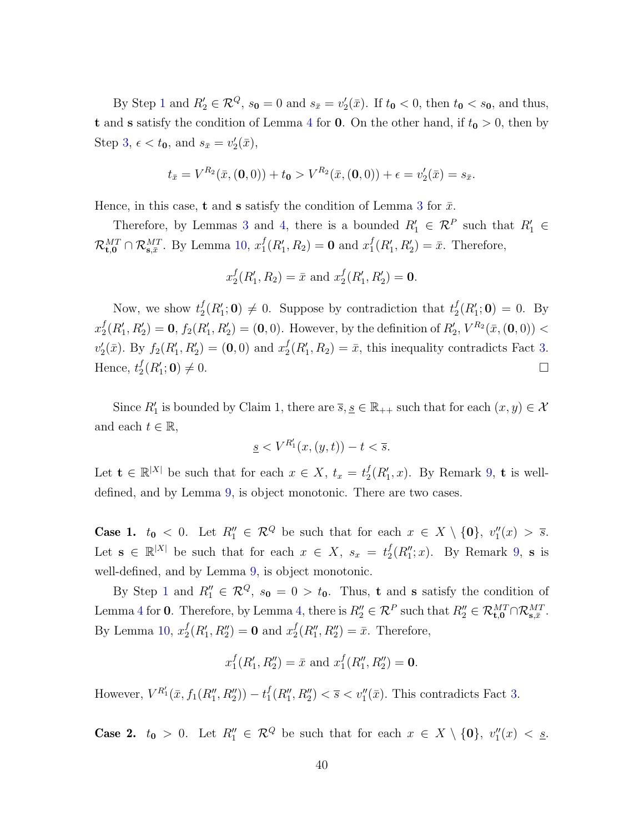By Step [1](#page-35-1) and  $R'_2 \in \mathcal{R}^Q$ ,  $s_0 = 0$  and  $s_{\bar{x}} = v'_2(\bar{x})$ . If  $t_0 < 0$ , then  $t_0 < s_0$ , and thus, **t** and **s** satisfy the condition of Lemma [4](#page-29-0) for **0**. On the other hand, if  $t_0 > 0$ , then by Step [3,](#page-36-1)  $\epsilon < t_0$ , and  $s_{\bar{x}} = v_2'(\bar{x})$ ,

$$
t_{\bar{x}} = V^{R_2}(\bar{x}, (0,0)) + t_0 > V^{R_2}(\bar{x}, (0,0)) + \epsilon = v_2'(\bar{x}) = s_{\bar{x}}.
$$

Hence, in this case, **t** and **s** satisfy the condition of Lemma [3](#page-29-1) for  $\bar{x}$ .

Therefore, by Lemmas [3](#page-29-1) and [4,](#page-29-0) there is a bounded  $R'_1 \in \mathcal{R}^P$  such that  $R'_1 \in$  $\mathcal{R}_{\text{t,0}}^{MT} \cap \mathcal{R}_{\text{s},\bar{x}}^{MT}$ . By Lemma [10,](#page-31-2)  $x_1^f$  $f_1(R'_1, R_2) = 0$  and  $x_1^f$  $I_1^f(R_1', R_2') = \bar{x}$ . Therefore,

$$
x_2^f(R'_1, R_2) = \bar{x}
$$
 and  $x_2^f(R'_1, R'_2) = 0$ .

Now, we show  $t_2^f$  $\mathcal{L}_2^f(R'_1; 0) \neq 0$ . Suppose by contradiction that  $\mathcal{L}_2^f$  $_{2}^{f}(R_{1}';0) = 0.$  By  $x_2^f$  $Z_2^f(R'_1, R'_2) = 0$ ,  $f_2(R'_1, R'_2) = (0, 0)$ . However, by the definition of  $R'_2$ ,  $V^{R_2}(\bar{x}, (0, 0)) <$  $v_2'(\bar{x})$ . By  $f_2(R'_1, R'_2) = (0, 0)$  and  $x_2^f$  $Z_2^f(R'_1, R_2) = \bar{x}$ , this inequality contradicts Fact [3.](#page-31-0) Hence,  $t_2^f$  $_2^f(R_1^{\prime}% )=\frac{1}{2}eV_{\perp}(\Gamma)$  $; \mathbf{0}) \neq 0.$ 

Since  $R'_1$  is bounded by Claim 1, there are  $\overline{s}, \underline{s} \in \mathbb{R}_{++}$  such that for each  $(x, y) \in \mathcal{X}$ and each  $t \in \mathbb{R}$ ,

$$
\underline{s} < V^{R_1'}(x,(y,t)) - t < \overline{s}.
$$

Let  $\mathbf{t} \in \mathbb{R}^{|X|}$  be such that for each  $x \in X$ ,  $t_x = t_2^f$  $_{2}^{f}(R_{1}', x)$ . By Remark [9,](#page-36-0) **t** is welldefined, and by Lemma [9,](#page-31-1) is object monotonic. There are two cases.

**Case 1.**  $t_0 < 0$ . Let  $R_1'' \in \mathcal{R}^Q$  be such that for each  $x \in X \setminus \{0\}$ ,  $v_1''(x) > \overline{s}$ . Let  $\mathbf{s} \in \mathbb{R}^{|X|}$  be such that for each  $x \in X$ ,  $s_x = t_2^f$  $_{2}^{f}(R_{1}^{\prime\prime};x)$ . By Remark [9,](#page-36-0) s is well-defined, and by Lemma [9,](#page-31-1) is object monotonic.

By Step [1](#page-35-1) and  $R_1'' \in \mathcal{R}^Q$ ,  $s_0 = 0 > t_0$ . Thus, **t** and **s** satisfy the condition of Lemma [4](#page-29-0) for 0. Therefore, by Lemma [4,](#page-29-0) there is  $R_2'' \in \mathcal{R}^P$  such that  $R_2'' \in \mathcal{R}_{\text{t},0}^{MT} \cap \mathcal{R}_{\text{s},\bar{x}}^{MT}$ . By Lemma [10,](#page-31-2)  $x_2^f$  $_{2}^{f}(R_{1}', R_{2}'') = 0$  and  $x_{2}^{f}$  $Z_2^f(R_1'', R_2'') = \bar{x}$ . Therefore,

$$
x_1^f(R_1', R_2'') = \bar{x}
$$
 and  $x_1^f(R_1'', R_2'') = 0$ .

However,  $V^{R'_1}(\bar{x}, f_1(R''_1, R''_2)) - t_1^f$  $_1^f(R_1'', R_2'') < \overline{s} < v_1''(\overline{x})$ . This contradicts Fact [3.](#page-31-0)

**Case 2.**  $t_0 > 0$ . Let  $R_1'' \in \mathcal{R}^Q$  be such that for each  $x \in X \setminus \{0\}$ ,  $v_1''(x) < \underline{s}$ .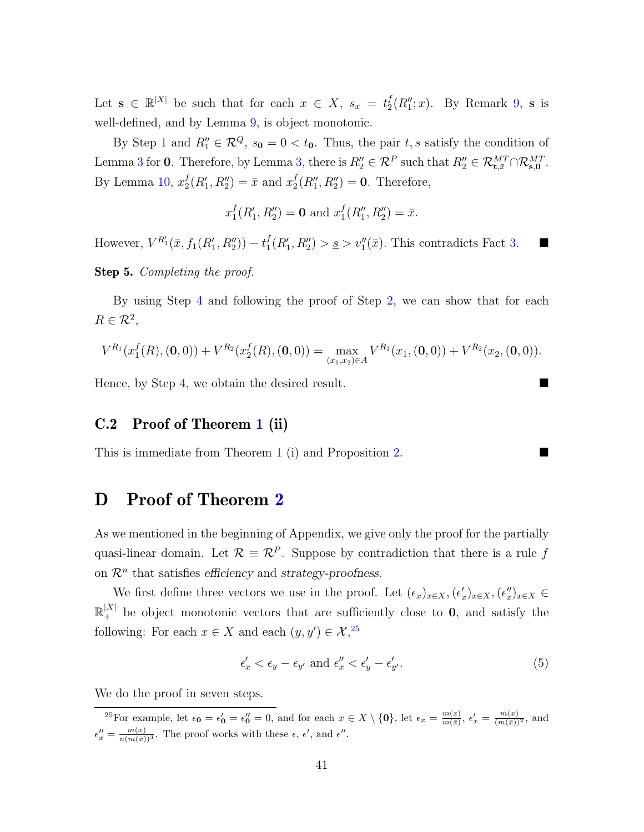Let  $\mathbf{s} \in \mathbb{R}^{|X|}$  be such that for each  $x \in X$ ,  $s_x = t_2^f$  $_{2}^{f}(R_{1}^{\prime\prime};x)$ . By Remark [9,](#page-36-0) s is well-defined, and by Lemma [9,](#page-31-1) is object monotonic.

By Step [1](#page-35-1) and  $R_1'' \in \mathcal{R}^Q$ ,  $s_0 = 0 < t_0$ . Thus, the pair t, s satisfy the condition of Lemma [3](#page-29-1) for 0. Therefore, by Lemma [3,](#page-29-1) there is  $R_2'' \in \mathcal{R}^P$  such that  $R_2'' \in \mathcal{R}_{\mathbf{t},\bar{x}}^{MT} \cap \mathcal{R}_{\mathbf{s},0}^{MT}$ . By Lemma [10,](#page-31-2)  $x_2^f$  $_2^f(R'_1, R''_2) = \bar{x}$  and  $x_2^f$  $_{2}^{f}(R_{1}''', R_{2}''') = 0$ . Therefore,

$$
x_1^f(R_1', R_2'') = \mathbf{0}
$$
 and  $x_1^f(R_1'', R_2'') = \bar{x}$ .

However,  $V^{R'_1}(\bar{x}, f_1(R'_1, R''_2)) - t_1^f$  $f_1(R'_1, R''_2) > \underline{s} > v''_1(\bar{x})$ . This contradicts Fact [3.](#page-31-0)

<span id="page-41-2"></span>Step 5. Completing the proof.

By using Step [4](#page-39-0) and following the proof of Step [2,](#page-35-2) we can show that for each  $R \in \mathcal{R}^2$ ,

$$
V^{R_1}(x_1^f(R), (0,0)) + V^{R_2}(x_2^f(R), (0,0)) = \max_{(x_1,x_2) \in A} V^{R_1}(x_1, (0,0)) + V^{R_2}(x_2, (0,0)).
$$

Hence, by Step [4,](#page-39-0) we obtain the desired result.

### C.2 Proof of Theorem [1](#page-17-0) (ii)

This is immediate from Theorem [1](#page-17-0) (i) and Proposition [2.](#page-22-0)

## D Proof of Theorem [2](#page-19-0)

As we mentioned in the beginning of Appendix, we give only the proof for the partially quasi-linear domain. Let  $\mathcal{R} \equiv \mathcal{R}^P$ . Suppose by contradiction that there is a rule f on  $\mathcal{R}^n$  that satisfies efficiency and strategy-proofness.

We first define three vectors we use in the proof. Let  $(\epsilon_x)_{x \in X}, (\epsilon_x')_{x \in X}, (\epsilon_x'')_{x \in X} \in$  $\mathbb{R}^{|X|}_+$  be object monotonic vectors that are sufficiently close to 0, and satisfy the following: For each  $x \in X$  and each  $(y, y') \in \mathcal{X}^{25}$  $(y, y') \in \mathcal{X}^{25}$  $(y, y') \in \mathcal{X}^{25}$ ,

<span id="page-41-1"></span>
$$
\epsilon'_x < \epsilon_y - \epsilon_{y'} \text{ and } \epsilon''_x < \epsilon'_y - \epsilon'_{y'}.\tag{5}
$$

We do the proof in seven steps.

<span id="page-41-0"></span><sup>&</sup>lt;sup>25</sup>For example, let  $\epsilon_0 = \epsilon'_0 = \epsilon''_0 = 0$ , and for each  $x \in X \setminus \{0\}$ , let  $\epsilon_x = \frac{m(x)}{m(x)}$  $\frac{m(x)}{m(\bar{x})}$ ,  $\epsilon'_x = \frac{m(x)}{(m(\bar{x}))^2}$ , and  $\epsilon''_x = \frac{m(x)}{n(m(\bar{x}))^3}$ . The proof works with these  $\epsilon, \epsilon'$ , and  $\epsilon''$ .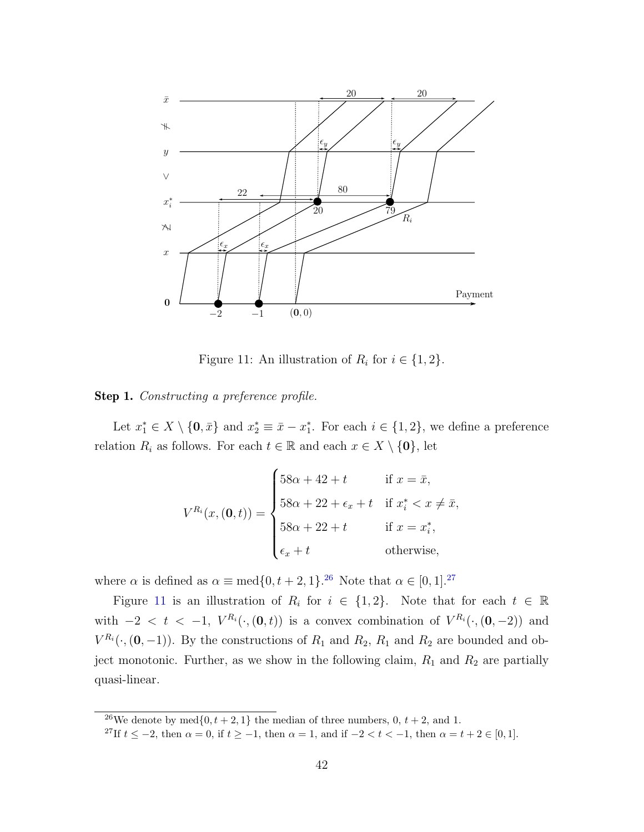

<span id="page-42-2"></span>Figure 11: An illustration of  $R_i$  for  $i \in \{1, 2\}$ .

#### Step 1. Constructing a preference profile.

Let  $x_1^* \in X \setminus \{0, \bar{x}\}\$  and  $x_2^* \equiv \bar{x} - x_1^*$ . For each  $i \in \{1, 2\}$ , we define a preference relation  $R_i$  as follows. For each  $t \in \mathbb{R}$  and each  $x \in X \setminus \{0\}$ , let

$$
V^{R_i}(x, (\mathbf{0}, t)) = \begin{cases} 58\alpha + 42 + t & \text{if } x = \bar{x}, \\ 58\alpha + 22 + \epsilon_x + t & \text{if } x_i^* < x \neq \bar{x}, \\ 58\alpha + 22 + t & \text{if } x = x_i^*, \\ \epsilon_x + t & \text{otherwise}, \end{cases}
$$

where  $\alpha$  is defined as  $\alpha \equiv \text{med}\{0, t+2, 1\}$ .<sup>[26](#page-42-0)</sup> Note that  $\alpha \in [0, 1]$ .<sup>[27](#page-42-1)</sup>

Figure [11](#page-42-2) is an illustration of  $R_i$  for  $i \in \{1,2\}$ . Note that for each  $t \in \mathbb{R}$ with  $-2 < t < -1$ ,  $V^{R_i}(\cdot, (0, t))$  is a convex combination of  $V^{R_i}(\cdot, (0, -2))$  and  $V^{R_i}(\cdot,(0,-1))$ . By the constructions of  $R_1$  and  $R_2$ ,  $R_1$  and  $R_2$  are bounded and object monotonic. Further, as we show in the following claim,  $R_1$  and  $R_2$  are partially quasi-linear.

<span id="page-42-1"></span><span id="page-42-0"></span><sup>&</sup>lt;sup>26</sup>We denote by med{0,  $t + 2$ , 1} the median of three numbers, 0,  $t + 2$ , and 1.

<sup>&</sup>lt;sup>27</sup>If  $t \le -2$ , then  $\alpha = 0$ , if  $t \ge -1$ , then  $\alpha = 1$ , and if  $-2 < t < -1$ , then  $\alpha = t + 2 \in [0, 1]$ .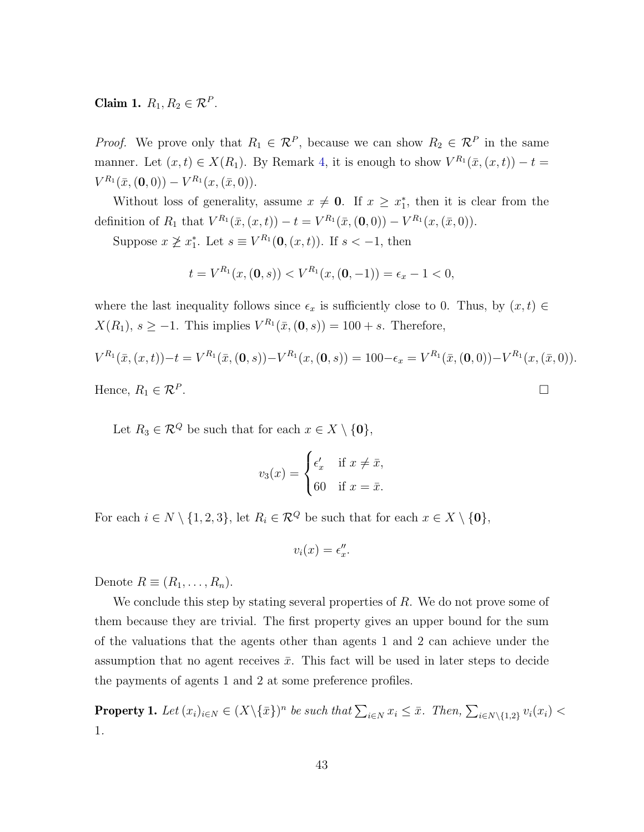Claim 1.  $R_1, R_2 \in \mathcal{R}^P$ .

*Proof.* We prove only that  $R_1 \in \mathcal{R}^P$ , because we can show  $R_2 \in \mathcal{R}^P$  in the same manner. Let  $(x,t) \in X(R_1)$ . By Remark [4,](#page-15-0) it is enough to show  $V^{R_1}(\bar{x}, (x,t)) - t =$  $V^{R_1}(\bar{x},(\mathbf{0},0)) - V^{R_1}(x,(\bar{x},0)).$ 

Without loss of generality, assume  $x \neq 0$ . If  $x \geq x_1^*$ , then it is clear from the definition of  $R_1$  that  $V^{R_1}(\bar{x}, (x, t)) - t = V^{R_1}(\bar{x}, (0, 0)) - V^{R_1}(x, (\bar{x}, 0)).$ 

Suppose  $x \not\geq x_1^*$ . Let  $s \equiv V^{R_1}(\mathbf{0}, (x, t))$ . If  $s < -1$ , then

$$
t = V^{R_1}(x, (0, s)) < V^{R_1}(x, (0, -1)) = \epsilon_x - 1 < 0,
$$

where the last inequality follows since  $\epsilon_x$  is sufficiently close to 0. Thus, by  $(x, t) \in$  $X(R_1), s \ge -1$ . This implies  $V^{R_1}(\bar{x}, (\mathbf{0}, s)) = 100 + s$ . Therefore,

$$
V^{R_1}(\bar{x}, (x, t)) - t = V^{R_1}(\bar{x}, (0, s)) - V^{R_1}(x, (0, s)) = 100 - \epsilon_x = V^{R_1}(\bar{x}, (0, 0)) - V^{R_1}(x, (\bar{x}, 0)).
$$
  
Hence,  $R_1 \in \mathbb{R}^P$ .

Let  $R_3 \in \mathcal{R}^Q$  be such that for each  $x \in X \setminus \{0\},\$ 

$$
v_3(x) = \begin{cases} \epsilon'_x & \text{if } x \neq \bar{x}, \\ 60 & \text{if } x = \bar{x}. \end{cases}
$$

For each  $i \in N \setminus \{1, 2, 3\}$ , let  $R_i \in \mathcal{R}^Q$  be such that for each  $x \in X \setminus \{\mathbf{0}\},\$ 

$$
v_i(x) = \epsilon''_x.
$$

Denote  $R \equiv (R_1, \ldots, R_n)$ .

We conclude this step by stating several properties of  $R$ . We do not prove some of them because they are trivial. The first property gives an upper bound for the sum of the valuations that the agents other than agents 1 and 2 can achieve under the assumption that no agent receives  $\bar{x}$ . This fact will be used in later steps to decide the payments of agents 1 and 2 at some preference profiles.

<span id="page-43-0"></span>**Property 1.** Let  $(x_i)_{i\in N} \in (X\setminus {\{\bar{x}\}})^n$  be such that  $\sum_{i\in N} x_i \leq \bar{x}$ . Then,  $\sum_{i\in N\setminus{\{1,2\}}} v_i(x_i) <$ 1.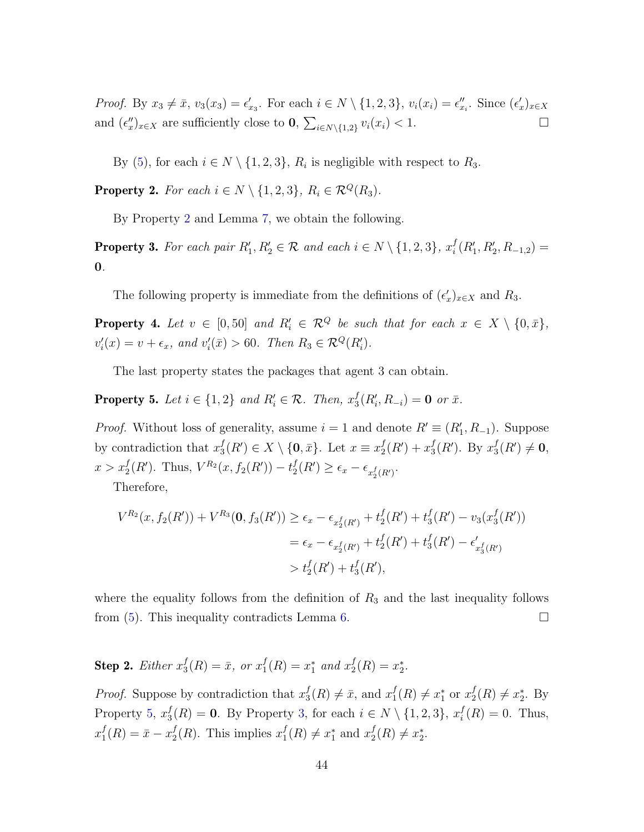*Proof.* By  $x_3 \neq \bar{x}$ ,  $v_3(x_3) = \epsilon'_{x_3}$ . For each  $i \in N \setminus \{1, 2, 3\}$ ,  $v_i(x_i) = \epsilon''_{x_i}$ . Since  $(\epsilon'_x)_{x \in X}$ and  $(\epsilon''_x)_{x \in X}$  are sufficiently close to  $0$ ,  $\sum_{i \in N \setminus \{1,2\}} v_i(x_i) < 1$ .

By [\(5\)](#page-41-1), for each  $i \in N \setminus \{1, 2, 3\}$ ,  $R_i$  is negligible with respect to  $R_3$ .

<span id="page-44-0"></span>**Property 2.** For each  $i \in N \setminus \{1, 2, 3\}$ ,  $R_i \in \mathcal{R}^Q(R_3)$ .

By Property [2](#page-44-0) and Lemma [7,](#page-30-0) we obtain the following.

<span id="page-44-2"></span>**Property 3.** For each pair  $R'_1, R'_2 \in \mathcal{R}$  and each  $i \in N \setminus \{1, 2, 3\}$ ,  $x_i^f$  $i^f(R'_1, R'_2, R_{-1,2}) =$ 0.

The following property is immediate from the definitions of  $(\epsilon_x')_{x \in X}$  and  $R_3$ .

<span id="page-44-3"></span>**Property 4.** Let  $v \in [0, 50]$  and  $R'_i \in \mathcal{R}^Q$  be such that for each  $x \in X \setminus \{0, \bar{x}\},\$  $v_i'(x) = v + \epsilon_x$ , and  $v_i'(\bar{x}) > 60$ . Then  $R_3 \in \mathcal{R}^Q(R_i')$ .

The last property states the packages that agent 3 can obtain.

<span id="page-44-1"></span>**Property 5.** Let  $i \in \{1,2\}$  and  $R'_i \in \mathcal{R}$ . Then,  $x_3^f$  ${}_{3}^{f}(R_{i}',R_{-i})=0$  or  $\bar{x}.$ 

*Proof.* Without loss of generality, assume  $i = 1$  and denote  $R' \equiv (R'_1, R_{-1})$ . Suppose by contradiction that  $x_3^f$  $S_3^f(R') \in X \setminus \{\mathbf{0}, \bar{x}\}.$  Let  $x \equiv x_2^f$  $^{f}_{2}(R')+x_{3}^{f}$  $_3^f(R')$ . By  $x_3^f$  $j( R')\neq 0,$  $x > x_2^f(R')$ . Thus,  $V^{R_2}(x, f_2(R')) - t_2^f$  $\epsilon_2^f(R') \geq \epsilon_x - \epsilon_{x_2^f(R')}$ .

Therefore,

$$
V^{R_2}(x, f_2(R')) + V^{R_3}(\mathbf{0}, f_3(R')) \ge \epsilon_x - \epsilon_{x_2^f(R')} + t_2^f(R') + t_3^f(R') - v_3(x_3^f(R'))
$$
  
=  $\epsilon_x - \epsilon_{x_2^f(R')} + t_2^f(R') + t_3^f(R') - \epsilon'_{x_3^f(R')}$   
>  $t_2^f(R') + t_3^f(R'),$ 

where the equality follows from the definition of  $R_3$  and the last inequality follows from  $(5)$ . This inequality contradicts Lemma [6.](#page-30-1)

**Step 2.** Either  $x_3^f$  $j_3^f(R) = \bar{x}, \text{ or } x_1^f$  $_1^f(R) = x_1^*$  and  $x_2^f$  $_{2}^{f}(R)=x_{2}^{*}.$ 

*Proof.* Suppose by contradiction that  $x_3^f$  $j_3^f(R) \neq \bar{x}$ , and  $x_1^f$  $f_1(R) \neq x_1^*$  or  $x_2^f$  $_{2}^{f}(R) \neq x_{2}^{*}$ . By Property [5,](#page-44-1)  $x_3^f$  $S_i^f(R) = 0$ . By Property [3,](#page-44-2) for each  $i \in N \setminus \{1, 2, 3\}, x_i^f$  $i<sub>i</sub>(R) = 0$ . Thus,  $x_1^f$  $_1^f(R) = \bar{x} - x_2^f$  $_2^f(R)$ . This implies  $x_1^f$  $f_1(R) \neq x_1^*$  and  $x_2^f$  $_{2}^{f}(R) \neq x_{2}^{*}.$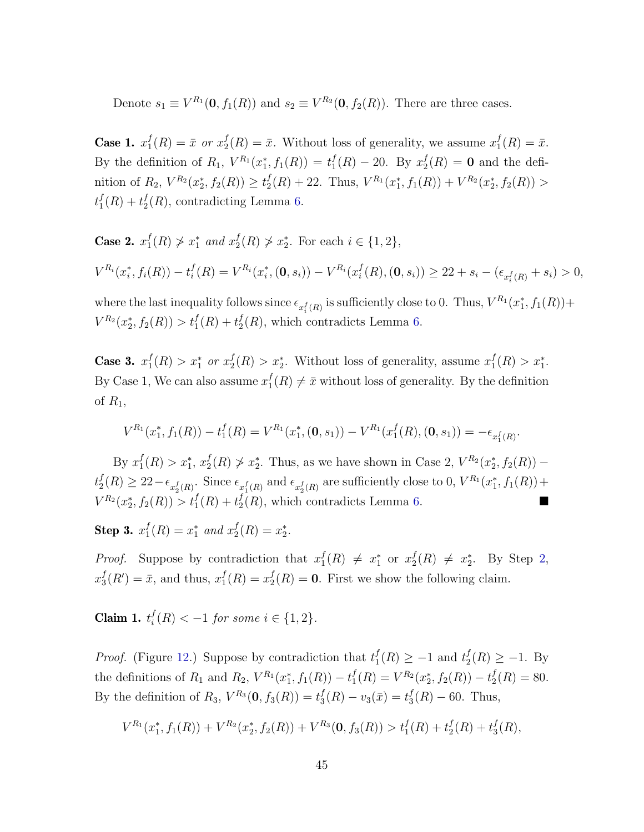Denote  $s_1 \equiv V^{R_1}(\mathbf{0}, f_1(R))$  and  $s_2 \equiv V^{R_2}(\mathbf{0}, f_2(R))$ . There are three cases.

Case 1.  $x_1^f$  $j_1^f(R) = \bar{x}$  or  $x_2^f$  $_2^f(R) = \bar{x}$ . Without loss of generality, we assume  $x_1^f$  $_{1}^{J}(R)=\bar{x}.$ By the definition of  $R_1$ ,  $V^{R_1}(x_1^*, f_1(R)) = t_1^f$  $_1^f(R) - 20.$  By  $x_2^f$  $2^I(R) = 0$  and the definition of  $R_2$ ,  $V^{R_2}(x_2^*, f_2(R)) \ge t_2^f$  $\mathcal{L}_2^f(R) + 22$ . Thus,  $V^{R_1}(x_1^*, f_1(R)) + V^{R_2}(x_2^*, f_2(R)) >$  $t_1^f$  $^{f}_{1}(R) + t^{f}_{2}$  $L_2^J(R)$ , contradicting Lemma [6.](#page-30-1)

Case 2.  $x_1^f$  $f_1(R) \not> x_1^*$  and  $x_2^f$  $x_2^f(R) \ngtr x_2^*$ . For each  $i \in \{1, 2\}$ ,  $V^{R_i}(x_i^*, f_i(R)) - t_i^f$  $\mathcal{L}_i^f(R) = V^{R_i}(x_i^*, (\mathbf{0}, s_i)) - V^{R_i}(x_i^f)$  $\mathcal{L}_i^f(R), (\mathbf{0}, s_i)) \geq 22 + s_i - (\epsilon_{x_i^f(R)} + s_i) > 0,$ 

where the last inequality follows since  $\epsilon_{x_i^f(R)}$  is sufficiently close to 0. Thus,  $V^{R_1}(x_1^*, f_1(R))$ +  $V^{R_2}(x_2^*, f_2(R)) > t_1^f(R) + t_2^f$  $L_2^J(R)$ , which contradicts Lemma [6.](#page-30-1)

Case 3.  $x_1^f$  $f_1(R) > x_1^*$  or  $x_2^f$  $2^f_2(R) > x_2^*$ . Without loss of generality, assume  $x_1^f$  $_1^f(R) > x_1^*$ . By Case 1, We can also assume  $x_1^f$  $j<sub>1</sub>(R) \neq \bar{x}$  without loss of generality. By the definition of  $R_1$ ,

$$
V^{R_1}(x_1^*, f_1(R)) - t_1^f(R) = V^{R_1}(x_1^*, (0, s_1)) - V^{R_1}(x_1^f(R), (0, s_1)) = -\epsilon_{x_1^f(R)}.
$$

By  $x_1^f$  $f_1(R) > x_1^*, x_2^f$  $Z_2^f(R) \nsucc z_2^*$ . Thus, as we have shown in Case 2,  $V^{R_2}(x_2^*, f_2(R))$  –  $t_2^f$  $\mathcal{L}_2^f(R) \geq 22 - \epsilon_{x_2^f(R)}$ . Since  $\epsilon_{x_1^f(R)}$  and  $\epsilon_{x_2^f(R)}$  are sufficiently close to 0,  $V^{R_1}(x_1^*, f_1(R))$  +  $V^{R_2}(x_2^*, f_2(R)) > t_1^f(R) + t_2^f$  $_2^f(R)$ , which contradicts Lemma [6.](#page-30-1)

Step 3.  $x_1^f$  $j_1^f(R) = x_1^*$  and  $x_2^f$  $_{2}^{f}(R)=x_{2}^{*}.$ 

*Proof.* Suppose by contradiction that  $x_1^f$  $f_1(R) \neq x_1^*$  or  $x_2^f$  $y_2^f(R) \neq x_2^*$ . By Step [2,](#page-35-2)  $x_3^f$  $_3^f(R') = \bar{x}$ , and thus,  $x_1^f$  $j_1^f(R) = x_2^f$  $L_2^J(R) = 0$ . First we show the following claim.

Claim 1.  $t_i^f$  $i<sup>t</sup>(R) < -1$  for some  $i \in \{1, 2\}.$ 

*Proof.* (Figure [12.](#page-46-0)) Suppose by contradiction that  $t_1^f$  $t_1^f(R) \geq -1$  and  $t_2^f$  $_{2}^{f}(R) \geq -1.$  By the definitions of  $R_1$  and  $R_2$ ,  $V^{R_1}(x_1^*, f_1(R)) - t_1^f$  $f_1^f(R) = V^{R_2}(x_2^*, f_2(R)) - t_2^f$  $_{2}^{J}(R) = 80.$ By the definition of  $R_3$ ,  $V^{R_3}(\mathbf{0}, f_3(R)) = t_3^f$  $J_3^f(R) - v_3(\bar{x}) = t_3^f$  $J_3(R) - 60$ . Thus,

$$
V^{R_1}(x_1^*, f_1(R)) + V^{R_2}(x_2^*, f_2(R)) + V^{R_3}(\mathbf{0}, f_3(R)) > t_1^f(R) + t_2^f(R) + t_3^f(R),
$$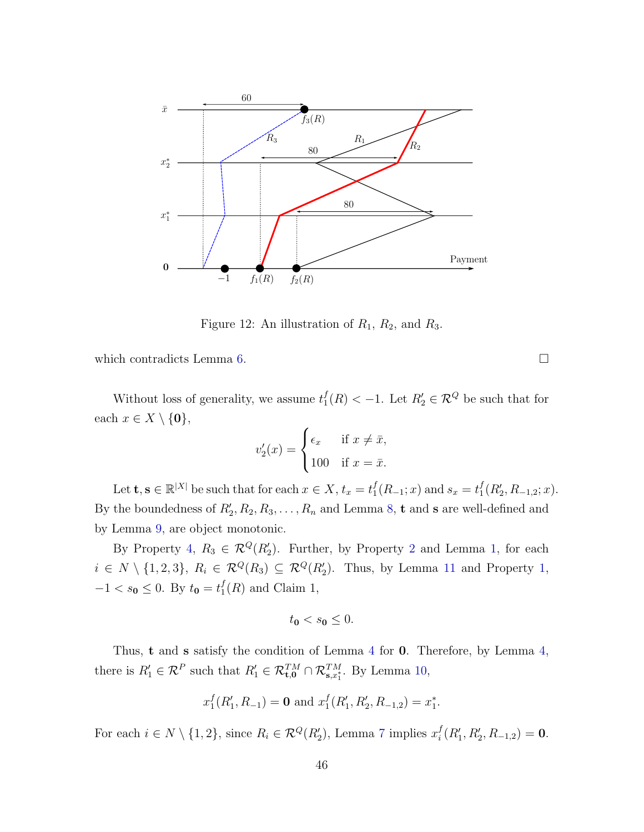

<span id="page-46-0"></span>Figure 12: An illustration of  $R_1$ ,  $R_2$ , and  $R_3$ .

which contradicts Lemma [6.](#page-30-1)  $\Box$ 

Without loss of generality, we assume  $t_1^f$  $I_1^f(R) < -1$ . Let  $R_2^f \in \mathcal{R}^Q$  be such that for each  $x \in X \setminus \{0\},\$ 

$$
v_2'(x) = \begin{cases} \epsilon_x & \text{if } x \neq \bar{x}, \\ 100 & \text{if } x = \bar{x}. \end{cases}
$$

Let  $\mathbf{t}, \mathbf{s} \in \mathbb{R}^{|X|}$  be such that for each  $x \in X$ ,  $t_x = t_1^f$  $f_1(R_{-1}; x)$  and  $s_x = t_1^f$  $_{1}^{f}(R_{2},R_{-1,2};x).$ By the boundedness of  $R'_2, R_2, R_3, \ldots, R_n$  and Lemma [8,](#page-30-2) **t** and **s** are well-defined and by Lemma [9,](#page-31-1) are object monotonic.

By Property [4,](#page-44-3)  $R_3 \in \mathcal{R}^Q(R'_2)$  $R_3 \in \mathcal{R}^Q(R'_2)$  $R_3 \in \mathcal{R}^Q(R'_2)$ . Further, by Property 2 and Lemma [1,](#page-28-0) for each  $i \in N \setminus \{1,2,3\}, R_i \in \mathcal{R}^Q(R_3) \subseteq \mathcal{R}^Q(R'_2)$  $i \in N \setminus \{1,2,3\}, R_i \in \mathcal{R}^Q(R_3) \subseteq \mathcal{R}^Q(R'_2)$  $i \in N \setminus \{1,2,3\}, R_i \in \mathcal{R}^Q(R_3) \subseteq \mathcal{R}^Q(R'_2)$ . Thus, by Lemma [11](#page-31-3) and Property 1,  $-1 < s_0 \leq 0$ . By  $t_0 = t_1^f$  $I_1(R)$  and Claim 1,

$$
t_{0} < s_{0} \leq 0.
$$

Thus, t and s satisfy the condition of Lemma [4](#page-29-0) for 0. Therefore, by Lemma [4,](#page-29-0) there is  $R'_1 \in \mathcal{R}^P$  such that  $R'_1 \in \mathcal{R}_{\mathbf{t},\mathbf{0}}^{TM} \cap \mathcal{R}_{\mathbf{s},x_1^*}^{TM}$ . By Lemma [10,](#page-31-2)

$$
x_1^f(R'_1, R_{-1}) = \mathbf{0}
$$
 and  $x_1^f(R'_1, R'_2, R_{-1,2}) = x_1^*$ .

For each  $i \in N \setminus \{1, 2\}$ , since  $R_i \in \mathcal{R}^Q(R'_2)$ , Lemma [7](#page-30-0) implies  $x_i^f$  $i^f(R'_1, R'_2, R_{-1,2}) = 0.$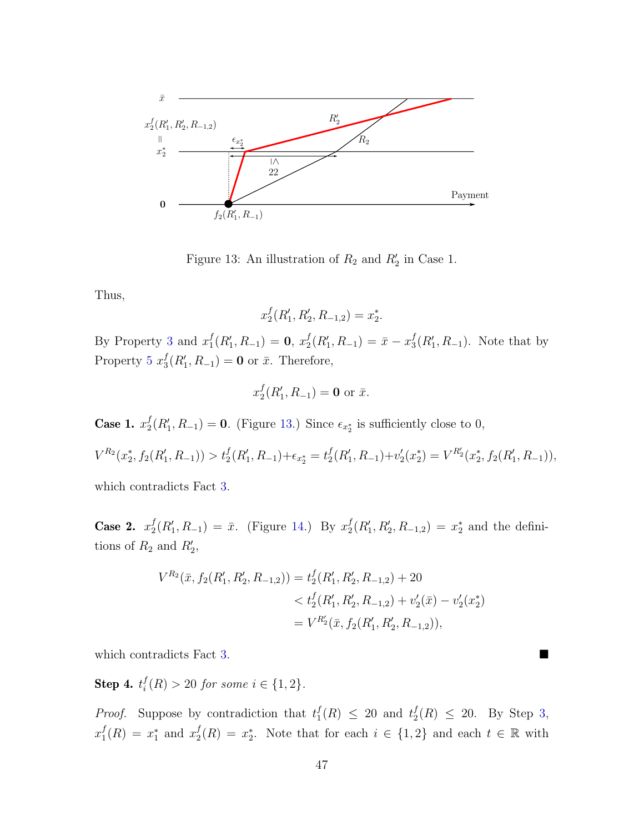

<span id="page-47-0"></span>Figure 13: An illustration of  $R_2$  and  $R'_2$  in Case 1.

Thus,

$$
x_2^f(R'_1, R'_2, R_{-1,2}) = x_2^*.
$$

By Property [3](#page-44-2) and  $x_1^f$  $_1^f(R'_1,R_{-1}) = 0, x_2^f$  $_2^f(R'_1,R_{-1}) = \bar{x} - x_3^f$  $_3^f(R'_1, R_{-1})$ . Note that by Property [5](#page-44-1)  $x_3^f$  $S_3^f(R'_1, R_{-1}) = \mathbf{0}$  or  $\bar{x}$ . Therefore,

$$
x_2^f(R'_1, R_{-1}) = \mathbf{0} \text{ or } \bar{x}.
$$

Case 1.  $x_2^f$  $\mathcal{L}_2^f(R_1', R_{-1}) = \mathbf{0}$ . (Figure [13.](#page-47-0)) Since  $\epsilon_{x_2^*}$  is sufficiently close to 0,

$$
V^{R_2}(x_2^*, f_2(R'_1, R_{-1})) > t_2^f(R'_1, R_{-1}) + \epsilon_{x_2^*} = t_2^f(R'_1, R_{-1}) + v_2'(x_2^*) = V^{R'_2}(x_2^*, f_2(R'_1, R_{-1})),
$$

which contradicts Fact [3.](#page-31-0)

Case 2.  $x_2^f$  $_{2}^{f}(R_{1}',R_{-1}) = \bar{x}$ . (Figure [14.](#page-48-0)) By  $x_{2}^{f}$  $x_2^f(R'_1, R'_2, R_{-1,2}) = x_2^*$  and the definitions of  $R_2$  and  $R'_2$ ,

$$
V^{R_2}(\bar{x}, f_2(R'_1, R'_2, R_{-1,2})) = t_2^f(R'_1, R'_2, R_{-1,2}) + 20
$$
  

$$
< t_2^f(R'_1, R'_2, R_{-1,2}) + v_2'(\bar{x}) - v_2'(x_2^*)
$$
  

$$
= V^{R'_2}(\bar{x}, f_2(R'_1, R'_2, R_{-1,2})),
$$

which contradicts Fact [3.](#page-31-0)

Step 4.  $t_i^f$  $i<sup>t</sup>(R) > 20$  for some  $i \in \{1,2\}.$ 

*Proof.* Suppose by contradiction that  $t_1^f$  $f_1(R) \leq 20$  and  $t_2^f$  $\frac{f}{2}(R) \leq 20$ . By Step [3,](#page-36-1)  $x_1^f$  $f_1(R) = x_1^*$  and  $x_2^f$  $_2^f(R) = x_2^*$ . Note that for each  $i \in \{1,2\}$  and each  $t \in \mathbb{R}$  with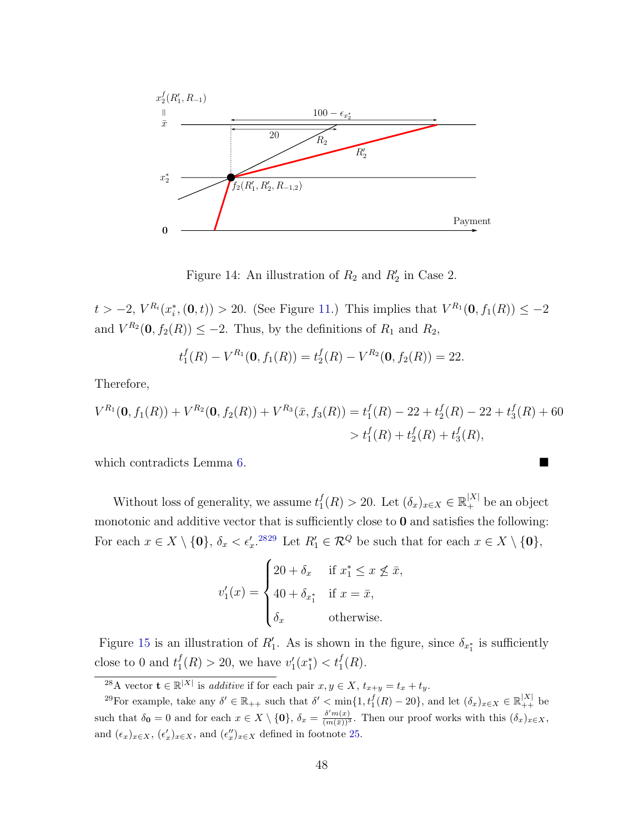

<span id="page-48-0"></span>Figure 14: An illustration of  $R_2$  and  $R'_2$  in Case 2.

 $t > -2$ ,  $V^{R_i}(x_i^*, (0, t)) > 20$ . (See Figure [11.](#page-42-2)) This implies that  $V^{R_1}(0, f_1(R)) \leq -2$ and  $V^{R_2}(\mathbf{0}, f_2(R)) \leq -2$ . Thus, by the definitions of  $R_1$  and  $R_2$ ,

$$
t_1^f(R) - V^{R_1}(\mathbf{0}, f_1(R)) = t_2^f(R) - V^{R_2}(\mathbf{0}, f_2(R)) = 22.
$$

Therefore,

$$
V^{R_1}(\mathbf{0}, f_1(R)) + V^{R_2}(\mathbf{0}, f_2(R)) + V^{R_3}(\bar{x}, f_3(R)) = t_1^f(R) - 22 + t_2^f(R) - 22 + t_3^f(R) + 60
$$
  
>  $t_1^f(R) + t_2^f(R) + t_3^f(R),$ 

which contradicts Lemma [6.](#page-30-1)

Without loss of generality, we assume  $t_1^f$  $f_1(R) > 20$ . Let  $(\delta_x)_{x \in X} \in \mathbb{R}^{|X|}_+$  be an object monotonic and additive vector that is sufficiently close to  $0$  and satisfies the following: For each  $x \in X \setminus \{0\}$ ,  $\delta_x < \epsilon'_x$ .<sup>[28](#page-48-1)[29](#page-48-2)</sup> Let  $R'_1 \in \mathcal{R}^Q$  be such that for each  $x \in X \setminus \{0\}$ ,

$$
v'_1(x) = \begin{cases} 20 + \delta_x & \text{if } x_1^* \le x \le \bar{x}, \\ 40 + \delta_{x_1^*} & \text{if } x = \bar{x}, \\ \delta_x & \text{otherwise.} \end{cases}
$$

Figure [15](#page-49-0) is an illustration of  $R'_1$ . As is shown in the figure, since  $\delta_{x_1^*}$  is sufficiently close to 0 and  $t_1^f$  $f_1(R) > 20$ , we have  $v'_1(x_1^*) < t_1^f(R)$ .

<span id="page-48-2"></span><span id="page-48-1"></span><sup>&</sup>lt;sup>28</sup>A vector  $\mathbf{t} \in \mathbb{R}^{|X|}$  is *additive* if for each pair  $x, y \in X$ ,  $t_{x+y} = t_x + t_y$ .

<sup>&</sup>lt;sup>29</sup>For example, take any  $\delta' \in \mathbb{R}_{++}$  such that  $\delta' < \min\{1, t_1^f(R) - 20\}$ , and let  $(\delta_x)_{x \in X} \in \mathbb{R}_{++}^{|X|}$  be such that  $\delta_0 = 0$  and for each  $x \in X \setminus \{0\}$ ,  $\delta_x = \frac{\delta' m(x)}{(m(\bar{x}))^3}$ . Then our proof works with this  $(\delta_x)_{x \in X}$ , and  $(\epsilon_x)_{x \in X}$ ,  $(\epsilon'_x)_{x \in X}$ , and  $(\epsilon''_x)_{x \in X}$  defined in footnote [25.](#page-41-0)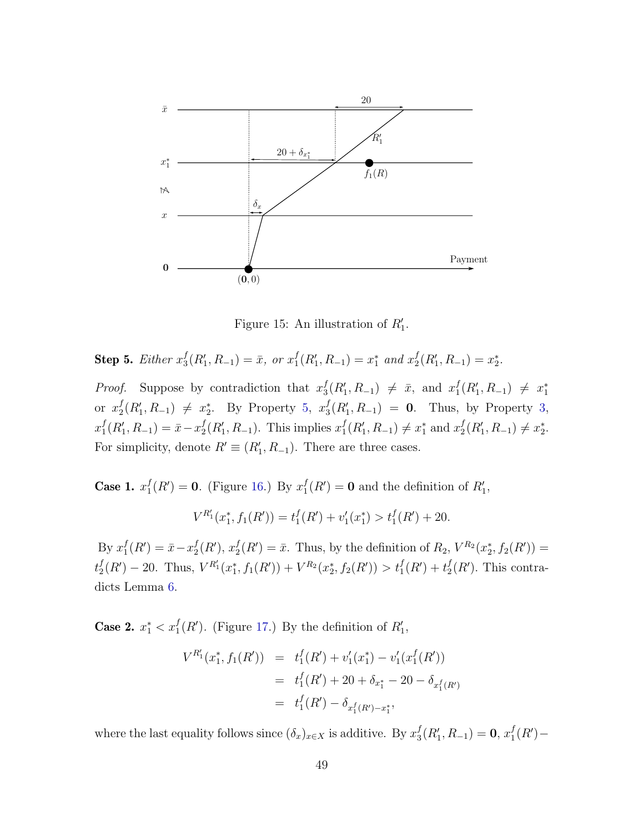

<span id="page-49-0"></span>Figure 15: An illustration of  $R'_1$ .

Step 5. Either 
$$
x_3^f(R'_1, R_{-1}) = \bar{x}
$$
, or  $x_1^f(R'_1, R_{-1}) = x_1^*$  and  $x_2^f(R'_1, R_{-1}) = x_2^*$ .

*Proof.* Suppose by contradiction that  $x_3^f$  ${}_{3}^{f}(R_1', R_{-1}) \neq \bar{x}$ , and  $x_1^f$  $j_1^f(R'_1,R_{-1}) \neq x_1^*$ or  $x_2^f$  $_2^f(R'_1, R_{-1}) \neq x_2^*$ . By Property [5,](#page-44-1)  $x_3^f$  $S_3^f(R'_1, R_{-1}) = 0$ . Thus, by Property [3,](#page-44-2)  $x_1^f$  $_1^f(R'_1, R_{-1}) = \bar{x} - x_2^f$  $_2^f(R'_1, R_{-1})$ . This implies  $x_1^f$  $f_1(R'_1, R_{-1}) \neq x_1^*$  and  $x_2^f$  $_2^f(R'_1, R_{-1}) \neq x_2^*$ . For simplicity, denote  $R' \equiv (R'_1, R_{-1})$ . There are three cases.

Case 1.  $x_1^f$  $j_1^f(R') = 0$ . (Figure [16.](#page-50-0)) By  $x_1^f$  $I_1^f(R') = 0$  and the definition of  $R'_1$ ,

$$
V^{R'_1}(x_1^*, f_1(R')) = t_1^f(R') + v_1'(x_1^*) > t_1^f(R') + 20.
$$

By  $x_1^f$  $_1^f(R') = \bar{x} - x_2^f$  $_{2}^{f}(R'), x_{2}^{f}$  $Z_2^f(R') = \bar{x}$ . Thus, by the definition of  $R_2$ ,  $V^{R_2}(x_2^*, f_2(R')) =$  $t_2^f$  $Z_2^f(R') - 20$ . Thus,  $V^{R'_1}(x_1^*, f_1(R')) + V^{R_2}(x_2^*, f_2(R')) > t_1^f(R') + t_2^f$  $_{2}^{f}(R')$ . This contradicts Lemma [6.](#page-30-1)

**Case 2.**  $x_1^* < x_1^f(R')$ . (Figure [17.](#page-50-1)) By the definition of  $R'_1$ ,

$$
V^{R'_1}(x_1^*, f_1(R')) = t_1^f(R') + v_1'(x_1^*) - v_1'(x_1^f(R'))
$$
  
=  $t_1^f(R') + 20 + \delta_{x_1^*} - 20 - \delta_{x_1^f(R')}$   
=  $t_1^f(R') - \delta_{x_1^f(R') - x_1^*}$ ,

where the last equality follows since  $(\delta_x)_{x \in X}$  is additive. By  $x_3^f$  $_3^f(R'_1,R_{-1})=0, x_1^f$  $_1^f(R')-$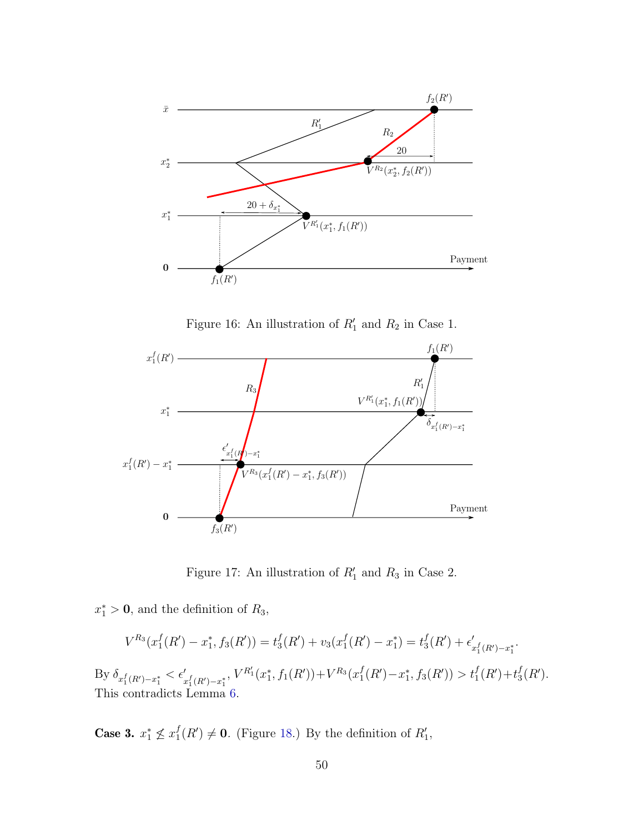

<span id="page-50-0"></span>Figure 16: An illustration of  $R'_1$  and  $R_2$  in Case 1.



<span id="page-50-1"></span>Figure 17: An illustration of  $R'_1$  and  $R_3$  in Case 2.

 $x_1^* > 0$ , and the definition of  $R_3$ ,

$$
V^{R_3}(x_1^f(R') - x_1^*, f_3(R')) = t_3^f(R') + v_3(x_1^f(R') - x_1^*) = t_3^f(R') + \epsilon'_{x_1^f(R') - x_1^*}.
$$

By  $\delta_{x_1^f(R')-x_1^*} < \epsilon'_{x_1^f(R')-x_1^*}$ ,  $V^{R'_1}(x_1^*, f_1(R')) + V^{R_3}(x_1^f)$  $f_1(R') - x_1^*, f_3(R') > t_1^f(R') + t_3^f$  $^f_3(R')$ . This contradicts Lemma [6.](#page-30-1)

Case 3.  $x_1^* \nleq x_1^f$  $f_1(R') \neq 0$ . (Figure [18.](#page-51-0)) By the definition of  $R'_1$ ,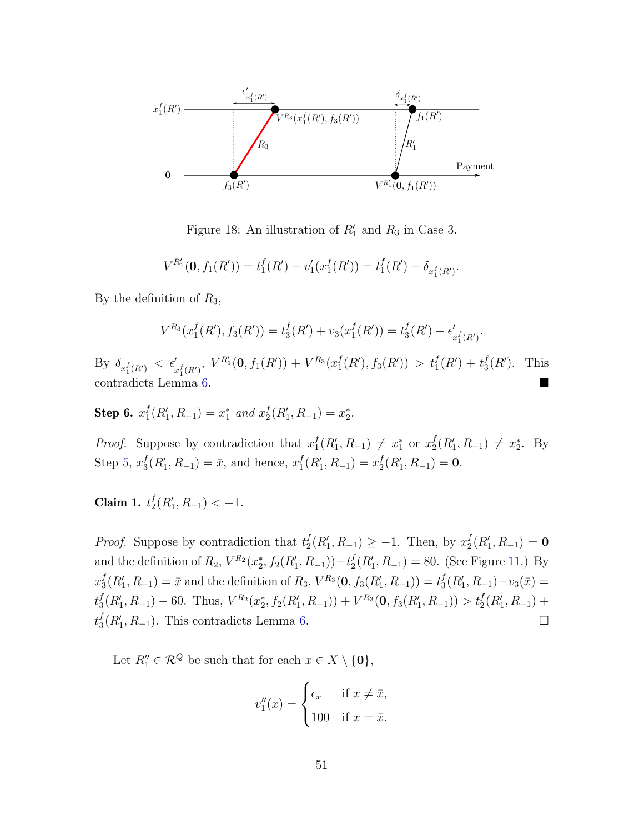

<span id="page-51-0"></span>Figure 18: An illustration of  $R'_1$  and  $R_3$  in Case 3.

$$
V^{R_1'}(\mathbf{0}, f_1(R')) = t_1^f(R') - v_1'(x_1^f(R')) = t_1^f(R') - \delta_{x_1^f(R')}.
$$

By the definition of  $R_3$ ,

$$
V^{R_3}(x_1^f(R'), f_3(R')) = t_3^f(R') + v_3(x_1^f(R')) = t_3^f(R') + \epsilon'_{x_1^f(R')}.
$$

By  $\delta_{x_1^f(R')} < \epsilon'_{x_1^f(R')}$ ,  $V^{R'_1}(\mathbf{0}, f_1(R')) + V^{R_3}(x_1^f)$  $t_1^f(R'), f_3(R') > t_1^f(R') + t_3^f$  $_{3}^{f}(R^{\prime}).$  This contradicts Lemma [6.](#page-30-1)

<span id="page-51-1"></span>Step 6.  $x_1^f$  $_1^f(R'_1, R_{-1}) = x_1^*$  and  $x_2^f$  $_2^f(R'_1, R_{-1}) = x_2^*.$ 

*Proof.* Suppose by contradiction that  $x_1^f$  $f_1(R'_1, R_{-1}) \neq x_1^*$  or  $x_2^f$  $_2^f(R'_1, R_{-1}) \neq x_2^*$ . By Step [5,](#page-41-2)  $x_3^f$  $_3^f(R'_1, R_{-1}) = \bar{x}$ , and hence,  $x_1^f$  $_1^f(R'_1, R_{-1}) = x_2^f$  $_{2}^{f}(R_{1}',R_{-1})=0.$ 

Claim 1.  $t_2^f$  $_{2}^{f}(R_{1}',R_{-1})<-1.$ 

*Proof.* Suppose by contradiction that  $t_2^f$  $_2^f(R'_1, R_{-1}) \geq -1$ . Then, by  $x_2^f$  $_2^f(R'_1,R_{-1})=0$ and the definition of  $R_2$ ,  $V^{R_2}(x_2^*, f_2(R'_1, R_{-1})) - t_2^f$  $_{2}^{f}(R_{1}',R_{-1})=80.$  (See Figure [11.](#page-42-2)) By  $x_3^f$  $S_3^f(R'_1, R_{-1}) = \bar{x}$  and the definition of  $R_3$ ,  $V^{R_3}(\mathbf{0}, f_3(R'_1, R_{-1})) = t_3^f$  $_3^f(R'_1,R_{-1})-v_3(\bar{x})=$  $t_3^f$  $S_3^f(R'_1, R_{-1}) - 60$ . Thus,  $V^{R_2}(x_2^*, f_2(R'_1, R_{-1})) + V^{R_3}(\mathbf{0}, f_3(R'_1, R_{-1})) > t_2^f(R'_1, R_{-1}) +$  $t_3^f$  $_3^f(R'_1, R_{-1})$ . This contradicts Lemma [6.](#page-30-1)

Let  $R_1'' \in \mathcal{R}^Q$  be such that for each  $x \in X \setminus \{0\},\$ 

$$
v_1''(x) = \begin{cases} \epsilon_x & \text{if } x \neq \bar{x}, \\ 100 & \text{if } x = \bar{x}. \end{cases}
$$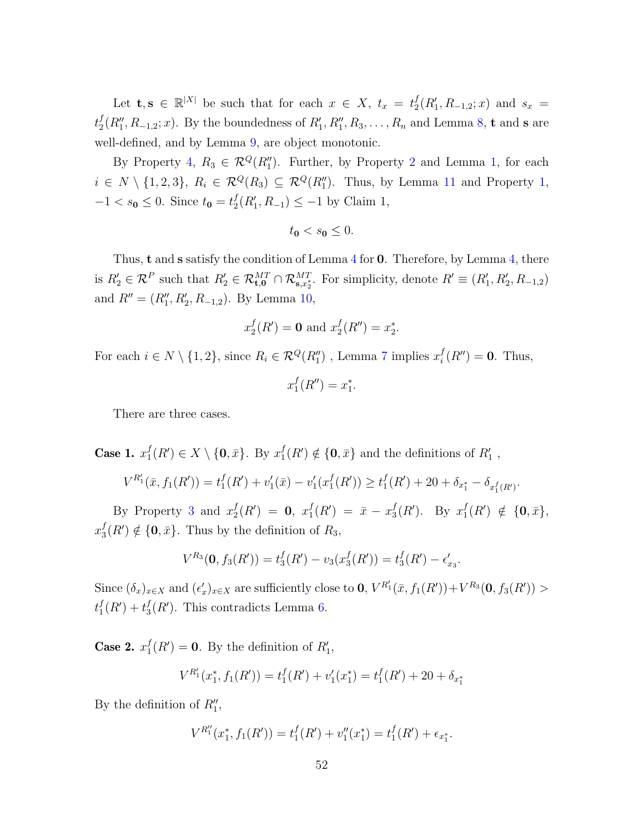Let  $\mathbf{t}, \mathbf{s} \in \mathbb{R}^{|X|}$  be such that for each  $x \in X$ ,  $t_x = t_2^f$  $_{2}^{f}(R_{1}', R_{-1,2}; x)$  and  $s_{x}$  =  $t_2^f$  $_{2}^{f}(R_{1}''',R_{-1,2};x)$ . By the boundedness of  $R_{1}',R_{1}'',R_{3},\ldots,R_{n}$  and Lemma [8,](#page-30-2) t and s are well-defined, and by Lemma [9,](#page-31-1) are object monotonic.

By Property [4,](#page-44-3)  $R_3 \in \mathcal{R}^Q(R_1'')$ . Further, by Property [2](#page-44-0) and Lemma [1,](#page-28-0) for each  $i \in N \setminus \{1,2,3\}, R_i \in \mathcal{R}^Q(R_3) \subseteq \mathcal{R}^Q(R_1'')$  $i \in N \setminus \{1,2,3\}, R_i \in \mathcal{R}^Q(R_3) \subseteq \mathcal{R}^Q(R_1'')$  $i \in N \setminus \{1,2,3\}, R_i \in \mathcal{R}^Q(R_3) \subseteq \mathcal{R}^Q(R_1'')$ . Thus, by Lemma [11](#page-31-3) and Property 1,  $-1 < s_0 \leq 0$ . Since  $t_0 = t_2^f$  $2^f(R'_1, R_{-1}) \leq -1$  by Claim 1,

$$
t_0 < s_0 \leq 0.
$$

Thus, t and s satisfy the condition of Lemma [4](#page-29-0) for 0. Therefore, by Lemma [4,](#page-29-0) there is  $R'_2 \in \mathcal{R}^P$  such that  $R'_2 \in \mathcal{R}_{\mathbf{t},\mathbf{0}}^{MT} \cap \mathcal{R}_{\mathbf{s},x_2^*}^{MT}$ . For simplicity, denote  $R' \equiv (R'_1, R'_2, R_{-1,2})$ and  $R'' = (R_1'', R_2', R_{-1,2})$ . By Lemma [10,](#page-31-2)

$$
x_2^f(R') = 0
$$
 and  $x_2^f(R'') = x_2^*$ .

For each  $i \in N \setminus \{1, 2\}$ , since  $R_i \in \mathcal{R}^Q(R''_1)$ , Lemma [7](#page-30-0) implies  $x_i^f$  $i<sub>i</sub><sup>f</sup>(R'') = 0$ . Thus,

$$
x_1^f(R'') = x_1^*.
$$

There are three cases.

Case 1.  $x_1^f$  $f_1(R') \in X \setminus \{0, \bar{x}\}.$  By  $x_1^f$  $f_1(R') \notin \{\mathbf{0}, \bar{x}\}\$ and the definitions of  $R'_1$ ,

$$
V^{R_1'}(\bar{x}, f_1(R')) = t_1^f(R') + v_1'(\bar{x}) - v_1'(x_1^f(R')) \ge t_1^f(R') + 20 + \delta_{x_1^*} - \delta_{x_1^f(R')}.
$$

By Property [3](#page-44-2) and  $x_2^f$  $_2^f(R') = 0, x_1^f$  $f_1(R') = \bar{x} - x_3^f$  ${}_{3}^{f}(R')$ . By  $x_1^f$  ${}_{1}^{f}(R') \notin \{0, \bar{x}\},\$  $x_3^f$  $_3^f(R') \notin \{0,\bar{x}\}.$  Thus by the definition of  $R_3$ ,

$$
V^{R_3}(\mathbf{0}, f_3(R')) = t_3^f(R') - v_3(x_3^f(R')) = t_3^f(R') - \epsilon_{x_3}'.
$$

Since  $(\delta_x)_{x\in X}$  and  $(\epsilon'_x)_{x\in X}$  are sufficiently close to **0**,  $V^{R'_1}(\bar{x}, f_1(R')) + V^{R_3}(\mathbf{0}, f_3(R')) >$  $t_1^f$  ${}_{1}^{f}(R')+t_{3}^{f}$  $_3^f(R')$ . This contradicts Lemma [6.](#page-30-1)

Case 2.  $x_1^f$  $_1^f(R') = 0$ . By the definition of  $R'_1$ ,

$$
V^{R_1'}(x_1^*, f_1(R')) = t_1^f(R') + v_1'(x_1^*) = t_1^f(R') + 20 + \delta_{x_1^*}
$$

By the definition of  $R_1''$ ,

$$
V^{R_1''}(x_1^*, f_1(R')) = t_1^f(R') + v_1''(x_1^*) = t_1^f(R') + \epsilon_{x_1^*}.
$$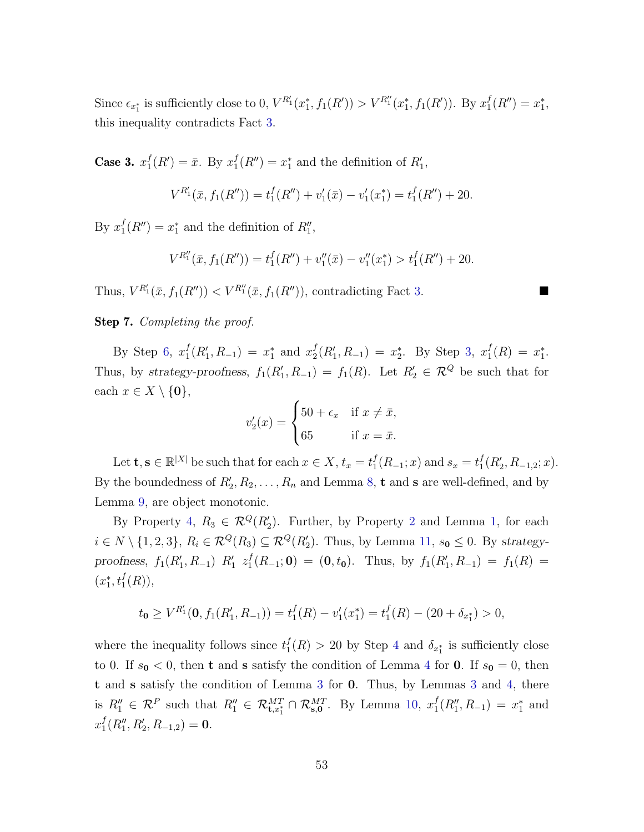Since  $\epsilon_{x_1^*}$  is sufficiently close to 0,  $V^{R'_1}(x_1^*, f_1(R')) > V^{R''_1}(x_1^*, f_1(R'))$ . By  $x_1^f$  $_1^f(R'')=x_1^*,$ this inequality contradicts Fact [3.](#page-31-0)

Case 3.  $x_1^f$  $j_1^f(R') = \bar{x}$ . By  $x_1^f$  $t_1^f(R'') = x_1^*$  and the definition of  $R'_1$ ,

$$
V^{R'_1}(\bar{x}, f_1(R'')) = t_1^f(R'') + v_1'(\bar{x}) - v_1'(x_1^*) = t_1^f(R'') + 20.
$$

By  $x_1^f$  $f_1(R'') = x_1^*$  and the definition of  $R''_1$ ,

$$
V^{R''_1}(\bar{x}, f_1(R'')) = t_1^f(R'') + v_1''(\bar{x}) - v_1''(x_1^*) > t_1^f(R'') + 20.
$$

Thus,  $V^{R'_1}(\bar{x}, f_1(R'')) < V^{R''_1}(\bar{x}, f_1(R''))$ , contradicting Fact [3.](#page-31-0)

#### Step 7. Completing the proof.

By Step [6,](#page-51-1)  $x_1^f$  $f_1(R'_1, R_{-1}) = x_1^*$  and  $x_2^f$  $_2^f(R'_1,R_{-1}) = x_2^*$ . By Step [3,](#page-36-1)  $x_1^f$  $_1^f(R) = x_1^*$ . Thus, by strategy-proofness,  $f_1(R'_1, R_{-1}) = f_1(R)$ . Let  $R'_2 \in \mathcal{R}^Q$  be such that for each  $x \in X \setminus \{0\},\$ 

$$
v_2'(x) = \begin{cases} 50 + \epsilon_x & \text{if } x \neq \bar{x}, \\ 65 & \text{if } x = \bar{x}. \end{cases}
$$

Let  $\mathbf{t}, \mathbf{s} \in \mathbb{R}^{|X|}$  be such that for each  $x \in X$ ,  $t_x = t_1^f$  $f_1(R_{-1}; x)$  and  $s_x = t_1^f$  $_{1}^{f}(R_{2},R_{-1,2};x).$ By the boundedness of  $R'_2, R_2, \ldots, R_n$  and Lemma [8,](#page-30-2) **t** and **s** are well-defined, and by Lemma [9,](#page-31-1) are object monotonic.

By Property [4,](#page-44-3)  $R_3 \in \mathcal{R}^Q(R'_2)$  $R_3 \in \mathcal{R}^Q(R'_2)$  $R_3 \in \mathcal{R}^Q(R'_2)$ . Further, by Property 2 and Lemma [1,](#page-28-0) for each  $i \in N \setminus \{1,2,3\}, R_i \in \mathcal{R}^Q(R_3) \subseteq \mathcal{R}^Q(R'_2)$ . Thus, by Lemma [11,](#page-31-3)  $s_0 \leq 0$ . By strategyproofness,  $f_1(R'_1, R_{-1})$   $R'_1$   $z_1^f$  $f_1^f(R_{-1};\mathbf{0}) = (\mathbf{0}, t_{\mathbf{0}}).$  Thus, by  $f_1(R'_1, R_{-1}) = f_1(R) =$  $(x_1^*, t_1^f(R)),$ 

$$
t_{\mathbf{0}} \ge V^{R'_1}(\mathbf{0}, f_1(R'_1, R_{-1})) = t_1^f(R) - v_1'(x_1^*) = t_1^f(R) - (20 + \delta_{x_1^*}) > 0,
$$

where the inequality follows since  $t_1^f$  $\mathcal{J}_1(R) > 20$  by Step [4](#page-39-0) and  $\delta_{x_1^*}$  is sufficiently close to 0. If  $s_0 < 0$ , then **t** and **s** satisfy the condition of Lemma [4](#page-29-0) for **0**. If  $s_0 = 0$ , then t and s satisfy the condition of Lemma [3](#page-29-1) for 0. Thus, by Lemmas [3](#page-29-1) and [4,](#page-29-0) there is  $R_1'' \in \mathcal{R}^P$  such that  $R_1'' \in \mathcal{R}^{MT}_{\mathbf{t},x_1^*} \cap \mathcal{R}^{MT}_{\mathbf{s},\mathbf{0}}$ . By Lemma [10,](#page-31-2)  $x_1^f$  $j_1^f(R_1'', R_{-1}) = x_1^*$  and  $x_1^f$  $_{1}^{f}(R_{1}''',R_{2}',R_{-1,2})=0.$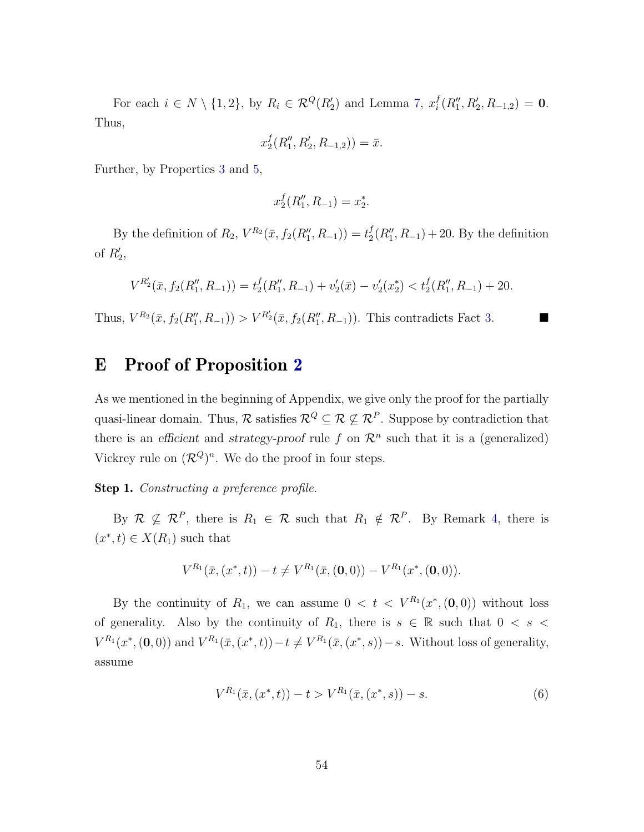For each  $i \in N \setminus \{1, 2\}$ , by  $R_i \in \mathcal{R}^Q(R'_2)$  and Lemma [7,](#page-30-0)  $x_i^f$  $i^f(R''_1, R'_2, R_{-1,2}) = 0.$ Thus,

$$
x_2^f(R_1'', R_2', R_{-1,2})) = \bar{x}.
$$

Further, by Properties [3](#page-44-2) and [5,](#page-44-1)

$$
x_2^f(R_1'', R_{-1}) = x_2^*.
$$

By the definition of  $R_2$ ,  $V^{R_2}(\bar{x}, f_2(R_1'', R_{-1})) = t_2^f$  $_{2}^{f}(R_{1}^{"}, R_{-1}) + 20$ . By the definition of  $R'_2$ ,

$$
V^{R'_2}(\bar{x}, f_2(R''_1, R_{-1})) = t_2^f(R''_1, R_{-1}) + v_2'(\bar{x}) - v_2'(x_2^*) < t_2^f(R''_1, R_{-1}) + 20.
$$

Thus,  $V^{R_2}(\bar{x}, f_2(R''_1, R_{-1})) > V^{R'_2}(\bar{x}, f_2(R''_1, R_{-1}))$ . This contradicts Fact [3.](#page-31-0)

# E Proof of Proposition [2](#page-22-0)

As we mentioned in the beginning of Appendix, we give only the proof for the partially quasi-linear domain. Thus,  $\mathcal{R}$  satisfies  $\mathcal{R}^Q \subseteq \mathcal{R} \not\subseteq \mathcal{R}^P$ . Suppose by contradiction that there is an efficient and strategy-proof rule f on  $\mathcal{R}^n$  such that it is a (generalized) Vickrey rule on  $(\mathcal{R}^Q)^n$ . We do the proof in four steps.

Step 1. Constructing a preference profile.

By  $\mathcal{R} \not\subseteq \mathcal{R}^P$ , there is  $R_1 \in \mathcal{R}$  such that  $R_1 \notin \mathcal{R}^P$ . By Remark [4,](#page-15-0) there is  $(x^*, t) \in X(R_1)$  such that

$$
V^{R_1}(\bar{x}, (x^*, t)) - t \neq V^{R_1}(\bar{x}, (0, 0)) - V^{R_1}(x^*, (0, 0)).
$$

By the continuity of  $R_1$ , we can assume  $0 < t < V^{R_1}(x^*, (0,0))$  without loss of generality. Also by the continuity of  $R_1$ , there is  $s \in \mathbb{R}$  such that  $0 \lt s \lt t$  $V^{R_1}(x^*, (0,0))$  and  $V^{R_1}(\bar{x}, (x^*, t)) - t \neq V^{R_1}(\bar{x}, (x^*, s)) - s$ . Without loss of generality, assume

<span id="page-54-0"></span>
$$
V^{R_1}(\bar{x}, (x^*, t)) - t > V^{R_1}(\bar{x}, (x^*, s)) - s.
$$
\n<sup>(6)</sup>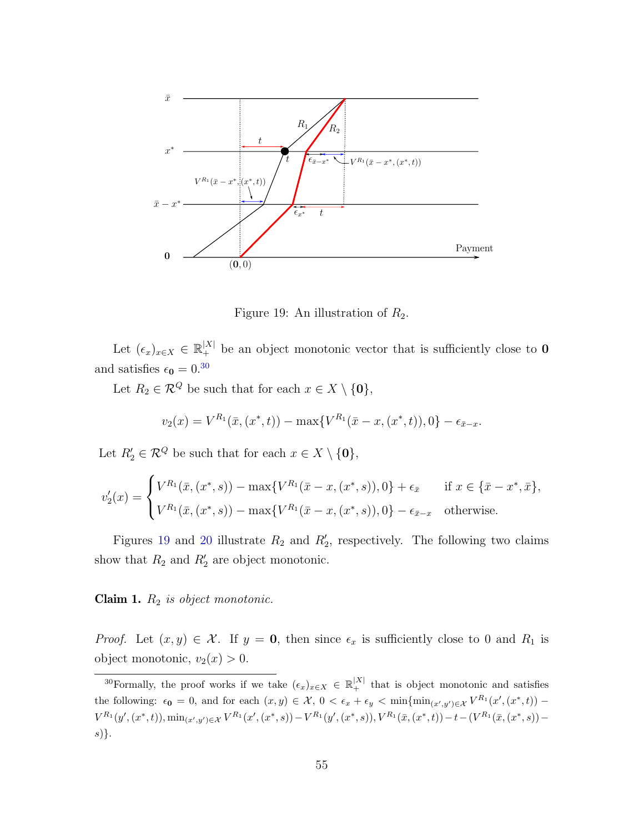

<span id="page-55-1"></span>Figure 19: An illustration of  $R_2$ .

Let  $(\epsilon_x)_{x \in X} \in \mathbb{R}_+^{|X|}$  be an object monotonic vector that is sufficiently close to **0** and satisfies  $\epsilon_0 = 0^{30}$  $\epsilon_0 = 0^{30}$  $\epsilon_0 = 0^{30}$ 

Let  $R_2 \in \mathcal{R}^Q$  be such that for each  $x \in X \setminus \{0\},\$ 

$$
v_2(x) = V^{R_1}(\bar{x}, (x^*, t)) - \max\{V^{R_1}(\bar{x} - x, (x^*, t)), 0\} - \epsilon_{\bar{x} - x}.
$$

Let  $R'_2 \in \mathcal{R}^Q$  be such that for each  $x \in X \setminus \{0\},\$ 

$$
v_2'(x) = \begin{cases} V^{R_1}(\bar{x}, (x^*, s)) - \max\{V^{R_1}(\bar{x} - x, (x^*, s)), 0\} + \epsilon_{\bar{x}} & \text{if } x \in \{\bar{x} - x^*, \bar{x}\},\\ V^{R_1}(\bar{x}, (x^*, s)) - \max\{V^{R_1}(\bar{x} - x, (x^*, s)), 0\} - \epsilon_{\bar{x} - x} & \text{otherwise.} \end{cases}
$$

Figures [19](#page-55-1) and [20](#page-56-0) illustrate  $R_2$  and  $R'_2$ , respectively. The following two claims show that  $R_2$  and  $R'_2$  are object monotonic.

**Claim 1.**  $R_2$  is object monotonic.

*Proof.* Let  $(x, y) \in \mathcal{X}$ . If  $y = 0$ , then since  $\epsilon_x$  is sufficiently close to 0 and  $R_1$  is object monotonic,  $v_2(x) > 0$ .

<span id="page-55-0"></span><sup>&</sup>lt;sup>30</sup>Formally, the proof works if we take  $(\epsilon_x)_{x \in X} \in \mathbb{R}^{|X|}_+$  that is object monotonic and satisfies the following:  $\epsilon_0 = 0$ , and for each  $(x, y) \in \mathcal{X}$ ,  $0 < \epsilon_x + \epsilon_y < \min\{\min_{(x', y') \in \mathcal{X}} V^{R_1}(x', (x^*, t)) V^{R_1}(y',(x^*,t)), \min_{(x',y')\in\mathcal{X}}V^{R_1}(x',(x^*,s))-V^{R_1}(y',(x^*,s)), V^{R_1}(\bar{x},(x^*,t))-t-(V^{R_1}(\bar{x},(x^*,s))-t)$ s)}.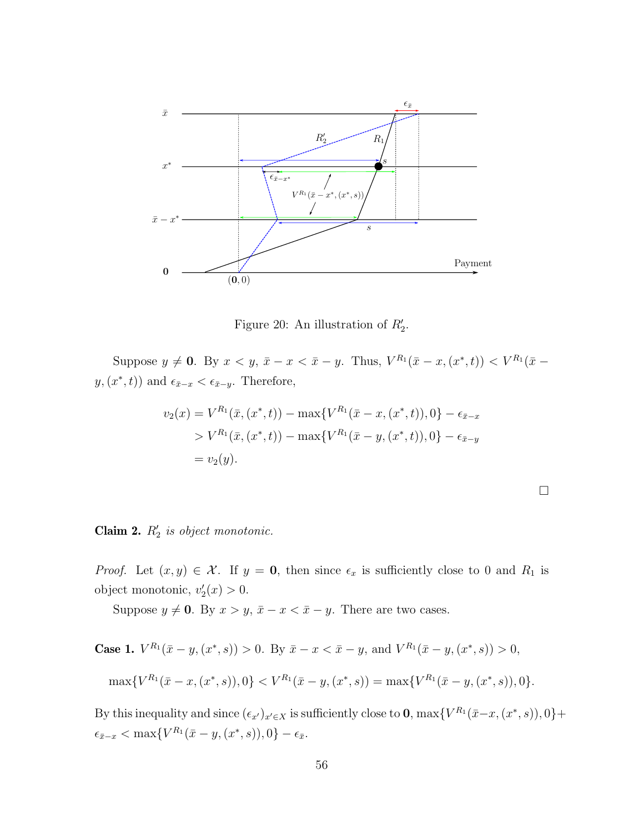

<span id="page-56-0"></span>Figure 20: An illustration of  $R'_2$ .

Suppose  $y \neq 0$ . By  $x < y$ ,  $\bar{x} - x < \bar{x} - y$ . Thus,  $V^{R_1}(\bar{x} - x, (x^*, t)) < V^{R_1}(\bar{x} - x, (x^*, t))$  $y, (x^*, t)$  and  $\epsilon_{\bar{x}-x} < \epsilon_{\bar{x}-y}$ . Therefore,

$$
v_2(x) = V^{R_1}(\bar{x}, (x^*, t)) - \max\{V^{R_1}(\bar{x} - x, (x^*, t)), 0\} - \epsilon_{\bar{x} - x}
$$
  
> 
$$
V^{R_1}(\bar{x}, (x^*, t)) - \max\{V^{R_1}(\bar{x} - y, (x^*, t)), 0\} - \epsilon_{\bar{x} - y}
$$
  
=  $v_2(y)$ .

## Claim 2.  $R'_2$  is object monotonic.

*Proof.* Let  $(x, y) \in \mathcal{X}$ . If  $y = 0$ , then since  $\epsilon_x$  is sufficiently close to 0 and  $R_1$  is object monotonic,  $v_2'(x) > 0$ .

Suppose  $y \neq 0$ . By  $x > y$ ,  $\bar{x} - x < \bar{x} - y$ . There are two cases.

**Case 1.** 
$$
V^{R_1}(\bar{x} - y, (x^*, s)) > 0
$$
. By  $\bar{x} - x < \bar{x} - y$ , and  $V^{R_1}(\bar{x} - y, (x^*, s)) > 0$ ,

$$
\max\{V^{R_1}(\bar{x}-x,(x^*,s)),0\} < V^{R_1}(\bar{x}-y,(x^*,s)) = \max\{V^{R_1}(\bar{x}-y,(x^*,s)),0\}.
$$

By this inequality and since  $(\epsilon_{x'})_{x'\in X}$  is sufficiently close to **0**, max $\{V^{R_1}(\bar{x}-x,(x^*,s)),0\}$ +  $\epsilon_{\bar{x}-x} < \max\{V^{R_1}(\bar{x}-y,(x^*,s)),0\} - \epsilon_{\bar{x}}.$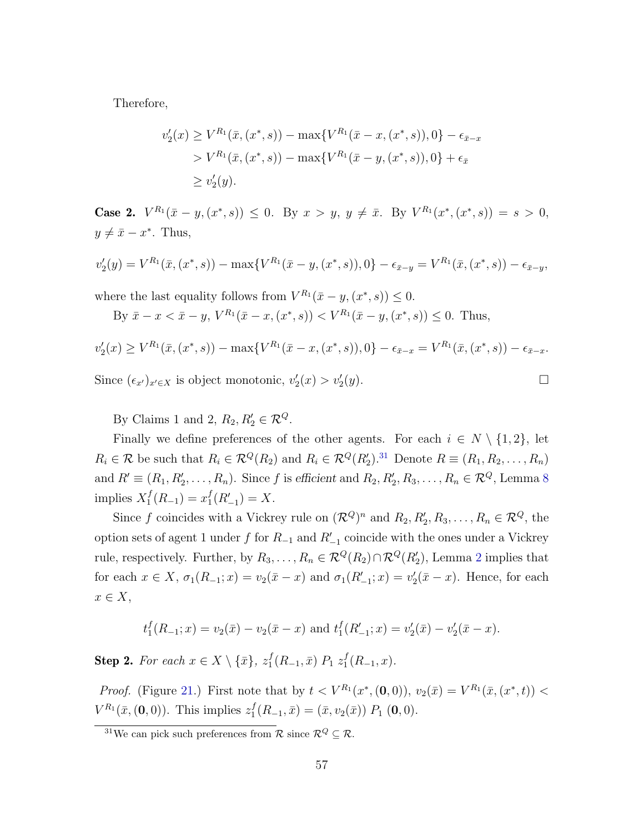Therefore,

$$
v_2'(x) \ge V^{R_1}(\bar{x}, (x^*, s)) - \max\{V^{R_1}(\bar{x} - x, (x^*, s)), 0\} - \epsilon_{\bar{x} - x}
$$
  
>  $V^{R_1}(\bar{x}, (x^*, s)) - \max\{V^{R_1}(\bar{x} - y, (x^*, s)), 0\} + \epsilon_{\bar{x}}$   
 $\ge v_2'(y).$ 

**Case 2.**  $V^{R_1}(\bar{x} - y, (x^*, s)) \leq 0$ . By  $x > y$ ,  $y \neq \bar{x}$ . By  $V^{R_1}(x^*, (x^*, s)) = s > 0$ ,  $y \neq \bar{x} - x^*$ . Thus,

$$
v_2'(y) = V^{R_1}(\bar{x}, (x^*, s)) - \max\{V^{R_1}(\bar{x} - y, (x^*, s)), 0\} - \epsilon_{\bar{x} - y} = V^{R_1}(\bar{x}, (x^*, s)) - \epsilon_{\bar{x} - y},
$$

where the last equality follows from  $V^{R_1}(\bar{x} - y, (x^*, s)) \leq 0$ .

By  $\bar{x} - x < \bar{x} - y$ ,  $V^{R_1}(\bar{x} - x, (x^*, s)) < V^{R_1}(\bar{x} - y, (x^*, s)) \leq 0$ . Thus,

 $v_2'(x) \ge V^{R_1}(\bar{x}, (x^*, s)) - \max\{V^{R_1}(\bar{x} - x, (x^*, s)), 0\} - \epsilon_{\bar{x}-x} = V^{R_1}(\bar{x}, (x^*, s)) - \epsilon_{\bar{x}-x}.$ Since  $(\epsilon_{x'})_{x' \in X}$  is object monotonic,  $v'_2(x) > v'_2$  $(y).$ 

By Claims 1 and 2,  $R_2, R'_2 \in \mathcal{R}^Q$ .

Finally we define preferences of the other agents. For each  $i \in N \setminus \{1,2\}$ , let  $R_i \in \mathcal{R}$  be such that  $R_i \in \mathcal{R}^Q(R_2)$  and  $R_i \in \mathcal{R}^Q(R'_2)$ .<sup>[31](#page-57-0)</sup> Denote  $R \equiv (R_1, R_2, \ldots, R_n)$ and  $R' \equiv (R_1, R'_2, \ldots, R_n)$ . Since f is efficient and  $R_2, R'_2, R_3, \ldots, R_n \in \mathcal{R}^Q$ , Lemma [8](#page-30-2) implies  $X_1^f$  $x_1^f(R_{-1}) = x_1^f$  $_{1}^{f}(R'_{-1})=X.$ 

Since f coincides with a Vickrey rule on  $(\mathcal{R}^Q)^n$  and  $R_2, R'_2, R_3, \ldots, R_n \in \mathcal{R}^Q$ , the option sets of agent 1 under f for  $R_{-1}$  and  $R'_{-1}$  coincide with the ones under a Vickrey rule, respectively. Further, by  $R_3, \ldots, R_n \in \mathcal{R}^Q(R_2) \cap \mathcal{R}^Q(R'_2)$  $R_3, \ldots, R_n \in \mathcal{R}^Q(R_2) \cap \mathcal{R}^Q(R'_2)$  $R_3, \ldots, R_n \in \mathcal{R}^Q(R_2) \cap \mathcal{R}^Q(R'_2)$ , Lemma 2 implies that for each  $x \in X$ ,  $\sigma_1(R_{-1}; x) = v_2(\bar{x} - x)$  and  $\sigma_1(R'_{-1}; x) = v'_2(\bar{x} - x)$ . Hence, for each  $x \in X$ ,

$$
t_1^f(R_{-1};x) = v_2(\bar{x}) - v_2(\bar{x} - x)
$$
 and  $t_1^f(R'_{-1};x) = v'_2(\bar{x}) - v'_2(\bar{x} - x)$ .

**Step 2.** For each  $x \in X \setminus {\bar{x}}$ ,  $z_1^f$  $_1^f(R_{-1}, \bar{x}) P_1 z_1^f$  $_{1}^{J}(R_{-1},x).$ 

*Proof.* (Figure [21.](#page-58-0)) First note that by  $t < V^{R_1}(x^*, (0,0))$ ,  $v_2(\bar{x}) = V^{R_1}(\bar{x}, (x^*, t))$  $V^{R_1}(\bar{x}, (\mathbf{0}, 0))$ . This implies  $z_1^f$  $I_1^J(R_{-1}, \bar{x}) = (\bar{x}, v_2(\bar{x})) P_1 (0, 0).$ 

<span id="page-57-0"></span><sup>&</sup>lt;sup>31</sup>We can pick such preferences from  $\mathcal{R}$  since  $\mathcal{R}^Q \subseteq \mathcal{R}$ .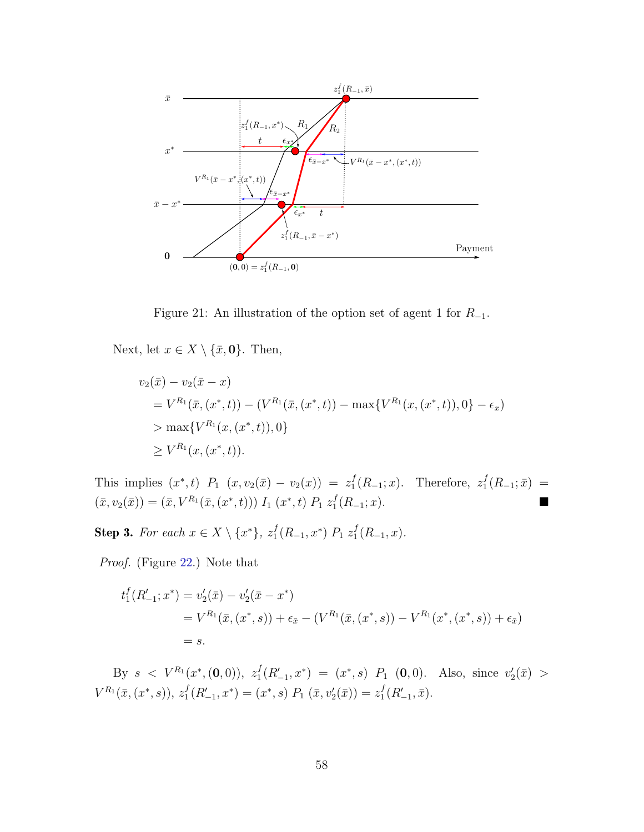

<span id="page-58-0"></span>Figure 21: An illustration of the option set of agent 1 for  $R_{-1}$ .

Next, let  $x \in X \setminus {\bar{x}, 0}$ . Then,

$$
v_2(\bar{x}) - v_2(\bar{x} - x)
$$
  
=  $V^{R_1}(\bar{x}, (x^*, t)) - (V^{R_1}(\bar{x}, (x^*, t)) - \max\{V^{R_1}(x, (x^*, t)), 0\} - \epsilon_x)$   
>  $\max\{V^{R_1}(x, (x^*, t)), 0\}$   
 $\geq V^{R_1}(x, (x^*, t)).$ 

This implies  $(x^*, t)$   $P_1$   $(x, v_2(\bar{x}) - v_2(x)) = z_1^f$  $j_1^f(R_{-1};x)$ . Therefore,  $z_1^f$  $i_1^J(R_{-1};\bar{x}) =$  $(\bar{x}, v_2(\bar{x})) = (\bar{x}, V^{R_1}(\bar{x}, (x^*, t))) I_1(x^*, t) P_1 z_1^t$  $_1^f(R_{-1};x)$ .

**Step 3.** For each  $x \in X \setminus \{x^*\}, z_1^f$  $_1^f(R_{-1},x^*)$   $P_1 z_1^f$  $_{1}^{J}(R_{-1},x).$ 

Proof. (Figure [22.](#page-59-0)) Note that

$$
t_1^f(R'_{-1}; x^*) = v_2'(\bar{x}) - v_2'(\bar{x} - x^*)
$$
  
=  $V^{R_1}(\bar{x}, (x^*, s)) + \epsilon_{\bar{x}} - (V^{R_1}(\bar{x}, (x^*, s)) - V^{R_1}(x^*, (x^*, s)) + \epsilon_{\bar{x}})$   
=  $s$ .

By  $s \, \langle V^{R_1}(x^*,(0,0)), z_1^f \rangle$  $f_1^f(R'_{-1}, x^*) = (x^*, s) P_1 (0, 0)$ . Also, since  $v_2'(\bar{x}) >$  $V^{R_1}(\bar x,(x^*,s)), z_1^f$  $I_1^f(R'_{-1},x^*) = (x^*,s) P_1(\bar{x},v'_2(\bar{x})) = z_1^f$  $_{1}^{f}(R_{-1}',\bar{x}).$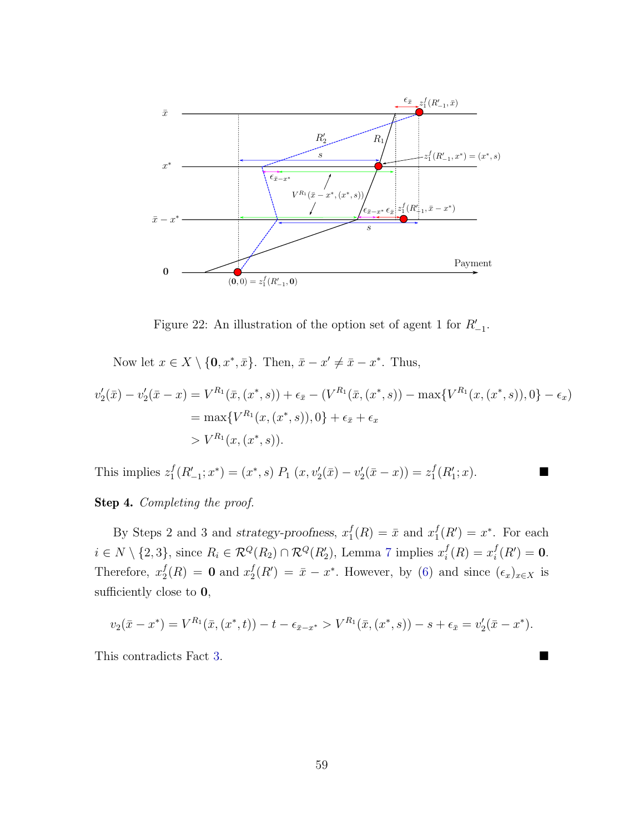

<span id="page-59-0"></span>Figure 22: An illustration of the option set of agent 1 for  $R'_{-1}$ .

Now let  $x \in X \setminus \{0, x^*, \bar{x}\}.$  Then,  $\bar{x} - x' \neq \bar{x} - x^*$ . Thus,

$$
v_2'(\bar{x}) - v_2'(\bar{x} - x) = V^{R_1}(\bar{x}, (x^*, s)) + \epsilon_{\bar{x}} - (V^{R_1}(\bar{x}, (x^*, s)) - \max\{V^{R_1}(x, (x^*, s)), 0\} - \epsilon_x)
$$
  
= 
$$
\max\{V^{R_1}(x, (x^*, s)), 0\} + \epsilon_{\bar{x}} + \epsilon_x
$$
  
> 
$$
V^{R_1}(x, (x^*, s)).
$$

This implies  $z_1^f$  ${}_{1}^{f}(R'_{-1};x^*) = (x^*,s) P_1 (x,v'_2(\bar{x}) - v'_2(\bar{x} - x)) = z_1^f$  $_{1}^{f}(R_{1}'; x)$ .

Step 4. Completing the proof.

By Steps 2 and 3 and strategy-proofness,  $x_1^f$  $j_1^f(R) = \bar{x}$  and  $x_1^f$  $j_1^f(R') = x^*$ . For each  $i \in N \setminus \{2,3\}$ , since  $R_i \in \mathcal{R}^Q(R_2) \cap \mathcal{R}^Q(R'_2)$ , Lemma [7](#page-30-0) implies  $x_i^f$  $i^f(R) = x_i^f$  $i^f(R') = 0.$ Therefore,  $x_2^f$  $\frac{f}{2}(R) = 0$  and  $x_2^f$  $Z_2^f(R') = \bar{x} - x^*$ . However, by [\(6\)](#page-54-0) and since  $(\epsilon_x)_{x \in X}$  is sufficiently close to 0,

$$
v_2(\bar{x} - x^*) = V^{R_1}(\bar{x}, (x^*, t)) - t - \epsilon_{\bar{x} - x^*} > V^{R_1}(\bar{x}, (x^*, s)) - s + \epsilon_{\bar{x}} = v_2'(\bar{x} - x^*).
$$

This contradicts Fact [3.](#page-31-0)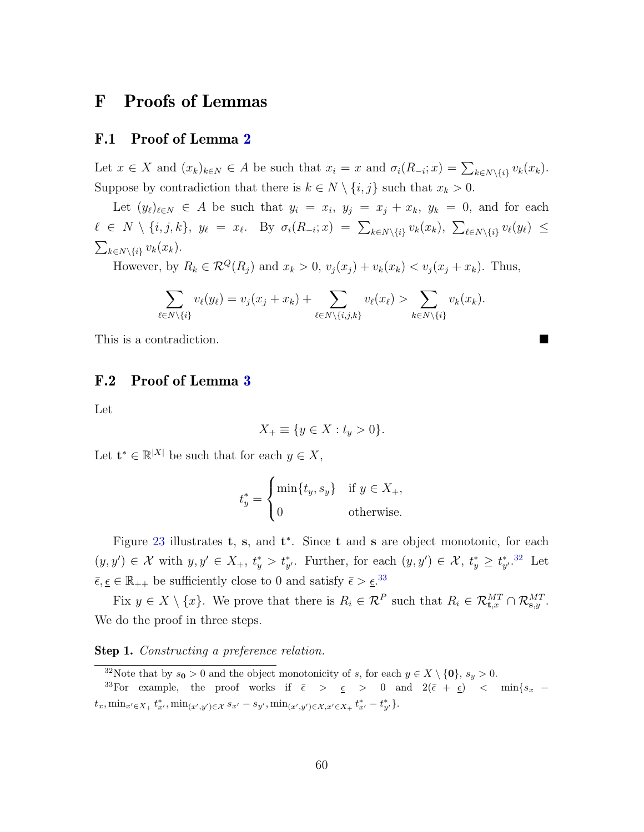# F Proofs of Lemmas

## F.1 Proof of Lemma [2](#page-28-1)

Let  $x \in X$  and  $(x_k)_{k \in N} \in A$  be such that  $x_i = x$  and  $\sigma_i(R_{-i}; x) = \sum_{k \in N \setminus \{i\}} v_k(x_k)$ . Suppose by contradiction that there is  $k \in N \setminus \{i, j\}$  such that  $x_k > 0$ .

Let  $(y_\ell)_{\ell \in N} \in A$  be such that  $y_i = x_i, y_j = x_j + x_k, y_k = 0$ , and for each  $\ell \in N \setminus \{i, j, k\}, y_{\ell} = x_{\ell}$ . By  $\sigma_i(R_{-i}; x) = \sum_{k \in N \setminus \{i\}} v_k(x_k)$ ,  $\sum_{\ell \in N \setminus \{i\}} v_{\ell}(y_{\ell}) \le$  $\sum_{k \in N \setminus \{i\}} v_k(x_k).$ 

However, by  $R_k \in \mathcal{R}^Q(R_j)$  and  $x_k > 0$ ,  $v_j(x_j) + v_k(x_k) < v_j(x_j + x_k)$ . Thus,

$$
\sum_{\ell \in N \setminus \{i\}} v_{\ell}(y_{\ell}) = v_j(x_j + x_k) + \sum_{\ell \in N \setminus \{i,j,k\}} v_{\ell}(x_{\ell}) > \sum_{k \in N \setminus \{i\}} v_k(x_k).
$$

This is a contradiction.

### F.2 Proof of Lemma [3](#page-29-1)

Let

$$
X_{+} \equiv \{ y \in X : t_{y} > 0 \}.
$$

Let  $\mathbf{t}^* \in \mathbb{R}^{|X|}$  be such that for each  $y \in X$ ,

$$
t_y^* = \begin{cases} \min\{t_y, s_y\} & \text{if } y \in X_+, \\ 0 & \text{otherwise.} \end{cases}
$$

Figure [23](#page-61-0) illustrates  $t, s$ , and  $t^*$ . Since  $t$  and  $s$  are object monotonic, for each  $(y, y') \in \mathcal{X}$  with  $y, y' \in X_+, t_y^* > t_{y'}^*$ . Further, for each  $(y, y') \in \mathcal{X}, t_y^* \geq t_{y'}^*$ . Let  $\bar{\epsilon}, \underline{\epsilon} \in \mathbb{R}_{++}$  be sufficiently close to 0 and satisfy  $\bar{\epsilon} > \underline{\epsilon}$ .<sup>[33](#page-60-1)</sup>

Fix  $y \in X \setminus \{x\}$ . We prove that there is  $R_i \in \mathcal{R}^P$  such that  $R_i \in \mathcal{R}_{\mathbf{t},x}^{MT} \cap \mathcal{R}_{\mathbf{s},y}^{MT}$ . We do the proof in three steps.

**Step 1.** Constructing a preference relation.

<span id="page-60-1"></span><span id="page-60-0"></span><sup>&</sup>lt;sup>32</sup>Note that by  $s_0 > 0$  and the object monotonicity of s, for each  $y \in X \setminus \{0\}$ ,  $s_y > 0$ .

<sup>&</sup>lt;sup>33</sup>For example, the proof works if  $\bar{\epsilon}$  >  $\epsilon$  > 0 and  $2(\bar{\epsilon} + \epsilon)$  < min{ $s_x$   $t_x, \min_{x' \in X_+} t^*_{x'}, \min_{(x',y') \in \mathcal{X}} s_{x'} - s_{y'}, \min_{(x',y') \in \mathcal{X}, x' \in X_+} t^*_{x'} - t^*_{y'} \}.$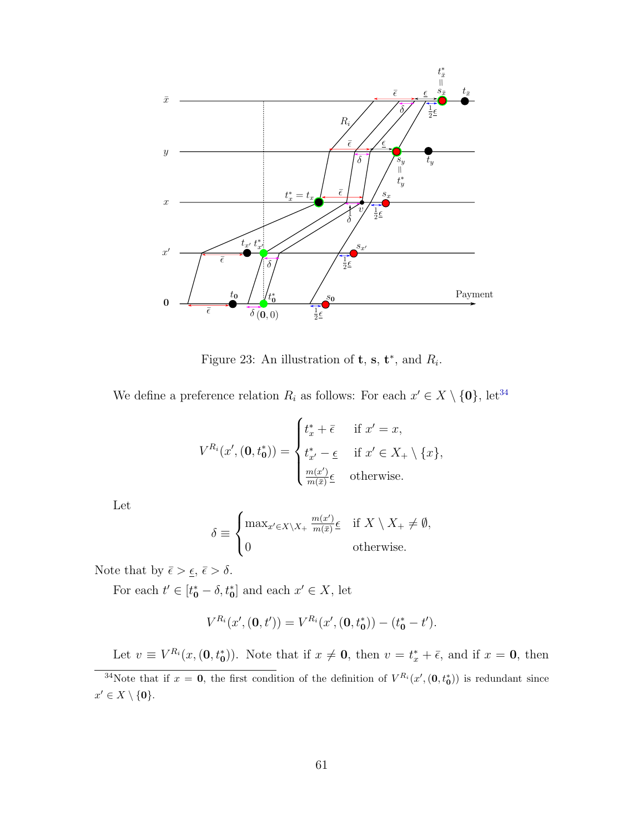

<span id="page-61-0"></span>Figure 23: An illustration of **t**, **s**, **t**<sup>\*</sup>, and  $R_i$ .

We define a preference relation  $R_i$  as follows: For each  $x' \in X \setminus \{0\}$ , let<sup>[34](#page-61-1)</sup>

$$
V^{R_i}(x', (\mathbf{0}, t_0^*)) = \begin{cases} t_x^* + \overline{\epsilon} & \text{if } x' = x, \\ t_{x'}^* - \underline{\epsilon} & \text{if } x' \in X_+ \setminus \{x\}, \\ \frac{m(x')}{m(\overline{x})} \underline{\epsilon} & \text{otherwise.} \end{cases}
$$

Let

$$
\delta \equiv \begin{cases} \max_{x' \in X \setminus X_+} \frac{m(x')}{m(\bar{x})} \epsilon & \text{if } X \setminus X_+ \neq \emptyset, \\ 0 & \text{otherwise.} \end{cases}
$$

Note that by  $\bar{\epsilon} > \underline{\epsilon}, \bar{\epsilon} > \delta$ .

For each  $t' \in [t_0^* - \delta, t_0^*]$  and each  $x' \in X$ , let

$$
V^{R_i}(x', (0, t')) = V^{R_i}(x', (0, t_0^*)) - (t_0^* - t').
$$

<span id="page-61-1"></span>Let  $v \equiv V^{R_i}(x, (0, t_0^*))$ . Note that if  $x \neq 0$ , then  $v = t_x^* + \overline{\epsilon}$ , and if  $x = 0$ , then

<sup>&</sup>lt;sup>34</sup>Note that if  $x = 0$ , the first condition of the definition of  $V^{R_i}(x', (0, t_0^*))$  is redundant since  $x' \in X \setminus \{\mathbf{0}\}.$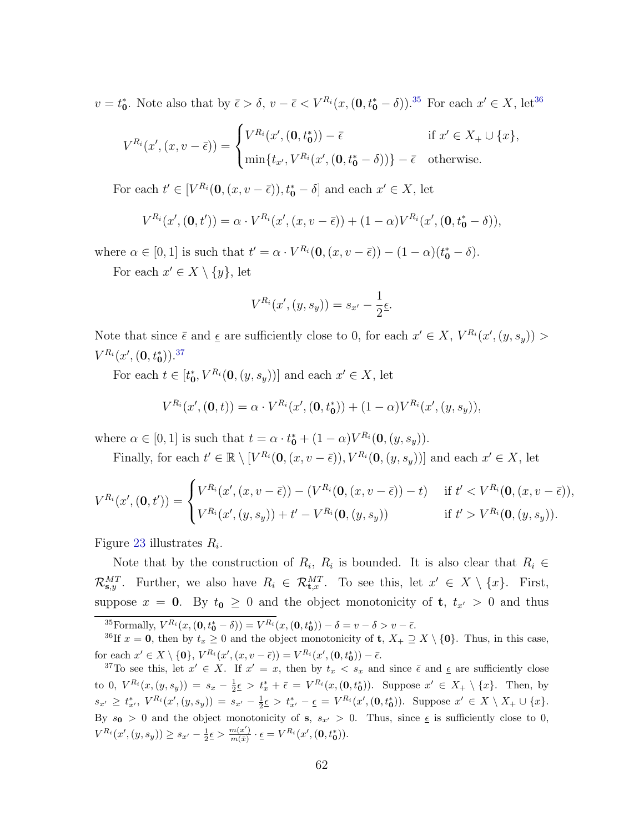$v = t_0^*$ . Note also that by  $\bar{\epsilon} > \delta$ ,  $v - \bar{\epsilon} < V^{R_i}(x, (\mathbf{0}, t_0^* - \delta))$ .<sup>[35](#page-62-0)</sup> For each  $x' \in X$ , let<sup>[36](#page-62-1)</sup>

$$
V^{R_i}(x',(x,v-\bar{\epsilon})) = \begin{cases} V^{R_i}(x',(0,t_0^*)) - \bar{\epsilon} & \text{if } x' \in X_+ \cup \{x\}, \\ \min\{t_{x'}, V^{R_i}(x',(0,t_0^*-\delta))\} - \bar{\epsilon} & \text{otherwise.} \end{cases}
$$

For each  $t' \in [V^{R_i}(\mathbf{0}, (x, v - \bar{\epsilon})), t^*_{\mathbf{0}} - \delta]$  and each  $x' \in X$ , let

$$
V^{R_i}(x', (\mathbf{0}, t')) = \alpha \cdot V^{R_i}(x', (x, v - \bar{\epsilon})) + (1 - \alpha)V^{R_i}(x', (\mathbf{0}, t_0^* - \delta)),
$$

where  $\alpha \in [0,1]$  is such that  $t' = \alpha \cdot V^{R_i}(\mathbf{0}, (x, v - \bar{\epsilon})) - (1 - \alpha)(t^*_{\mathbf{0}} - \delta).$ 

For each  $x' \in X \setminus \{y\}$ , let

$$
V^{R_i}(x', (y, s_y)) = s_{x'} - \frac{1}{2} \underline{\epsilon}.
$$

Note that since  $\bar{\epsilon}$  and  $\underline{\epsilon}$  are sufficiently close to 0, for each  $x' \in X$ ,  $V^{R_i}(x', (y, s_y)) >$  $V^{R_i}(x', (\mathbf{0},t^*_{\mathbf{0}})).^{37}$  $V^{R_i}(x', (\mathbf{0},t^*_{\mathbf{0}})).^{37}$  $V^{R_i}(x', (\mathbf{0},t^*_{\mathbf{0}})).^{37}$ 

For each  $t \in [t_0^*, V^{R_i}(\mathbf{0}, (y, s_y))]$  and each  $x' \in X$ , let

$$
V^{R_i}(x',(\mathbf{0},t)) = \alpha \cdot V^{R_i}(x',(\mathbf{0},t^*_{\mathbf{0}})) + (1-\alpha)V^{R_i}(x',(y,s_y)),
$$

where  $\alpha \in [0,1]$  is such that  $t = \alpha \cdot t_0^* + (1 - \alpha)V^{R_i}(\mathbf{0}, (y, s_y)).$ 

Finally, for each  $t' \in \mathbb{R} \setminus [V^{R_i}(\mathbf{0}, (x, v - \bar{\epsilon})), V^{R_i}(\mathbf{0}, (y, s_y))]$  and each  $x' \in X$ , let

$$
V^{R_i}(x', (\mathbf{0}, t')) = \begin{cases} V^{R_i}(x', (x, v - \bar{\epsilon})) - (V^{R_i}(\mathbf{0}, (x, v - \bar{\epsilon})) - t) & \text{if } t' < V^{R_i}(\mathbf{0}, (x, v - \bar{\epsilon})), \\ V^{R_i}(x', (y, s_y)) + t' - V^{R_i}(\mathbf{0}, (y, s_y)) & \text{if } t' > V^{R_i}(\mathbf{0}, (y, s_y)). \end{cases}
$$

Figure [23](#page-61-0) illustrates  $R_i$ .

Note that by the construction of  $R_i$ ,  $R_i$  is bounded. It is also clear that  $R_i \in$  $\mathcal{R}_{\mathbf{s},y}^{MT}$ . Further, we also have  $R_i \in \mathcal{R}_{\mathbf{t},x}^{MT}$ . To see this, let  $x' \in X \setminus \{x\}$ . First, suppose  $x = 0$ . By  $t_0 \geq 0$  and the object monotonicity of  $t, t_{x'} > 0$  and thus

<span id="page-62-1"></span><span id="page-62-0"></span><sup>35</sup> Formally,  $V^{R_i}(x, (0, t_0^* - \delta)) = V^{R_i}(x, (0, t_0^*)) - \delta = v - \delta > v - \bar{\epsilon}.$ 

<sup>36</sup>If  $x = 0$ , then by  $t_x \ge 0$  and the object monotonicity of **t**,  $X_+ \supseteq X \setminus \{0\}$ . Thus, in this case, for each  $x' \in X \setminus \{\mathbf{0}\}, V^{R_i}(x', (x, v - \bar{\epsilon})) = V^{R_i}(x', (\mathbf{0}, t^*_{\mathbf{0}})) - \bar{\epsilon}.$ 

<span id="page-62-2"></span><sup>37</sup>To see this, let  $x' \in X$ . If  $x' = x$ , then by  $t_x < s_x$  and since  $\bar{\epsilon}$  and  $\underline{\epsilon}$  are sufficiently close to 0,  $V^{R_i}(x,(y,s_y)) = s_x - \frac{1}{2}\epsilon > t_x^* + \bar{\epsilon} = V^{R_i}(x,(0,t_0^*)).$  Suppose  $x' \in X_+ \setminus \{x\}$ . Then, by  $s_{x'} \ge t_{x'}^*, V^{R_i}(x', (y, s_y)) = s_{x'} - \frac{1}{2} \epsilon > t_{x'}^* - \epsilon = V^{R_i}(x', (0, t_0^*)).$  Suppose  $x' \in X \setminus X_+ \cup \{x\}.$ By  $s_0 > 0$  and the object monotonicity of s,  $s_{x'} > 0$ . Thus, since  $\epsilon$  is sufficiently close to 0,  $V^{R_i}(x', (y, s_y)) \geq s_{x'} - \frac{1}{2} \epsilon > \frac{m(x')}{m(\bar{x})}$  $\frac{m(x')}{m(\bar{x})}\cdot \underline{\epsilon} = V^{R_i}(x', (\mathbf{0},t^*_{\mathbf{0}})).$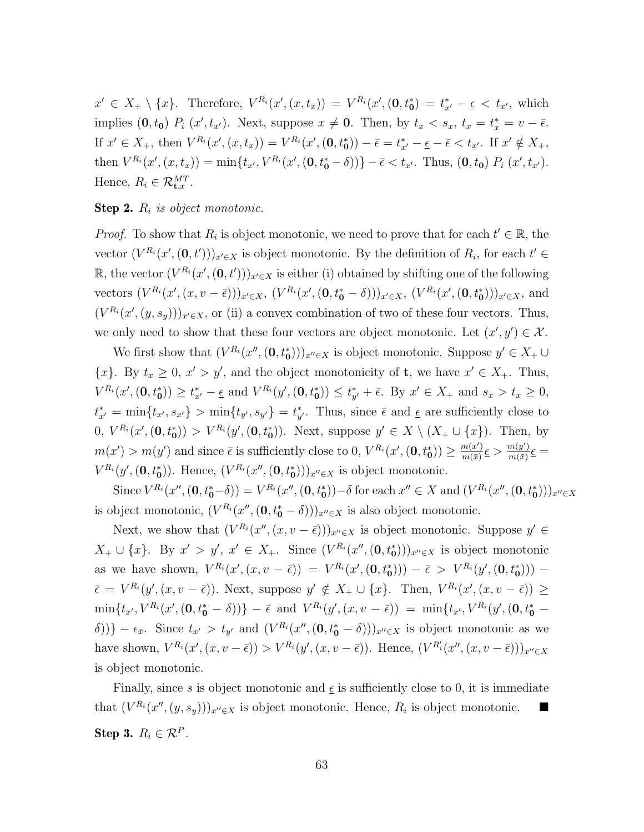$x' \in X_+ \setminus \{x\}.$  Therefore,  $V^{R_i}(x', (x, t_x)) = V^{R_i}(x', (0, t_0^*)) = t_{x'}^* - \underline{\epsilon} < t_{x'},$  which implies  $(0, t_0)$   $P_i(x', t_{x'})$ . Next, suppose  $x \neq 0$ . Then, by  $t_x < s_x$ ,  $t_x = t_x^* = v - \bar{\epsilon}$ . If  $x' \in X_+$ , then  $V^{R_i}(x', (x, t_x)) = V^{R_i}(x', (0, t_0^*)) - \bar{\epsilon} = t_{x'}^* - \underline{\epsilon} - \bar{\epsilon} < t_{x'}$ . If  $x' \notin X_+$ , then  $V^{R_i}(x', (x, t_x)) = \min\{t_{x'}, V^{R_i}(x', (0, t_0^* - \delta))\} - \bar{\epsilon} < t_{x'}$ . Thus,  $(0, t_0)$   $P_i(x', t_{x'})$ . Hence,  $R_i \in \mathcal{R}_{\mathbf{t},x}^{MT}$ .

#### **Step 2.**  $R_i$  is object monotonic.

*Proof.* To show that  $R_i$  is object monotonic, we need to prove that for each  $t' \in \mathbb{R}$ , the vector  $(V^{R_i}(x', (0, t'))_{x' \in X}$  is object monotonic. By the definition of  $R_i$ , for each  $t' \in$ R, the vector  $(V^{R_i}(x', (0, t'))_{x' \in X}$  is either (i) obtained by shifting one of the following vectors  $(V^{R_i}(x', (x, v - \bar{\epsilon})))_{x' \in X}, (V^{R_i}(x', (0, t_0^* - \delta)))_{x' \in X}, (V^{R_i}(x', (0, t_0^*)))_{x' \in X},$  and  $(V^{R_i}(x', (y, s_y)))_{x' \in X}$ , or (ii) a convex combination of two of these four vectors. Thus, we only need to show that these four vectors are object monotonic. Let  $(x', y') \in \mathcal{X}$ .

We first show that  $(V^{R_i}(x'', (0, t_0^*)))_{x'' \in X}$  is object monotonic. Suppose  $y' \in X_+ \cup$  $\{x\}$ . By  $t_x \geq 0$ ,  $x' > y'$ , and the object monotonicity of **t**, we have  $x' \in X_+$ . Thus,  $V^{R_i}(x',(\mathbf{0},t^*_{\mathbf{0}})) \geq t^*_{x'} - \epsilon$  and  $V^{R_i}(y',(\mathbf{0},t^*_{\mathbf{0}})) \leq t^*_{y'} + \bar{\epsilon}$ . By  $x' \in X_+$  and  $s_x > t_x \geq 0$ ,  $t_{x'}^* = \min\{t_{x'}, s_{x'}\} > \min\{t_{y'}, s_{y'}\} = t_{y'}^*$ . Thus, since  $\bar{\epsilon}$  and  $\underline{\epsilon}$  are sufficiently close to  $(0, V^{R_i}(x', (0, t_0^*)) > V^{R_i}(y', (0, t_0^*))$ . Next, suppose  $y' \in X \setminus (X_+ \cup \{x\})$ . Then, by  $m(x') > m(y')$  and since  $\bar{\epsilon}$  is sufficiently close to 0,  $V^{R_i}(x', (\mathbf{0}, t_0^*)) \geq \frac{m(x')}{m(\bar{x})}$  $\frac{m(x')}{m(\bar{x})}\underline{\epsilon} > \frac{m(y')}{m(\bar{x})}$  $\frac{m(y)}{m(\bar{x})}\underline{\epsilon} =$  $V^{R_i}(y', (0, t_0^*))$ . Hence,  $(V^{R_i}(x'', (0, t_0^*)))_{x'' \in X}$  is object monotonic.

Since  $V^{R_i}(x'', (\mathbf{0}, t^*_{\mathbf{0}}) = V^{R_i}(x'', (\mathbf{0}, t^*_{\mathbf{0}})) - \delta$  for each  $x'' \in X$  and  $(V^{R_i}(x'', (\mathbf{0}, t^*_{\mathbf{0}})))_{x'' \in X}$ is object monotonic,  $(V^{R_i}(x'', (0, t_0^* - \delta)))_{x'' \in X}$  is also object monotonic.

Next, we show that  $(V^{R_i}(x'',(x,v-\overline{\epsilon})))_{x''\in X}$  is object monotonic. Suppose  $y' \in$  $X_+ \cup \{x\}$ . By  $x' > y'$ ,  $x' \in X_+$ . Since  $(V^{R_i}(x'', (\mathbf{0}, t^*_{\mathbf{0}})))_{x'' \in X}$  is object monotonic as we have shown,  $V^{R_i}(x', (x, v - \bar{\epsilon})) = V^{R_i}(x', (0, t_0^*))) - \bar{\epsilon} > V^{R_i}(y', (0, t_0^*))) \bar{\epsilon} = V^{R_i}(y', (x, v - \bar{\epsilon}))$ . Next, suppose  $y' \notin X_+ \cup \{x\}$ . Then,  $V^{R_i}(x', (x, v - \bar{\epsilon})) \ge$  $\min\{t_{x'}, V^{R_i}(x', (\mathbf{0}, t_0^* - \delta))\} - \bar{\epsilon} \ \text{ and } \ V^{R_i}(y', (x, v - \bar{\epsilon})) = \ \min\{t_{x'}, V^{R_i}(y', (\mathbf{0}, t_0^* - \delta))\}$ δ))} −  $\epsilon_{\bar{x}}$ . Since  $t_{x'} > t_{y'}$  and  $(V^{R_i}(x'', (0, t_0^* - \delta)))_{x'' \in X}$  is object monotonic as we have shown,  $V^{R_i}(x', (x, v - \bar{\epsilon})) > V^{R_i}(y', (x, v - \bar{\epsilon}))$ . Hence,  $(V^{R'_i}(x'', (x, v - \bar{\epsilon})))_{x'' \in X}$ is object monotonic.

Finally, since s is object monotonic and  $\epsilon$  is sufficiently close to 0, it is immediate that  $(V^{R_i}(x'', (y, s_y)))_{x'' \in X}$  is object monotonic. Hence,  $R_i$  is object monotonic. Step 3.  $R_i \in \mathcal{R}^P$ .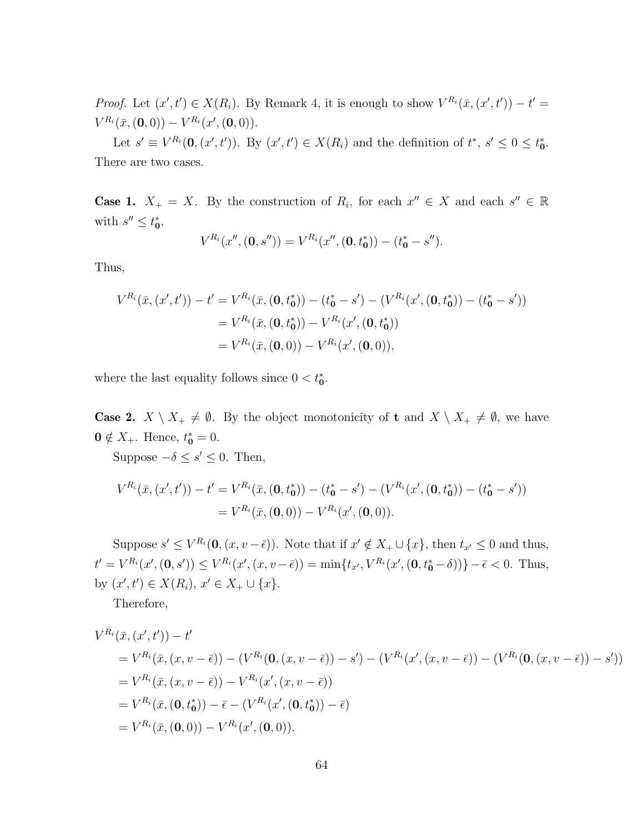*Proof.* Let  $(x', t') \in X(R_i)$ . By Remark [4,](#page-15-0) it is enough to show  $V^{R_i}(\bar{x}, (x', t')) - t' =$  $V^{R_i}(\bar{x}, (\mathbf{0}, 0)) - V^{R_i}(x', (\mathbf{0}, 0)).$ 

Let  $s' \equiv V^{R_i}(\mathbf{0}, (x', t'))$ . By  $(x', t') \in X(R_i)$  and the definition of  $t^*, s' \leq 0 \leq t_0^*$ . There are two cases.

**Case 1.**  $X_+ = X$ . By the construction of  $R_i$ , for each  $x'' \in X$  and each  $s'' \in \mathbb{R}$ with  $s'' \leq t_0^*$ ,

$$
V^{R_i}(x'', (\mathbf{0}, s'')) = V^{R_i}(x'', (\mathbf{0}, t_0^*)) - (t_0^* - s'').
$$

Thus,

$$
V^{R_i}(\bar{x}, (x', t')) - t' = V^{R_i}(\bar{x}, (0, t_0^*)) - (t_0^* - s') - (V^{R_i}(x', (0, t_0^*)) - (t_0^* - s'))
$$
  
=  $V^{R_i}(\bar{x}, (0, t_0^*)) - V^{R_i}(x', (0, t_0^*))$   
=  $V^{R_i}(\bar{x}, (0, 0)) - V^{R_i}(x', (0, 0)),$ 

where the last equality follows since  $0 < t_0^*$ .

**Case 2.**  $X \setminus X_+ \neq \emptyset$ . By the object monotonicity of **t** and  $X \setminus X_+ \neq \emptyset$ , we have  $0 \notin X_+$ . Hence,  $t_0^* = 0$ .

Suppose  $-\delta \leq s' \leq 0$ . Then,

$$
V^{R_i}(\bar{x}, (x', t')) - t' = V^{R_i}(\bar{x}, (0, t_0^*)) - (t_0^* - s') - (V^{R_i}(x', (0, t_0^*)) - (t_0^* - s'))
$$
  
=  $V^{R_i}(\bar{x}, (0, 0)) - V^{R_i}(x', (0, 0)).$ 

Suppose  $s' \leq V^{R_i}(\mathbf{0}, (x, v - \bar{\epsilon}))$ . Note that if  $x' \notin X_+ \cup \{x\}$ , then  $t_{x'} \leq 0$  and thus,  $t' = V^{R_i}(x', (0, s')) \leq V^{R_i}(x', (x, v - \bar{\epsilon})) = \min\{t_{x'}, V^{R_i}(x', (0, t_0^* - \delta))\} - \bar{\epsilon} < 0.$  Thus, by  $(x', t') \in X(R_i)$ ,  $x' \in X_+ \cup \{x\}$ .

Therefore,

$$
V^{R_i}(\bar{x}, (x', t')) - t'
$$
  
=  $V^{R_i}(\bar{x}, (x, v - \bar{\epsilon})) - (V^{R_i}(\mathbf{0}, (x, v - \bar{\epsilon})) - s') - (V^{R_i}(x', (x, v - \bar{\epsilon})) - (V^{R_i}(\mathbf{0}, (x, v - \bar{\epsilon})) - s'))$   
=  $V^{R_i}(\bar{x}, (x, v - \bar{\epsilon})) - V^{R_i}(x', (x, v - \bar{\epsilon}))$   
=  $V^{R_i}(\bar{x}, (\mathbf{0}, t_0^*)) - \bar{\epsilon} - (V^{R_i}(x', (\mathbf{0}, t_0^*)) - \bar{\epsilon})$   
=  $V^{R_i}(\bar{x}, (\mathbf{0}, 0)) - V^{R_i}(x', (\mathbf{0}, 0)).$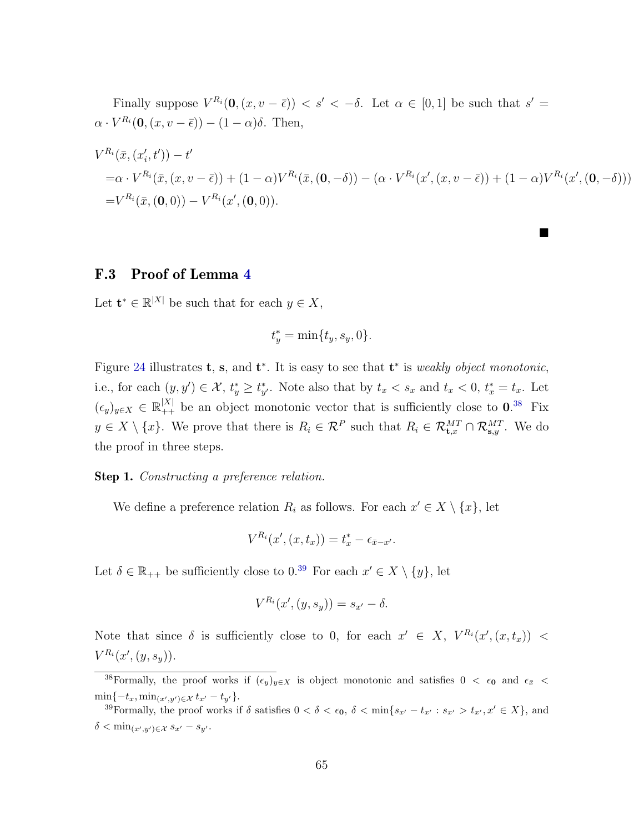Finally suppose  $V^{R_i}(\mathbf{0}, (x, v - \bar{\epsilon})) < s' < -\delta$ . Let  $\alpha \in [0, 1]$  be such that  $s' =$  $\alpha \cdot V^{R_i}(\mathbf{0}, (x, v - \bar{\epsilon})) - (1 - \alpha)\delta$ . Then,

$$
V^{R_i}(\bar{x}, (x'_i, t')) - t'
$$
  
=\alpha \cdot V^{R\_i}(\bar{x}, (x, v - \bar{\epsilon})) + (1 - \alpha)V^{R\_i}(\bar{x}, (0, -\delta)) - (\alpha \cdot V^{R\_i}(x', (x, v - \bar{\epsilon})) + (1 - \alpha)V^{R\_i}(x', (0, -\delta)))  
=V^{R\_i}(\bar{x}, (0, 0)) - V^{R\_i}(x', (0, 0)).

ш

## F.3 Proof of Lemma [4](#page-29-0)

Let  $\mathbf{t}^* \in \mathbb{R}^{|X|}$  be such that for each  $y \in X$ ,

$$
t_y^* = \min\{t_y, s_y, 0\}.
$$

Figure [24](#page-66-0) illustrates **t**, **s**, and **t**<sup>\*</sup>. It is easy to see that **t**<sup>\*</sup> is *weakly object monotonic*, i.e., for each  $(y, y') \in \mathcal{X}$ ,  $t_y^* \geq t_{y'}^*$ . Note also that by  $t_x < s_x$  and  $t_x < 0$ ,  $t_x^* = t_x$ . Let  $(\epsilon_y)_{y\in X} \in \mathbb{R}^{|X|}_{++}$  be an object monotonic vector that is sufficiently close to  $0.^{38}$  $0.^{38}$  $0.^{38}$  Fix  $y \in X \setminus \{x\}$ . We prove that there is  $R_i \in \mathcal{R}^P$  such that  $R_i \in \mathcal{R}_{\mathbf{t},x}^{MT} \cap \mathcal{R}_{\mathbf{s},y}^{MT}$ . We do the proof in three steps.

#### Step 1. Constructing a preference relation.

We define a preference relation  $R_i$  as follows. For each  $x' \in X \setminus \{x\}$ , let

$$
V^{R_i}(x', (x, t_x)) = t_x^* - \epsilon_{\bar{x} - x'}.
$$

Let  $\delta \in \mathbb{R}_{++}$  be sufficiently close to  $0.^{39}$  $0.^{39}$  $0.^{39}$  For each  $x' \in X \setminus \{y\}$ , let

$$
V^{R_i}(x',(y,s_y)) = s_{x'} - \delta.
$$

Note that since  $\delta$  is sufficiently close to 0, for each  $x' \in X$ ,  $V^{R_i}(x', (x, t_x))$  <  $V^{R_i}(x', (y, s_y)).$ 

<span id="page-65-0"></span><sup>38</sup>Formally, the proof works if  $(\epsilon_y)_{y\in X}$  is object monotonic and satisfies  $0 < \epsilon_0$  and  $\epsilon_{\bar{x}} <$  $\min\{-t_x, \min_{(x',y')\in\mathcal{X}} t_{x'} - t_{y'}\}.$ 

<span id="page-65-1"></span><sup>&</sup>lt;sup>39</sup>Formally, the proof works if  $\delta$  satisfies  $0 < \delta < \epsilon_0$ ,  $\delta < \min\{s_{x'} - t_{x'} : s_{x'} > t_{x'}, x' \in X\}$ , and  $\delta < \min_{(x',y') \in \mathcal{X}} s_{x'} - s_{y'}$ .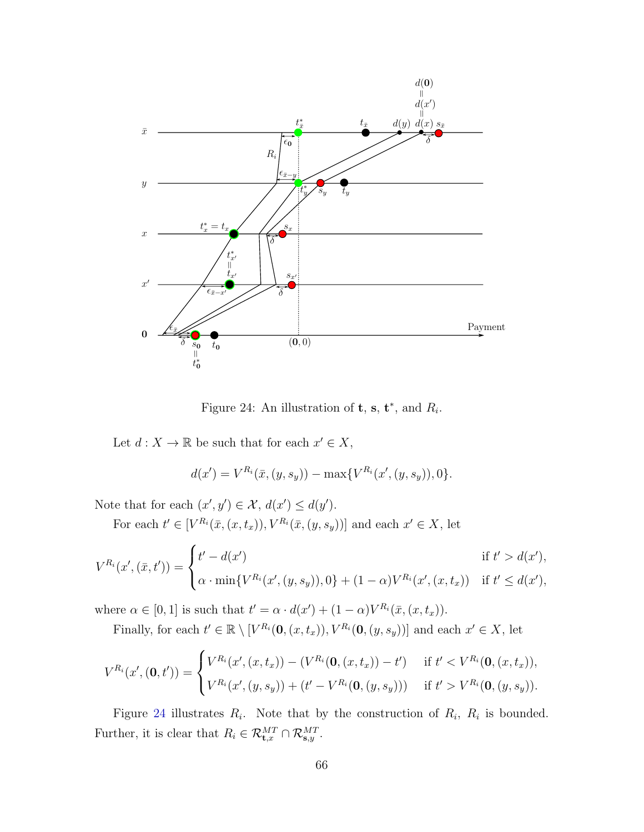

<span id="page-66-0"></span>Figure 24: An illustration of **t**, **s**, **t**<sup>\*</sup>, and  $R_i$ .

Let  $d: X \to \mathbb{R}$  be such that for each  $x' \in X$ ,

$$
d(x') = V^{R_i}(\bar{x}, (y, s_y)) - \max\{V^{R_i}(x', (y, s_y)), 0\}.
$$

Note that for each  $(x', y') \in \mathcal{X}$ ,  $d(x') \leq d(y')$ .

For each  $t' \in [V^{R_i}(\bar{x}, (x, t_x)), V^{R_i}(\bar{x}, (y, s_y))]$  and each  $x' \in X$ , let

$$
V^{R_i}(x', (\bar{x}, t')) = \begin{cases} t' - d(x') & \text{if } t' > d(x'), \\ \alpha \cdot \min\{V^{R_i}(x', (y, s_y)), 0\} + (1 - \alpha)V^{R_i}(x', (x, t_x)) & \text{if } t' \le d(x'), \end{cases}
$$

where  $\alpha \in [0,1]$  is such that  $t' = \alpha \cdot d(x') + (1-\alpha)V^{R_i}(\bar{x}, (x, t_x)).$ 

Finally, for each  $t' \in \mathbb{R} \setminus [V^{R_i}(\mathbf{0}, (x, t_x)), V^{R_i}(\mathbf{0}, (y, s_y))]$  and each  $x' \in X$ , let

$$
V^{R_i}(x', (\mathbf{0}, t')) = \begin{cases} V^{R_i}(x', (x, t_x)) - (V^{R_i}(\mathbf{0}, (x, t_x)) - t') & \text{if } t' < V^{R_i}(\mathbf{0}, (x, t_x)), \\ V^{R_i}(x', (y, s_y)) + (t' - V^{R_i}(\mathbf{0}, (y, s_y))) & \text{if } t' > V^{R_i}(\mathbf{0}, (y, s_y)). \end{cases}
$$

Figure [24](#page-66-0) illustrates  $R_i$ . Note that by the construction of  $R_i$ ,  $R_i$  is bounded. Further, it is clear that  $R_i \in \mathcal{R}_{\mathbf{t},x}^{MT} \cap \mathcal{R}_{\mathbf{s},y}^{MT}$ .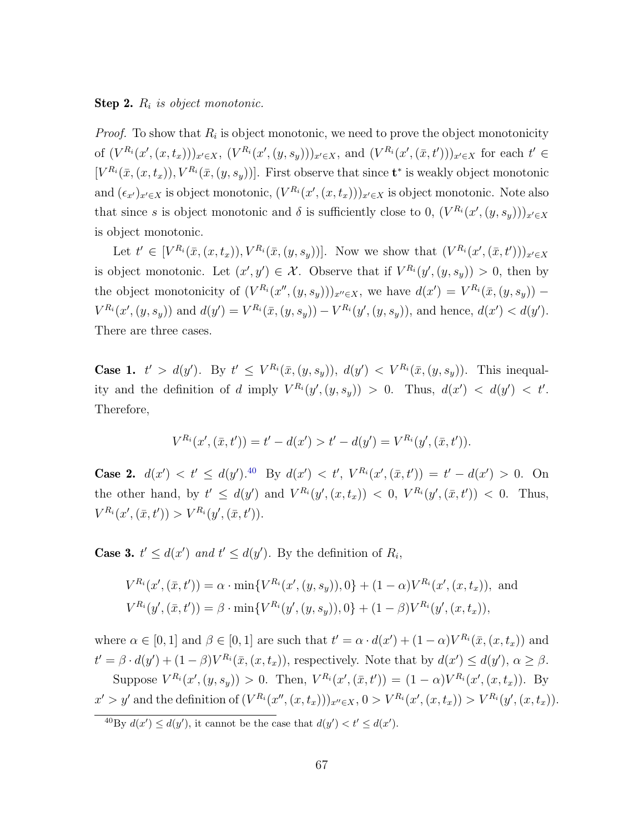#### **Step 2.**  $R_i$  is object monotonic.

*Proof.* To show that  $R_i$  is object monotonic, we need to prove the object monotonicity of  $(V^{R_i}(x', (x, t_x)))_{x' \in X}$ ,  $(V^{R_i}(x', (y, s_y)))_{x' \in X}$ , and  $(V^{R_i}(x', (\bar{x}, t')))_{x' \in X}$  for each  $t' \in$  $[V^{R_i}(\bar{x}, (x, t_x)), V^{R_i}(\bar{x}, (y, s_y))]$ . First observe that since  $\mathbf{t}^*$  is weakly object monotonic and  $(\epsilon_{x'})_{x'\in X}$  is object monotonic,  $(V^{R_i}(x', (x, t_x)))_{x'\in X}$  is object monotonic. Note also that since s is object monotonic and  $\delta$  is sufficiently close to 0,  $(V^{R_i}(x', (y, s_y)))_{x' \in X}$ is object monotonic.

Let  $t' \in [V^{R_i}(\bar{x}, (x, t_x)), V^{R_i}(\bar{x}, (y, s_y))]$ . Now we show that  $(V^{R_i}(x', (\bar{x}, t')))_{x' \in X}$ is object monotonic. Let  $(x', y') \in \mathcal{X}$ . Observe that if  $V^{R_i}(y', (y, s_y)) > 0$ , then by the object monotonicity of  $(V^{R_i}(x'', (y, s_y)))_{x'' \in X}$ , we have  $d(x') = V^{R_i}(\bar{x}, (y, s_y))$  –  $V^{R_i}(x', (y, s_y))$  and  $d(y') = V^{R_i}(\bar{x}, (y, s_y)) - V^{R_i}(y', (y, s_y))$ , and hence,  $d(x') < d(y')$ . There are three cases.

**Case 1.**  $t' > d(y')$ . By  $t' \leq V^{R_i}(\bar{x}, (y, s_y))$ ,  $d(y') < V^{R_i}(\bar{x}, (y, s_y))$ . This inequality and the definition of d imply  $V^{R_i}(y', (y, s_y)) > 0$ . Thus,  $d(x') < d(y') < t'$ . Therefore,

$$
V^{R_i}(x', (\bar{x}, t')) = t' - d(x') > t' - d(y') = V^{R_i}(y', (\bar{x}, t')).
$$

**Case 2.**  $d(x') < t' \leq d(y')$ .<sup>[40](#page-67-0)</sup> By  $d(x') < t'$ ,  $V^{R_i}(x', (\bar{x}, t')) = t' - d(x') > 0$ . On the other hand, by  $t' \leq d(y')$  and  $V^{R_i}(y', (x, t_x)) < 0$ ,  $V^{R_i}(y', (\bar{x}, t')) < 0$ . Thus,  $V^{R_i}(x',(\bar{x},t')) > V^{R_i}(y',(\bar{x},t')).$ 

**Case 3.**  $t' \leq d(x')$  and  $t' \leq d(y')$ . By the definition of  $R_i$ ,

$$
V^{R_i}(x', (\bar{x}, t')) = \alpha \cdot \min\{V^{R_i}(x', (y, s_y)), 0\} + (1 - \alpha)V^{R_i}(x', (x, t_x)), \text{ and}
$$
  

$$
V^{R_i}(y', (\bar{x}, t')) = \beta \cdot \min\{V^{R_i}(y', (y, s_y)), 0\} + (1 - \beta)V^{R_i}(y', (x, t_x)),
$$

where  $\alpha \in [0,1]$  and  $\beta \in [0,1]$  are such that  $t' = \alpha \cdot d(x') + (1-\alpha)V^{R_i}(\bar{x}, (x, t_x))$  and  $t' = \beta \cdot d(y') + (1 - \beta)V^{R_i}(\bar{x}, (x, t_x))$ , respectively. Note that by  $d(x') \leq d(y')$ ,  $\alpha \geq \beta$ . Suppose  $V^{R_i}(x', (y, s_y)) > 0$ . Then,  $V^{R_i}(x', (\bar{x}, t')) = (1 - \alpha)V^{R_i}(x', (x, t_x))$ . By

 $x' > y'$  and the definition of  $(V^{R_i}(x'',(x,t_x)))_{x'' \in X}, 0 > V^{R_i}(x',(x,t_x)) > V^{R_i}(y',(x,t_x)).$ 

<span id="page-67-0"></span><sup>&</sup>lt;sup>40</sup>By  $d(x') \leq d(y')$ , it cannot be the case that  $d(y') < t' \leq d(x')$ .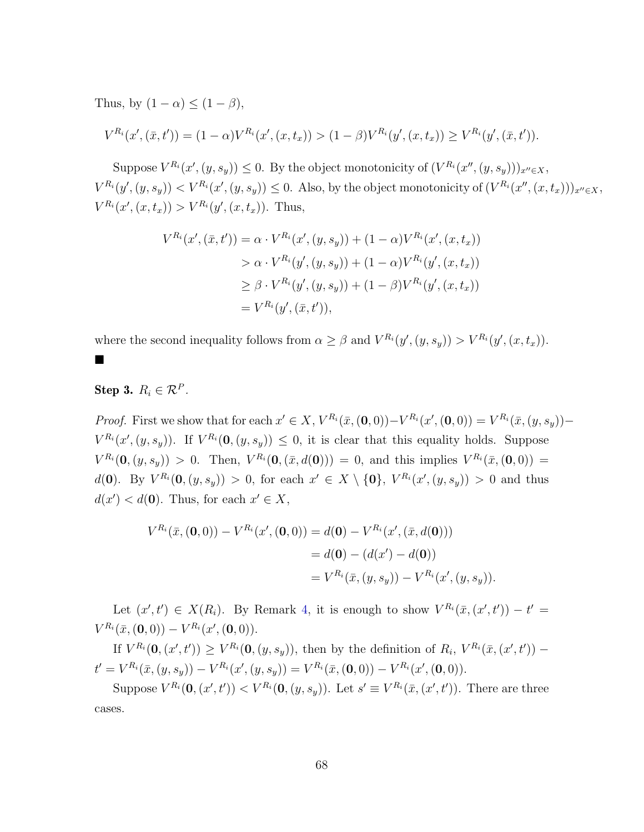Thus, by  $(1 - \alpha) \leq (1 - \beta)$ ,

$$
V^{R_i}(x',(\bar{x},t')) = (1-\alpha)V^{R_i}(x',(x,t_x)) > (1-\beta)V^{R_i}(y',(x,t_x)) \geq V^{R_i}(y',(\bar{x},t')).
$$

Suppose  $V^{R_i}(x', (y, s_y)) \leq 0$ . By the object monotonicity of  $(V^{R_i}(x'', (y, s_y)))_{x'' \in X}$ ,  $V^{R_i}(y',(y,s_y)) < V^{R_i}(x',(y,s_y)) \leq 0$ . Also, by the object monotonicity of  $(V^{R_i}(x'',(x,t_x)))_{x'' \in X}$ ,  $V^{R_i}(x', (x, t_x)) > V^{R_i}(y', (x, t_x)).$  Thus,

$$
V^{R_i}(x', (\bar{x}, t')) = \alpha \cdot V^{R_i}(x', (y, s_y)) + (1 - \alpha)V^{R_i}(x', (x, t_x))
$$
  
>  $\alpha \cdot V^{R_i}(y', (y, s_y)) + (1 - \alpha)V^{R_i}(y', (x, t_x))$   
 $\geq \beta \cdot V^{R_i}(y', (y, s_y)) + (1 - \beta)V^{R_i}(y', (x, t_x))$   
 $= V^{R_i}(y', (\bar{x}, t')),$ 

where the second inequality follows from  $\alpha \geq \beta$  and  $V^{R_i}(y', (y, s_y)) > V^{R_i}(y', (x, t_x)).$ 

## Step 3.  $R_i \in \mathcal{R}^P$ .

■

*Proof.* First we show that for each  $x' \in X$ ,  $V^{R_i}(\bar{x}, (\mathbf{0}, 0)) - V^{R_i}(x', (\mathbf{0}, 0)) = V^{R_i}(\bar{x}, (y, s_y)) - V^{R_i}(\bar{x}, (s, s_y))$  $V^{R_i}(x', (y, s_y))$ . If  $V^{R_i}(\mathbf{0}, (y, s_y)) \leq 0$ , it is clear that this equality holds. Suppose  $V^{R_i}(\mathbf{0}, (y, s_y)) > 0$ . Then,  $V^{R_i}(\mathbf{0}, (\bar{x}, d(\mathbf{0}))) = 0$ , and this implies  $V^{R_i}(\bar{x}, (\mathbf{0}, 0)) =$  $d(\mathbf{0}).$  By  $V^{R_i}(\mathbf{0}, (y, s_y)) > 0$ , for each  $x' \in X \setminus \{\mathbf{0}\}, V^{R_i}(x', (y, s_y)) > 0$  and thus  $d(x') < d(0)$ . Thus, for each  $x' \in X$ ,

$$
V^{R_i}(\bar{x}, (\mathbf{0}, 0)) - V^{R_i}(x', (\mathbf{0}, 0)) = d(\mathbf{0}) - V^{R_i}(x', (\bar{x}, d(\mathbf{0})))
$$
  
= d(\mathbf{0}) - (d(x') - d(\mathbf{0}))  
= V^{R\_i}(\bar{x}, (y, s\_y)) - V^{R\_i}(x', (y, s\_y)).

Let  $(x', t') \in X(R_i)$ . By Remark [4,](#page-15-0) it is enough to show  $V^{R_i}(\bar{x}, (x', t')) - t' =$  $V^{R_i}(\bar{x}, (\mathbf{0}, 0)) - V^{R_i}(x', (\mathbf{0}, 0)).$ 

If  $V^{R_i}(\mathbf{0},(x',t')) \geq V^{R_i}(\mathbf{0},(y,s_y))$ , then by the definition of  $R_i$ ,  $V^{R_i}(\bar{x},(x',t'))$  –  $t' = V^{R_i}(\bar{x}, (y, s_y)) - V^{R_i}(x', (y, s_y)) = V^{R_i}(\bar{x}, (0, 0)) - V^{R_i}(x', (0, 0)).$ 

Suppose  $V^{R_i}(\mathbf{0}, (x', t')) < V^{R_i}(\mathbf{0}, (y, s_y))$ . Let  $s' \equiv V^{R_i}(\bar{x}, (x', t'))$ . There are three cases.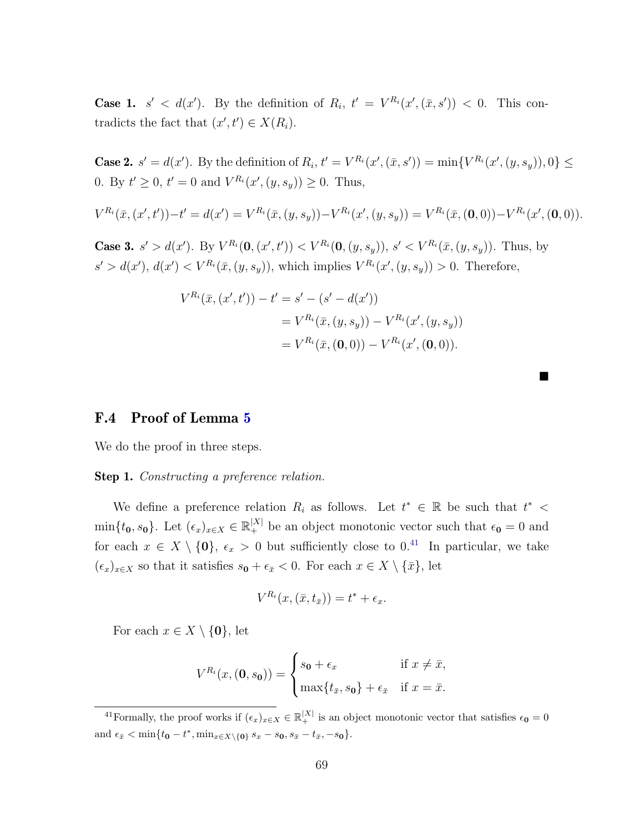**Case 1.**  $s' < d(x')$ . By the definition of  $R_i$ ,  $t' = V^{R_i}(x', (\bar{x}, s')) < 0$ . This contradicts the fact that  $(x', t') \in X(R_i)$ .

**Case 2.**  $s' = d(x')$ . By the definition of  $R_i$ ,  $t' = V^{R_i}(x', (\bar{x}, s')) = \min\{V^{R_i}(x', (y, s_y)), 0\} \le$ 0. By  $t' \ge 0$ ,  $t' = 0$  and  $V^{R_i}(x', (y, s_y)) \ge 0$ . Thus,

$$
V^{R_i}(\bar{x}, (x', t')) - t' = d(x') = V^{R_i}(\bar{x}, (y, s_y)) - V^{R_i}(x', (y, s_y)) = V^{R_i}(\bar{x}, (0, 0)) - V^{R_i}(x', (0, 0)).
$$

**Case 3.**  $s' > d(x')$ . By  $V^{R_i}(\mathbf{0}, (x', t')) < V^{R_i}(\mathbf{0}, (y, s_y))$ ,  $s' < V^{R_i}(\bar{x}, (y, s_y))$ . Thus, by  $s' > d(x')$ ,  $d(x') < V^{R_i}(\bar{x}, (y, s_y))$ , which implies  $V^{R_i}(x', (y, s_y)) > 0$ . Therefore,

$$
V^{R_i}(\bar{x}, (x', t')) - t' = s' - (s' - d(x'))
$$
  
=  $V^{R_i}(\bar{x}, (y, s_y)) - V^{R_i}(x', (y, s_y))$   
=  $V^{R_i}(\bar{x}, (0, 0)) - V^{R_i}(x', (0, 0)).$ 

 $\blacksquare$ 

## F.4 Proof of Lemma [5](#page-29-2)

We do the proof in three steps.

Step 1. Constructing a preference relation.

We define a preference relation  $R_i$  as follows. Let  $t^* \in \mathbb{R}$  be such that  $t^*$  <  $\min\{t_0, s_0\}$ . Let  $(\epsilon_x)_{x\in X} \in \mathbb{R}^{|X|}_+$  be an object monotonic vector such that  $\epsilon_0 = 0$  and for each  $x \in X \setminus \{0\}$ ,  $\epsilon_x > 0$  but sufficiently close to  $0<sup>41</sup>$  $0<sup>41</sup>$  $0<sup>41</sup>$  In particular, we take  $(\epsilon_x)_{x\in X}$  so that it satisfies  $s_0 + \epsilon_{\bar{x}} < 0$ . For each  $x \in X \setminus {\bar{x}}$ , let

$$
V^{R_i}(x, (\bar{x}, t_{\bar{x}})) = t^* + \epsilon_x.
$$

For each  $x \in X \setminus \{0\}$ , let

$$
V^{R_i}(x, (\mathbf{0}, s_0)) = \begin{cases} s_0 + \epsilon_x & \text{if } x \neq \bar{x}, \\ \max\{t_{\bar{x}}, s_0\} + \epsilon_{\bar{x}} & \text{if } x = \bar{x}. \end{cases}
$$

<span id="page-69-0"></span><sup>41</sup>Formally, the proof works if  $(\epsilon_x)_{x \in X} \in \mathbb{R}^{|X|}_+$  is an object monotonic vector that satisfies  $\epsilon_0 = 0$ and  $\epsilon_{\bar{x}} < \min\{t_0 - t^*, \min_{x \in X \setminus \{0\}} s_x - s_0, s_{\bar{x}} - t_{\bar{x}}, -s_0\}.$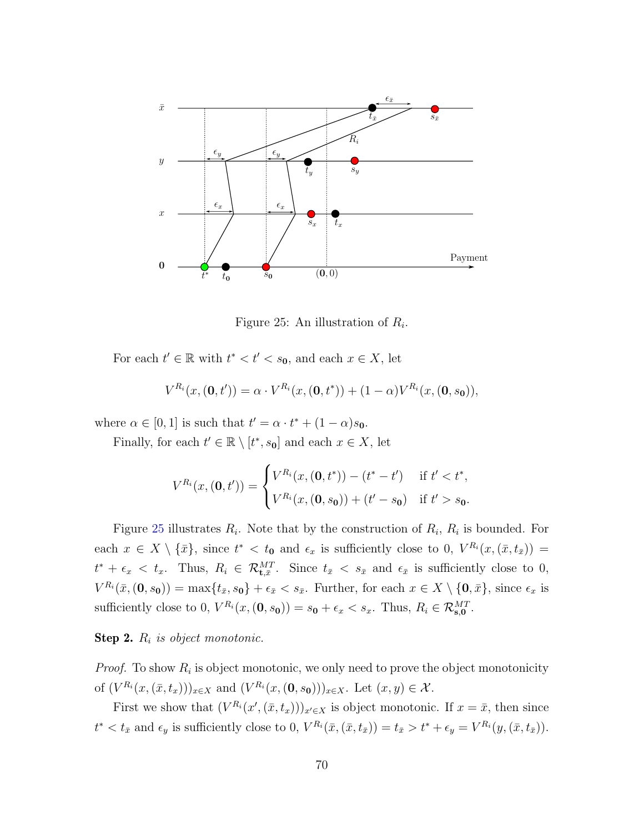

<span id="page-70-0"></span>Figure 25: An illustration of  $R_i$ .

For each  $t' \in \mathbb{R}$  with  $t^* < t' < s_0$ , and each  $x \in X$ , let

$$
V^{R_i}(x, (\mathbf{0}, t')) = \alpha \cdot V^{R_i}(x, (\mathbf{0}, t^*)) + (1 - \alpha)V^{R_i}(x, (\mathbf{0}, s_0)),
$$

where  $\alpha \in [0,1]$  is such that  $t' = \alpha \cdot t^* + (1 - \alpha)s_0$ .

Finally, for each  $t' \in \mathbb{R} \setminus [t^*, s_0]$  and each  $x \in X$ , let

$$
V^{R_i}(x, (\mathbf{0}, t')) = \begin{cases} V^{R_i}(x, (\mathbf{0}, t^*)) - (t^* - t') & \text{if } t' < t^*, \\ V^{R_i}(x, (\mathbf{0}, s_0)) + (t' - s_0) & \text{if } t' > s_0. \end{cases}
$$

Figure [25](#page-70-0) illustrates  $R_i$ . Note that by the construction of  $R_i$ ,  $R_i$  is bounded. For each  $x \in X \setminus {\bar{x}}$ , since  $t^* < t_0$  and  $\epsilon_x$  is sufficiently close to 0,  $V^{R_i}(x, (\bar{x}, t_{\bar{x}}))$  =  $t^* + \epsilon_x < t_x$ . Thus,  $R_i \in \mathcal{R}_{\mathbf{t},\bar{x}}^{MT}$ . Since  $t_{\bar{x}} < s_{\bar{x}}$  and  $\epsilon_{\bar{x}}$  is sufficiently close to 0,  $V^{R_i}(\bar{x},(\mathbf{0},s_{\mathbf{0}})) = \max\{t_{\bar{x}},s_{\mathbf{0}}\} + \epsilon_{\bar{x}} < s_{\bar{x}}$ . Further, for each  $x \in X \setminus \{\mathbf{0},\bar{x}\}$ , since  $\epsilon_x$  is sufficiently close to 0,  $V^{R_i}(x, (\mathbf{0}, s_0)) = s_0 + \epsilon_x < s_x$ . Thus,  $R_i \in \mathcal{R}_{\mathbf{s},0}^{MT}$ .

### **Step 2.**  $R_i$  is object monotonic.

*Proof.* To show  $R_i$  is object monotonic, we only need to prove the object monotonicity of  $(V^{R_i}(x, (\bar{x}, t_x)))_{x \in X}$  and  $(V^{R_i}(x, (0, s_0)))_{x \in X}$ . Let  $(x, y) \in \mathcal{X}$ .

First we show that  $(V^{R_i}(x', (\bar{x}, t_x)))_{x' \in X}$  is object monotonic. If  $x = \bar{x}$ , then since  $t^* < t_{\bar{x}}$  and  $\epsilon_y$  is sufficiently close to 0,  $V^{R_i}(\bar{x}, (\bar{x}, t_{\bar{x}})) = t_{\bar{x}} > t^* + \epsilon_y = V^{R_i}(y, (\bar{x}, t_{\bar{x}})).$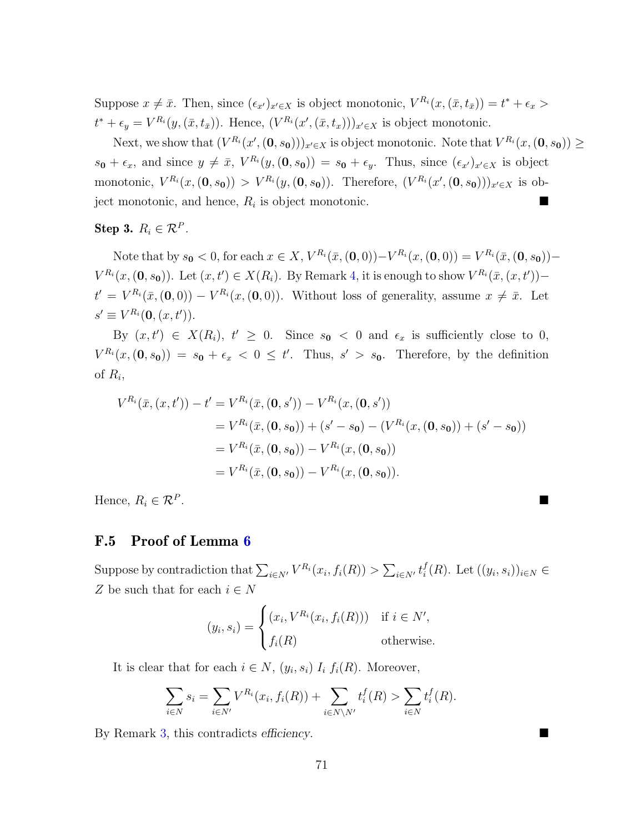Suppose  $x \neq \bar{x}$ . Then, since  $(\epsilon_{x'})_{x' \in X}$  is object monotonic,  $V^{R_i}(x,(\bar{x},t_{\bar{x}})) = t^* + \epsilon_x >$  $t^* + \epsilon_y = V^{R_i}(y,(\bar{x},t_{\bar{x}}))$ . Hence,  $(V^{R_i}(x',(\bar{x},t_x)))_{x' \in X}$  is object monotonic.

Next, we show that  $(V^{R_i}(x', (0, s_0)))_{x' \in X}$  is object monotonic. Note that  $V^{R_i}(x, (0, s_0)) \ge$  $s_0 + \epsilon_x$ , and since  $y \neq \bar{x}$ ,  $V^{R_i}(y, (0, s_0)) = s_0 + \epsilon_y$ . Thus, since  $(\epsilon_{x'})_{x' \in X}$  is object monotonic,  $V^{R_i}(x,(0,s_0)) > V^{R_i}(y,(0,s_0))$ . Therefore,  $(V^{R_i}(x',(0,s_0)))_{x'\in X}$  is object monotonic, and hence,  $R_i$  is object monotonic.

## Step 3.  $R_i \in \mathcal{R}^P$ .

Note that by  $s_0 < 0$ , for each  $x \in X$ ,  $V^{R_i}(\bar{x}, (\mathbf{0}, 0)) - V^{R_i}(x, (\mathbf{0}, 0)) = V^{R_i}(\bar{x}, (\mathbf{0}, s_0)) - V^{R_i}(\bar{x}, \mathbf{0})$  $V^{R_i}(x, (\mathbf{0}, s_{\mathbf{0}}))$ . Let  $(x, t') \in X(R_i)$ . By Remark [4,](#page-15-0) it is enough to show  $V^{R_i}(\bar{x}, (x, t'))$  $t' = V^{R_i}(\bar{x},(0,0)) - V^{R_i}(x,(0,0))$ . Without loss of generality, assume  $x \neq \bar{x}$ . Let  $s' \equiv V^{R_i}(\mathbf{0}, (x, t')).$ 

By  $(x, t') \in X(R_i)$ ,  $t' \geq 0$ . Since  $s_0 < 0$  and  $\epsilon_x$  is sufficiently close to 0,  $V^{R_i}(x, (0, s_0)) = s_0 + \epsilon_x < 0 \leq t'$ . Thus,  $s' > s_0$ . Therefore, by the definition of  $R_i$ ,

$$
V^{R_i}(\bar{x}, (x, t')) - t' = V^{R_i}(\bar{x}, (0, s')) - V^{R_i}(x, (0, s'))
$$
  
=  $V^{R_i}(\bar{x}, (0, s_0)) + (s' - s_0) - (V^{R_i}(x, (0, s_0)) + (s' - s_0))$   
=  $V^{R_i}(\bar{x}, (0, s_0)) - V^{R_i}(x, (0, s_0))$   
=  $V^{R_i}(\bar{x}, (0, s_0)) - V^{R_i}(x, (0, s_0)).$ 

Hence,  $R_i \in \mathcal{R}^P$ . .<br>1980 - Paul Barbara, politikar eta espainiar eta espainiar eta espainiar eta espainiar eta espainiar eta espai

#### F.5 Proof of Lemma [6](#page-30-1)

Suppose by contradiction that  $\sum_{i \in N'} V^{R_i}(x_i, f_i(R)) > \sum_{i \in N'} t_i^f$  $i(R)$ . Let  $((y_i, s_i))_{i \in N}$ Z be such that for each  $i \in N$ 

$$
(y_i, s_i) = \begin{cases} (x_i, V^{R_i}(x_i, f_i(R))) & \text{if } i \in N', \\ f_i(R) & \text{otherwise.} \end{cases}
$$

It is clear that for each  $i \in N$ ,  $(y_i, s_i)$   $I_i$   $f_i(R)$ . Moreover,

$$
\sum_{i \in N} s_i = \sum_{i \in N'} V^{R_i}(x_i, f_i(R)) + \sum_{i \in N \setminus N'} t_i^f(R) > \sum_{i \in N} t_i^f(R).
$$

By Remark [3,](#page-13-0) this contradicts efficiency.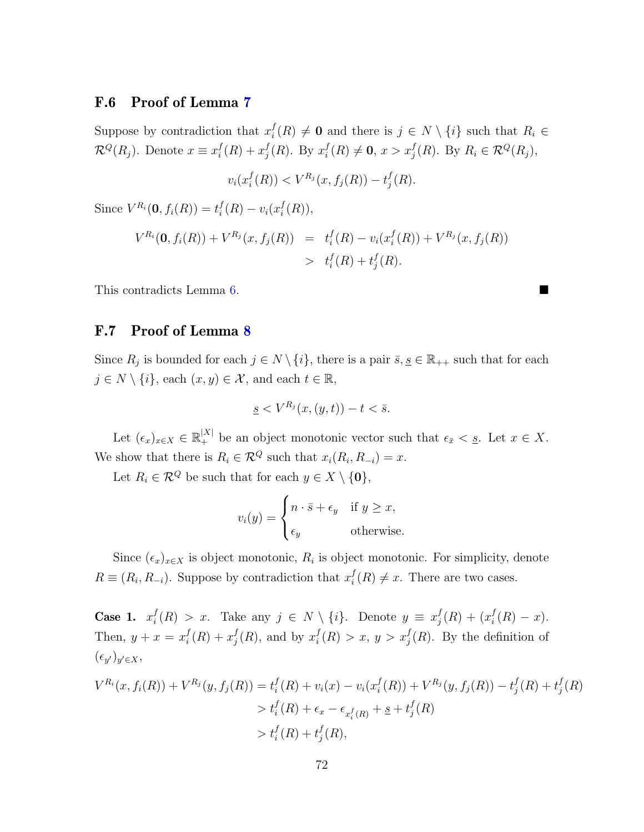## F.6 Proof of Lemma [7](#page-30-0)

Suppose by contradiction that  $x_i^f$  $i_l^J(R) \neq \mathbf{0}$  and there is  $j \in N \setminus \{i\}$  such that  $R_i \in$  $\mathcal{R}^Q(R_j)$ . Denote  $x \equiv x_i^f$  $i^f(R) + x_j^f$  $_j^f(R)$ . By  $x_i^f$  $i^f_i(R) \neq \mathbf{0}, x > x^f_j(R)$ . By  $R_i \in \mathcal{R}^Q(R_j)$ ,

$$
v_i(x_i^f(R)) < V^{R_j}(x, f_j(R)) - t_j^f(R).
$$

Since  $V^{R_i}(\mathbf{0}, f_i(R)) = t_i^f$  $i^f(R) - v_i(x_i^f)$  $_i^{\prime}(R)),$ 

$$
V^{R_i}(\mathbf{0}, f_i(R)) + V^{R_j}(x, f_j(R)) = t_i^f(R) - v_i(x_i^f(R)) + V^{R_j}(x, f_j(R))
$$
  
>  $t_i^f(R) + t_j^f(R).$ 

This contradicts Lemma [6.](#page-30-1)

## F.7 Proof of Lemma [8](#page-30-2)

Since  $R_j$  is bounded for each  $j \in N \setminus \{i\}$ , there is a pair  $\overline{s}, \underline{s} \in \mathbb{R}_{++}$  such that for each  $j \in N \setminus \{i\}$ , each  $(x, y) \in \mathcal{X}$ , and each  $t \in \mathbb{R}$ ,

$$
\underline{s} < V^{R_j}(x,(y,t)) - t < \bar{s}.
$$

Let  $(\epsilon_x)_{x \in X} \in \mathbb{R}_+^{|X|}$  be an object monotonic vector such that  $\epsilon_{\bar{x}} < \underline{s}$ . Let  $x \in X$ . We show that there is  $R_i \in \mathcal{R}^Q$  such that  $x_i(R_i, R_{-i}) = x$ .

Let  $R_i \in \mathcal{R}^Q$  be such that for each  $y \in X \setminus \{\mathbf{0}\},\$ 

$$
v_i(y) = \begin{cases} n \cdot \bar{s} + \epsilon_y & \text{if } y \ge x, \\ \epsilon_y & \text{otherwise.} \end{cases}
$$

Since  $(\epsilon_x)_{x\in X}$  is object monotonic,  $R_i$  is object monotonic. For simplicity, denote  $R \equiv (R_i, R_{-i})$ . Suppose by contradiction that  $x_i^f$  $i(R) \neq x$ . There are two cases.

Case 1.  $x_i^f$  $i^f_i(R) > x$ . Take any  $j \in N \setminus \{i\}$ . Denote  $y \equiv x_j^f$  $j^f(R) + (x_i^f$  $i_{i}^{J}(R) - x).$ Then,  $y + x = x_i^f$  $i^f(R) + x_j^f$  $j(R)$ , and by  $x_i^f$  $i<sup>f</sup>(R) > x, y > x<sup>f</sup>(R)$ . By the definition of  $(\epsilon_{y'})_{y'\in X},$ 

$$
V^{R_i}(x, f_i(R)) + V^{R_j}(y, f_j(R)) = t_i^f(R) + v_i(x) - v_i(x_i^f(R)) + V^{R_j}(y, f_j(R)) - t_j^f(R) + t_j^f(R)
$$
  
>  $t_i^f(R) + \epsilon_x - \epsilon_{x_i^f(R)} + \underline{s} + t_j^f(R)$   
>  $t_i^f(R) + t_j^f(R)$ ,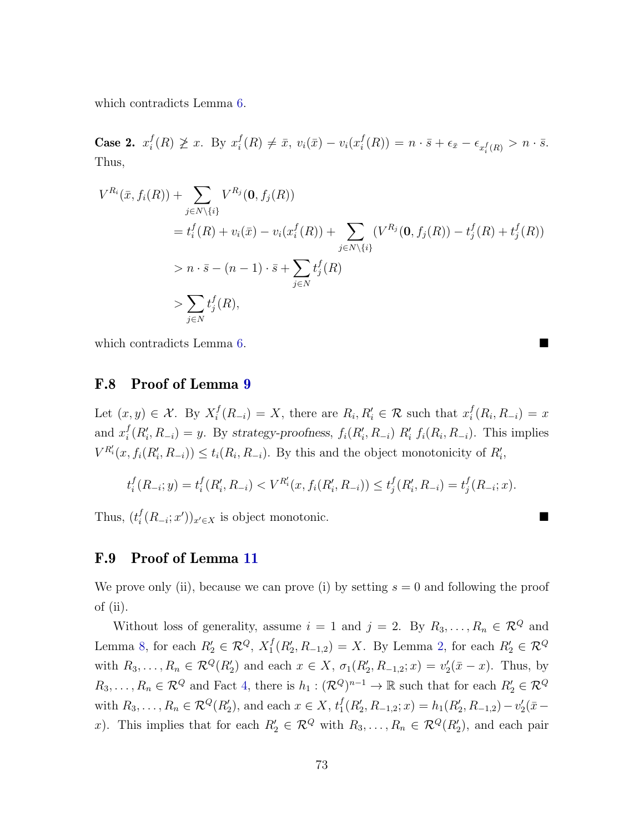which contradicts Lemma [6.](#page-30-1)

Case 2.  $x_i^f$  $i^f(R) \not\geq x$ . By  $x_i^f$  $i^f_i(R) \neq \bar{x}, v_i(\bar{x}) - v_i(x_i^f)$  $\epsilon_i^f(R)) = n \cdot \bar{s} + \epsilon_{\bar{x}} - \epsilon_{x_i^f(R)} > n \cdot \bar{s}.$ Thus,

$$
V^{R_i}(\bar{x}, f_i(R)) + \sum_{j \in N \setminus \{i\}} V^{R_j}(\mathbf{0}, f_j(R))
$$
  
=  $t_i^f(R) + v_i(\bar{x}) - v_i(x_i^f(R)) + \sum_{j \in N \setminus \{i\}} (V^{R_j}(\mathbf{0}, f_j(R)) - t_j^f(R) + t_j^f(R))$   
>  $n \cdot \bar{s} - (n - 1) \cdot \bar{s} + \sum_{j \in N} t_j^f(R)$   
>  $\sum_{j \in N} t_j^f(R)$ ,

which contradicts Lemma [6.](#page-30-1)

#### F.8 Proof of Lemma [9](#page-31-0)

Let  $(x, y) \in \mathcal{X}$ . By  $X_i^f$  $i<sup>f</sup>(R_{-i}) = X$ , there are  $R_i, R'_i \in \mathcal{R}$  such that  $x_i^f$  $i(R_i, R_{-i}) = x$ and  $x_i^f$  $i_l^f(R'_i, R_{-i}) = y$ . By strategy-proofness,  $f_i(R'_i, R_{-i}) R'_i f_i(R_i, R_{-i})$ . This implies  $V^{R'_i}(x, f_i(R'_i, R_{-i})) \le t_i(R_i, R_{-i}).$  By this and the object monotonicity of  $R'_i$ ,

$$
t_i^f(R_{-i};y) = t_i^f(R'_i,R_{-i}) < V^{R'_i}(x,f_i(R'_i,R_{-i})) \le t_j^f(R'_i,R_{-i}) = t_j^f(R_{-i};x).
$$

Thus,  $(t_i^f)$  $\int_{i}^{f}(R_{-i};x')_{x'\in X}$  is object monotonic.

#### F.9 Proof of Lemma [11](#page-31-1)

We prove only (ii), because we can prove (i) by setting  $s = 0$  and following the proof of (ii).

Without loss of generality, assume  $i = 1$  and  $j = 2$ . By  $R_3, \ldots, R_n \in \mathcal{R}^Q$  and Lemma [8,](#page-30-2) for each  $R'_2 \in \mathcal{R}^Q$ ,  $X_1^f$  $I_1^f(R_2', R_{-1,2}) = X$ . By Lemma [2,](#page-28-0) for each  $R_2' \in \mathcal{R}^Q$ with  $R_3, ..., R_n \in \mathcal{R}^Q(R'_2)$  and each  $x \in X$ ,  $\sigma_1(R'_2, R_{-1,2}; x) = v'_2(\bar{x} - x)$ . Thus, by  $R_3, \ldots, R_n \in \mathcal{R}^Q$  and Fact [4,](#page-31-2) there is  $h_1 : (\mathcal{R}^Q)^{n-1} \to \mathbb{R}$  such that for each  $R'_2 \in \mathcal{R}^Q$ with  $R_3, \ldots, R_n \in \mathcal{R}^Q(R'_2)$ , and each  $x \in X$ ,  $t'_1$  $I_1^f(R'_2, R_{-1,2}; x) = h_1(R'_2, R_{-1,2}) - v'_2(\bar{x}$ x). This implies that for each  $R'_2 \in \mathcal{R}^Q$  with  $R_3, \ldots, R_n \in \mathcal{R}^Q(R'_2)$ , and each pair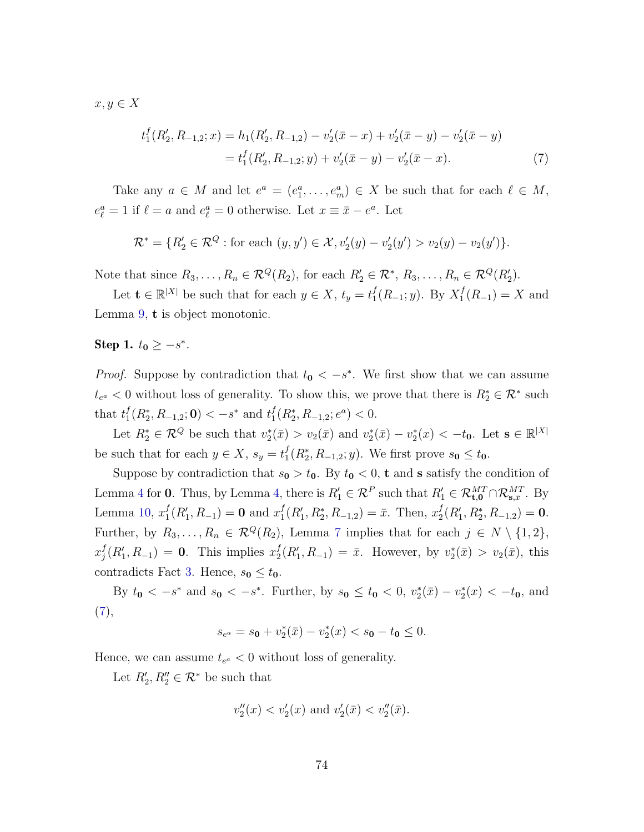$x, y \in X$ 

<span id="page-74-0"></span>
$$
t_1^f(R_2', R_{-1,2}; x) = h_1(R_2', R_{-1,2}) - v_2'(\bar{x} - x) + v_2'(\bar{x} - y) - v_2'(\bar{x} - y)
$$
  
=  $t_1^f(R_2', R_{-1,2}; y) + v_2'(\bar{x} - y) - v_2'(\bar{x} - x).$  (7)

Take any  $a \in M$  and let  $e^a = (e_1^a, \ldots, e_m^a) \in X$  be such that for each  $\ell \in M$ ,  $e_{\ell}^{a} = 1$  if  $\ell = a$  and  $e_{\ell}^{a} = 0$  otherwise. Let  $x \equiv \bar{x} - e^{a}$ . Let

$$
\mathcal{R}^* = \{ R'_2 \in \mathcal{R}^Q : \text{for each } (y, y') \in \mathcal{X}, v'_2(y) - v'_2(y') > v_2(y) - v_2(y') \}.
$$

Note that since  $R_3, \ldots, R_n \in \mathcal{R}^Q(R_2)$ , for each  $R'_2 \in \mathcal{R}^*, R_3, \ldots, R_n \in \mathcal{R}^Q(R'_2)$ .

Let  $\mathbf{t} \in \mathbb{R}^{|X|}$  be such that for each  $y \in X$ ,  $t_y = t_1^f$  $_{1}^{f}(R_{-1}; y)$ . By  $X_{1}^{f}$  $I_1^J(R_{-1}) = X$  and Lemma [9,](#page-31-0) t is object monotonic.

# Step 1.  $t_0 \geq -s^*$ .

*Proof.* Suppose by contradiction that  $t_0 < -s^*$ . We first show that we can assume  $t_{e^a} < 0$  without loss of generality. To show this, we prove that there is  $R_2^* \in \mathcal{R}^*$  such that  $t_1^f$  $f_1^f(R_2^*, R_{-1,2}; 0) < -s^*$  and  $t_1^f$  $_{1}^{f}(R_{2}^{*}, R_{-1,2}; e^{a}) < 0.$ 

Let  $R_2^* \in \mathcal{R}^Q$  be such that  $v_2^*(\bar{x}) > v_2(\bar{x})$  and  $v_2^*(\bar{x}) - v_2^*(x) < -t_0$ . Let  $s \in \mathbb{R}^{|X|}$ be such that for each  $y \in X$ ,  $s_y = t_1^f$  $_{1}^{f}(R_{2}^{*}, R_{-1,2}; y)$ . We first prove  $s_{0} \leq t_{0}$ .

Suppose by contradiction that  $s_0 > t_0$ . By  $t_0 < 0$ , **t** and **s** satisfy the condition of Lemma [4](#page-29-0) for 0. Thus, by Lemma [4,](#page-29-0) there is  $R'_1 \in \mathcal{R}^P$  such that  $R'_1 \in \mathcal{R}_{\text{t},0}^{MT} \cap \mathcal{R}_{\text{s},\bar{x}}^{MT}$ . By Lemma [10,](#page-31-3)  $x_1^f$  $_1^f(R'_1, R_{-1}) = 0$  and  $x_1^f$  $_1^f(R'_1, R_2^*, R_{-1,2}) = \bar{x}$ . Then,  $x_2^f$  $_{2}^{f}(R_{1}^{\prime},R_{2}^{\ast},R_{-1,2})=\mathbf{0}.$ Further, by  $R_3, \ldots, R_n \in \mathcal{R}^Q(R_2)$ , Lemma [7](#page-30-0) implies that for each  $j \in N \setminus \{1,2\}$ ,  $x_i^f$  $j(R'_1, R_{-1}) = 0$ . This implies  $x_2^f$  $y_2^f(R'_1, R_{-1}) = \bar{x}$ . However, by  $v_2^*(\bar{x}) > v_2(\bar{x})$ , this contradicts Fact [3.](#page-31-4) Hence,  $s_0 \leq t_0$ .

By  $t_0 < -s^*$  and  $s_0 < -s^*$ . Further, by  $s_0 \le t_0 < 0$ ,  $v_2^*(\bar{x}) - v_2^*(x) < -t_0$ , and [\(7\)](#page-74-0),

$$
s_{e^a} = s_0 + v_2^*(\bar{x}) - v_2^*(x) < s_0 - t_0 \le 0.
$$

Hence, we can assume  $t_{e^a} < 0$  without loss of generality.

Let  $R'_2, R''_2 \in \mathcal{R}^*$  be such that

$$
v''_2(x) < v'_2(x)
$$
 and  $v'_2(\bar{x}) < v''_2(\bar{x})$ .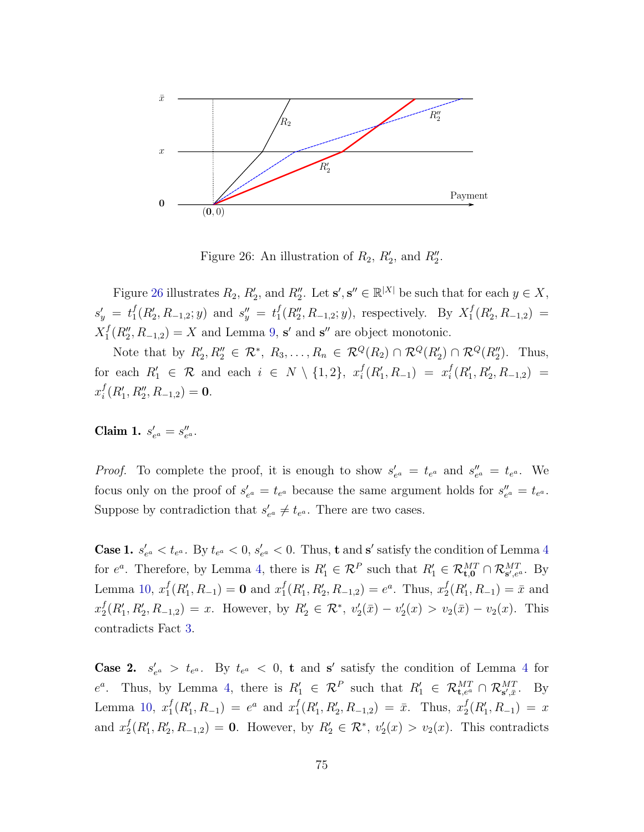

<span id="page-75-0"></span>Figure 26: An illustration of  $R_2$ ,  $R'_2$ , and  $R''_2$ .

Figure [26](#page-75-0) illustrates  $R_2$ ,  $R'_2$ , and  $R''_2$ . Let  $s', s'' \in \mathbb{R}^{|X|}$  be such that for each  $y \in X$ ,  $s'_y = t_1^f$  $f_1(R'_2, R_{-1,2}; y)$  and  $s''_y = t_1^f$  $_1^f(R_2'', R_{-1,2}; y)$ , respectively. By  $X_1^f$  ${}_{1}^{f}(R_{2},R_{-1,2}) =$  $X_1^f$  $I_1^f(R_2'', R_{-1,2}) = X$  and Lemma [9,](#page-31-0) s' and s'' are object monotonic.

Note that by  $R'_2, R''_2 \in \mathcal{R}^*, R_3, \ldots, R_n \in \mathcal{R}^Q(R_2) \cap \mathcal{R}^Q(R'_2) \cap \mathcal{R}^Q(R''_2)$ . Thus, for each  $R'_1 \in \mathcal{R}$  and each  $i \in N \setminus \{1,2\}, \; x_i^f$  $i^f(R'_1, R_{-1}) = x_i^f$  $i^f(R'_1,R'_2,R_{-1,2}) =$  $x_i^f$  $i^f(R'_1, R''_2, R_{-1,2}) = 0.$ 

Claim 1.  $s'_{e^a} = s''_{e^a}$ .

*Proof.* To complete the proof, it is enough to show  $s'_{e^a} = t_{e^a}$  and  $s''_{e^a} = t_{e^a}$ . We focus only on the proof of  $s'_{e^a} = t_{e^a}$  because the same argument holds for  $s''_{e^a} = t_{e^a}$ . Suppose by contradiction that  $s'_{e^a} \neq t_{e^a}$ . There are two cases.

**Case 1.**  $s'_{e^a} < t_{e^a}$ . By  $t_{e^a} < 0$ ,  $s'_{e^a} < 0$ . Thus, **t** and **s'** satisfy the condition of Lemma [4](#page-29-0) for  $e^a$ . Therefore, by Lemma [4,](#page-29-0) there is  $R'_1 \in \mathcal{R}^P$  such that  $R'_1 \in \mathcal{R}_{\mathbf{t},0}^{MT} \cap \mathcal{R}_{\mathbf{s}',e^a}^{MT}$ . By Lemma [10,](#page-31-3)  $x_1^f$  $f_1(R'_1, R_{-1}) = 0$  and  $x_1^f$  ${}_{1}^{f}(R'_{1}, R'_{2}, R_{-1,2}) = e^{a}$ . Thus,  $x_{2}^{f}$  $_2^f(R'_1, R_{-1}) = \bar{x}$  and  $x_2^f$  $Z_2^f(R'_1, R'_2, R_{-1,2}) = x$ . However, by  $R'_2 \in \mathcal{R}^*, v'_2(\bar{x}) - v'_2(x) > v_2(\bar{x}) - v_2(x)$ . This contradicts Fact [3.](#page-31-4)

**Case 2.**  $s'_{e^a} > t_{e^a}$ . By  $t_{e^a} < 0$ , **t** and **s'** satisfy the condition of Lemma [4](#page-29-0) for  $e^a$ . Thus, by Lemma [4,](#page-29-0) there is  $R'_1 \in \mathcal{R}^P$  such that  $R'_1 \in \mathcal{R}_{\mathbf{t},e^a}^{MT} \cap \mathcal{R}_{\mathbf{s}',\bar{x}}^{MT}$ . By Lemma [10,](#page-31-3)  $x_1^f$  $f_1(R'_1, R_{-1}) = e^a$  and  $x_1^f$  ${}_{1}^{f}(R'_{1}, R'_{2}, R_{-1,2}) = \bar{x}$ . Thus,  $x_{2}^{f}$  $_2^f(R'_1,R_{-1}) = x$ and  $x_2^f$  $Z_2^f(R'_1, R'_2, R_{-1,2}) = 0$ . However, by  $R'_2 \in \mathcal{R}^*, v'_2(x) > v_2(x)$ . This contradicts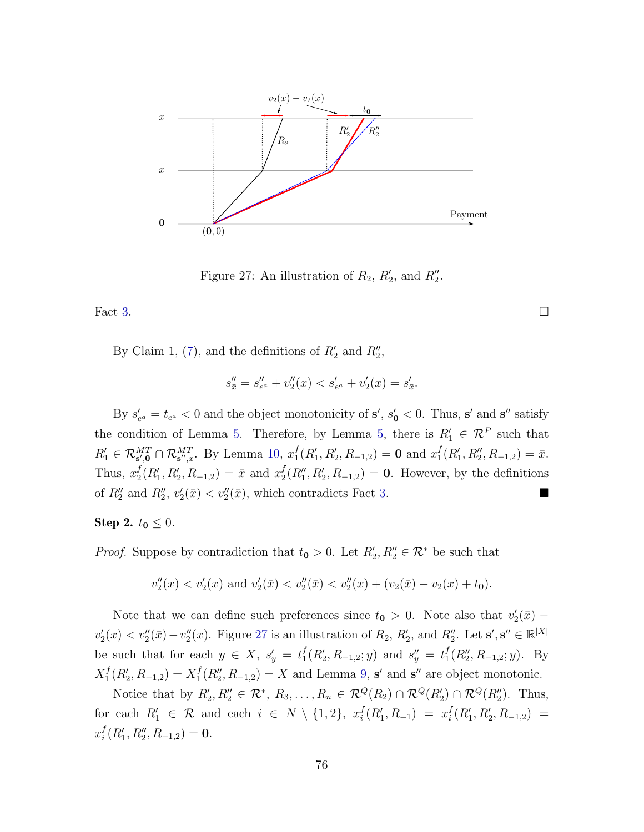

<span id="page-76-0"></span>Figure 27: An illustration of  $R_2$ ,  $R'_2$ , and  $R''_2$ .

Fact [3.](#page-31-4)

By Claim 1, [\(7\)](#page-74-0), and the definitions of  $R'_2$  and  $R''_2$ ,

$$
s''_{\bar{x}} = s''_{e^a} + v''_2(x) < s'_{e^a} + v'_2(x) = s'_{\bar{x}}.
$$

By  $s'_{e^a} = t_{e^a} < 0$  and the object monotonicity of  $s'$ ,  $s'_{0} < 0$ . Thus, s' and s'' satisfy the condition of Lemma [5.](#page-29-1) Therefore, by Lemma [5,](#page-29-1) there is  $R'_1 \in \mathcal{R}^P$  such that  $R_1' \in \mathcal{R}_{s',0}^{MT} \cap \mathcal{R}_{s'',\bar{s}}^{MT}$ . By Lemma [10,](#page-31-3)  $x_1^f$  $_1^f(R'_1, R'_2, R_{-1,2}) = 0$  and  $x_1^f$  ${}_{1}^{f}(R'_{1}, R''_{2}, R_{-1,2}) = \bar{x}.$ Thus,  $x_2^f$  $_2^f(R'_1, R'_2, R_{-1,2}) = \bar{x}$  and  $x_2^f$  $_2^f(R_1'', R_2', R_{-1,2}) = 0$ . However, by the definitions of  $R_2''$  and  $R_2'', v_2'(\bar{x}) < v_2''(\bar{x})$ , which contradicts Fact [3.](#page-31-4)

**Step 2.**  $t_0 \leq 0$ .

*Proof.* Suppose by contradiction that  $t_0 > 0$ . Let  $R'_2, R''_2 \in \mathcal{R}^*$  be such that

$$
v''_2(x) < v'_2(x)
$$
 and  $v'_2(\bar{x}) < v''_2(\bar{x}) < v''_2(x) + (v_2(\bar{x}) - v_2(x) + t_0).$ 

Note that we can define such preferences since  $t_0 > 0$ . Note also that  $v_2'(\bar{x})$  –  $v_2'(x) < v_2''(\bar{x}) - v_2''(x)$ . Figure [27](#page-76-0) is an illustration of  $R_2$ ,  $R_2'$ , and  $R_2''$ . Let  $\mathbf{s}', \mathbf{s}'' \in \mathbb{R}^{|X|}$ be such that for each  $y \in X$ ,  $s'_y = t_1^f$  $f_1(R'_2, R_{-1,2}; y)$  and  $s''_y = t_1^f$  $_{1}^{f}(R_{2}''', R_{-1,2}; y)$ . By  $X_1^f$  $I_1^f(R'_2, R_{-1,2}) = X_1^f$  $I_1^f(R_2'', R_{-1,2}) = X$  and Lemma [9,](#page-31-0) s' and s'' are object monotonic.

Notice that by  $R'_2, R''_2 \in \mathcal{R}^*, R_3, \ldots, R_n \in \mathcal{R}^Q(R_2) \cap \mathcal{R}^Q(R'_2) \cap \mathcal{R}^Q(R''_2)$ . Thus, for each  $R'_1 \in \mathcal{R}$  and each  $i \in N \setminus \{1,2\}, \; x_i^f$  $i^f(R'_1, R_{-1}) = x_i^f$  $i^f(R'_1,R'_2,R_{-1,2}) =$  $x_i^f$  $i^f(R'_1, R''_2, R_{-1,2}) = 0.$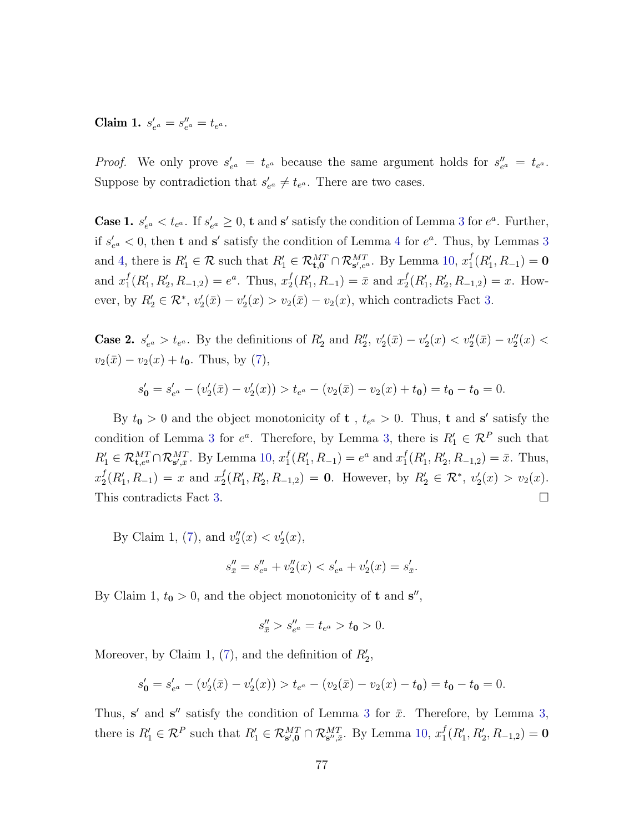Claim 1.  $s'_{e^a} = s''_{e^a} = t_{e^a}$ .

*Proof.* We only prove  $s'_{e^a} = t_{e^a}$  because the same argument holds for  $s''_{e^a} = t_{e^a}$ . Suppose by contradiction that  $s'_{e^a} \neq t_{e^a}$ . There are two cases.

**Case 1.**  $s'_{e^a} < t_{e^a}$ . If  $s'_{e^a} \geq 0$ , **t** and **s'** satisfy the condition of Lemma [3](#page-29-2) for  $e^a$ . Further, if  $s'_{e^a} < 0$ , then **t** and **s'** satisfy the condition of Lemma [4](#page-29-0) for  $e^a$ . Thus, by Lemmas [3](#page-29-2) and [4,](#page-29-0) there is  $R'_1 \in \mathcal{R}$  such that  $R'_1 \in \mathcal{R}_{\text{t},0}^{MT} \cap \mathcal{R}_{\text{s}',e^a}^{MT}$ . By Lemma [10,](#page-31-3)  $x_1^f$  $_1^f(R'_1,R_{-1})=0$ and  $x_1^f$  ${}_{1}^{f}(R'_{1}, R'_{2}, R_{-1,2}) = e^{a}$ . Thus,  $x_{2}^{f}$  $_2^f(R'_1, R_{-1}) = \bar{x}$  and  $x_2^f$  $_2^f(R'_1, R'_2, R_{-1,2}) = x$ . However, by  $R'_2 \in \mathcal{R}^*, v'_2(\bar{x}) - v'_2(x) > v_2(\bar{x}) - v_2(x)$ , which contradicts Fact [3.](#page-31-4)

**Case 2.**  $s'_{e^a} > t_{e^a}$ . By the definitions of  $R'_2$  and  $R''_2$ ,  $v'_2(\bar{x}) - v'_2(x) < v''_2(\bar{x}) - v''_2(x) <$  $v_2(\bar{x}) - v_2(x) + t_0$ . Thus, by [\(7\)](#page-74-0),

$$
s'_0 = s'_{e^a} - (v'_2(\bar{x}) - v'_2(x)) > t_{e^a} - (v_2(\bar{x}) - v_2(x) + t_0) = t_0 - t_0 = 0.
$$

By  $t_0 > 0$  and the object monotonicity of **t**,  $t_{e^a} > 0$ . Thus, **t** and **s'** satisfy the condition of Lemma [3](#page-29-2) for  $e^a$ . Therefore, by Lemma [3,](#page-29-2) there is  $R'_1 \in \mathcal{R}^P$  such that  $R_1' \in \mathcal{R}^{MT}_{\mathbf{t}, e^a} \cap \mathcal{R}_{\mathbf{s}', \bar{x}}^{MT}$ . By Lemma [10,](#page-31-3)  $x_1^f$  $_1^f(R'_1, R_{-1}) = e^a$  and  $x_1^f$  $_{1}^{f}(R_{1}', R_{2}', R_{-1,2}) = \bar{x}$ . Thus,  $x_2^f$  $_2^f(R'_1, R_{-1}) = x$  and  $x_2^f$  $Z_2^f(R'_1, R'_2, R_{-1,2}) = 0$ . However, by  $R'_2 \in \mathcal{R}^*, v'_2(x) > v_2(x)$ . This contradicts Fact [3.](#page-31-4)

By Claim 1, [\(7\)](#page-74-0), and  $v''_2(x) < v'_2(x)$ ,

$$
s''_{\bar{x}} = s''_{e^a} + v''_2(x) < s'_{e^a} + v'_2(x) = s'_{\bar{x}}.
$$

By Claim 1,  $t_0 > 0$ , and the object monotonicity of **t** and  $s''$ ,

$$
s''_{\bar{x}} > s''_{e^a} = t_{e^a} > t_0 > 0.
$$

Moreover, by Claim 1,  $(7)$ , and the definition of  $R'_2$ ,

$$
s'_{\mathbf{0}} = s'_{e^a} - (v'_2(\bar{x}) - v'_2(x)) > t_{e^a} - (v_2(\bar{x}) - v_2(x) - t_{\mathbf{0}}) = t_{\mathbf{0}} - t_{\mathbf{0}} = 0.
$$

Thus, s' and s'' satisfy the condition of Lemma [3](#page-29-2) for  $\bar{x}$ . Therefore, by Lemma [3,](#page-29-2) there is  $R'_1 \in \mathcal{R}^P$  such that  $R'_1 \in \mathcal{R}_{s',0}^{MT} \cap \mathcal{R}_{s'',\bar{s}}^{MT}$ . By Lemma [10,](#page-31-3)  $x_1^f$  $_{1}^{f}(R_{1}^{\prime},R_{2}^{\prime},R_{-1,2})=\mathbf{0}$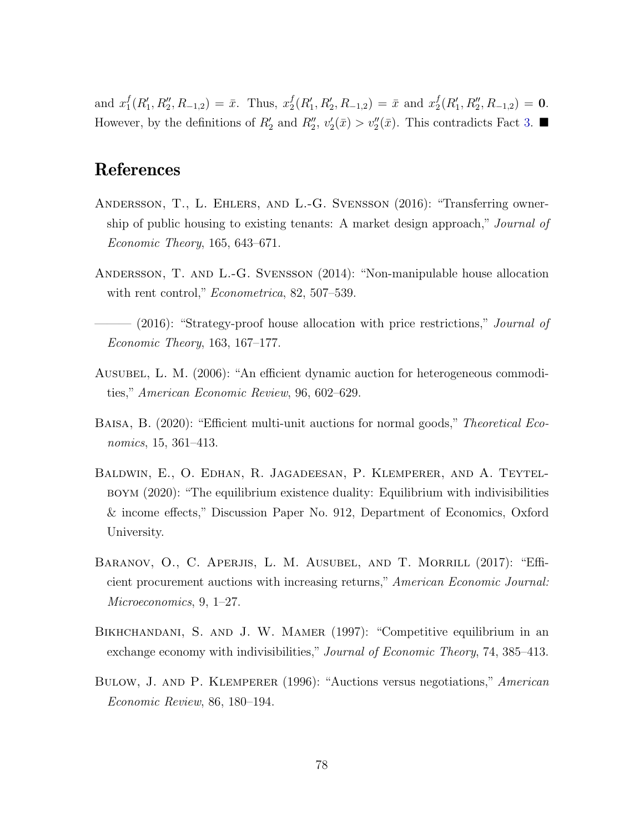and  $x_1^f$  ${}_{1}^{f}(R'_{1}, R''_{2}, R_{-1,2}) = \bar{x}$ . Thus,  $x_{2}^{f}$  $_2^f(R'_1, R'_2, R_{-1,2}) = \bar{x}$  and  $x_2^f$  $_{2}^{f}(R_{1}', R_{2}'', R_{-1,2}) = 0.$ However, by the definitions of  $R'_2$  and  $R''_2$ ,  $v'_2(\bar{x}) > v''_2(\bar{x})$ . This contradicts Fact [3.](#page-31-4)

# References

- Andersson, T., L. Ehlers, and L.-G. Svensson (2016): "Transferring ownership of public housing to existing tenants: A market design approach," Journal of Economic Theory, 165, 643–671.
- Andersson, T. and L.-G. Svensson (2014): "Non-manipulable house allocation with rent control," *Econometrica*, 82, 507–539.
- $-$  (2016): "Strategy-proof house allocation with price restrictions," *Journal of* Economic Theory, 163, 167–177.
- Ausubel, L. M. (2006): "An efficient dynamic auction for heterogeneous commodities," American Economic Review, 96, 602–629.
- BAISA, B. (2020): "Efficient multi-unit auctions for normal goods," Theoretical Economics, 15, 361–413.
- Baldwin, E., O. Edhan, R. Jagadeesan, P. Klemperer, and A. Teytelboym (2020): "The equilibrium existence duality: Equilibrium with indivisibilities & income effects," Discussion Paper No. 912, Department of Economics, Oxford University.
- BARANOV, O., C. APERJIS, L. M. AUSUBEL, AND T. MORRILL (2017): "Efficient procurement auctions with increasing returns," American Economic Journal: Microeconomics, 9, 1–27.
- Bikhchandani, S. and J. W. Mamer (1997): "Competitive equilibrium in an exchange economy with indivisibilities," Journal of Economic Theory, 74, 385–413.
- Bulow, J. and P. Klemperer (1996): "Auctions versus negotiations," American Economic Review, 86, 180–194.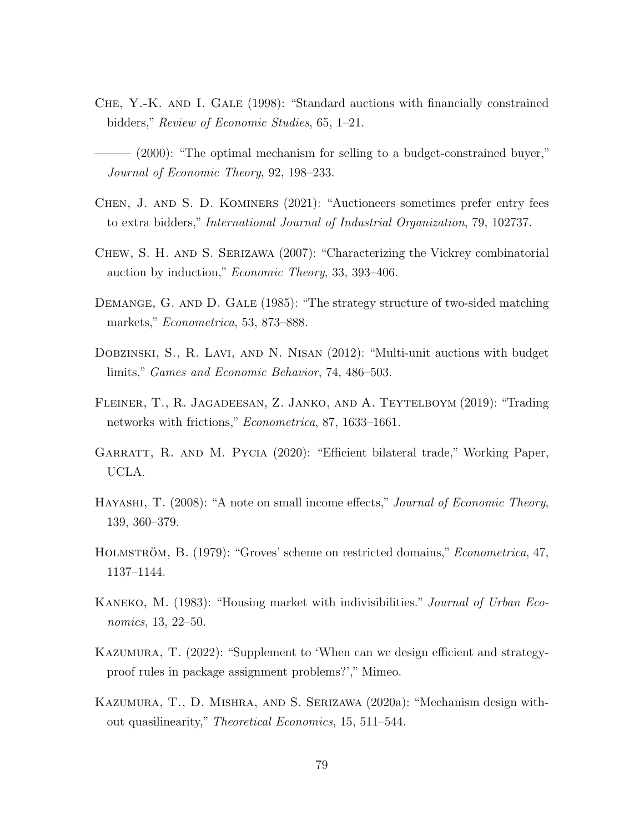- CHE, Y.-K. AND I. GALE (1998): "Standard auctions with financially constrained bidders," Review of Economic Studies, 65, 1–21.
- $(2000)$ : "The optimal mechanism for selling to a budget-constrained buyer," Journal of Economic Theory, 92, 198–233.
- Chen, J. and S. D. Kominers (2021): "Auctioneers sometimes prefer entry fees to extra bidders," International Journal of Industrial Organization, 79, 102737.
- Chew, S. H. and S. Serizawa (2007): "Characterizing the Vickrey combinatorial auction by induction," Economic Theory, 33, 393–406.
- DEMANGE, G. AND D. GALE (1985): "The strategy structure of two-sided matching markets," Econometrica, 53, 873–888.
- Dobzinski, S., R. Lavi, and N. Nisan (2012): "Multi-unit auctions with budget limits," Games and Economic Behavior, 74, 486–503.
- Fleiner, T., R. Jagadeesan, Z. Janko, and A. Teytelboym (2019): "Trading networks with frictions," Econometrica, 87, 1633–1661.
- GARRATT, R. AND M. PYCIA (2020): "Efficient bilateral trade," Working Paper, UCLA.
- HAYASHI, T. (2008): "A note on small income effects," Journal of Economic Theory, 139, 360–379.
- HOLMSTRÖM, B. (1979): "Groves' scheme on restricted domains," *Econometrica*, 47, 1137–1144.
- KANEKO, M. (1983): "Housing market with indivisibilities." *Journal of Urban Eco*nomics, 13, 22–50.
- Kazumura, T. (2022): "Supplement to 'When can we design efficient and strategyproof rules in package assignment problems?'," Mimeo.
- Kazumura, T., D. Mishra, and S. Serizawa (2020a): "Mechanism design without quasilinearity," Theoretical Economics, 15, 511–544.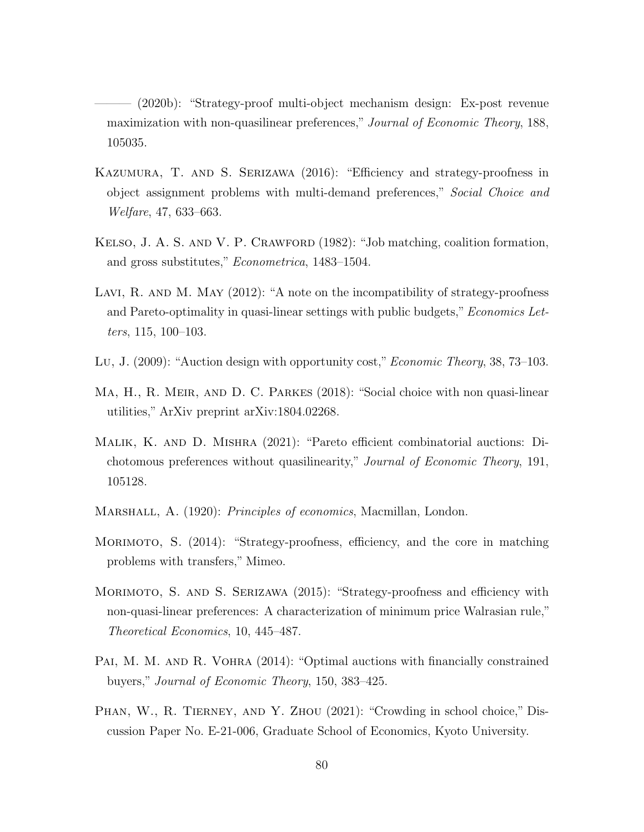(2020b): "Strategy-proof multi-object mechanism design: Ex-post revenue maximization with non-quasilinear preferences," Journal of Economic Theory, 188, 105035.

- Kazumura, T. and S. Serizawa (2016): "Efficiency and strategy-proofness in object assignment problems with multi-demand preferences," Social Choice and Welfare, 47, 633–663.
- Kelso, J. A. S. and V. P. Crawford (1982): "Job matching, coalition formation, and gross substitutes," Econometrica, 1483–1504.
- LAVI, R. AND M. MAY (2012): "A note on the incompatibility of strategy-proofness and Pareto-optimality in quasi-linear settings with public budgets," *Economics Let*ters, 115, 100–103.
- Lu, J. (2009): "Auction design with opportunity cost," *Economic Theory*, 38, 73–103.
- MA, H., R. MEIR, AND D. C. PARKES (2018): "Social choice with non quasi-linear utilities," ArXiv preprint arXiv:1804.02268.
- Malik, K. and D. Mishra (2021): "Pareto efficient combinatorial auctions: Dichotomous preferences without quasilinearity," Journal of Economic Theory, 191, 105128.
- MARSHALL, A. (1920): *Principles of economics*, Macmillan, London.
- Morimoto, S. (2014): "Strategy-proofness, efficiency, and the core in matching problems with transfers," Mimeo.
- MORIMOTO, S. AND S. SERIZAWA (2015): "Strategy-proofness and efficiency with non-quasi-linear preferences: A characterization of minimum price Walrasian rule," Theoretical Economics, 10, 445–487.
- PAI, M. M. AND R. VOHRA (2014): "Optimal auctions with financially constrained buyers," Journal of Economic Theory, 150, 383–425.
- PHAN, W., R. TIERNEY, AND Y. ZHOU (2021): "Crowding in school choice," Discussion Paper No. E-21-006, Graduate School of Economics, Kyoto University.